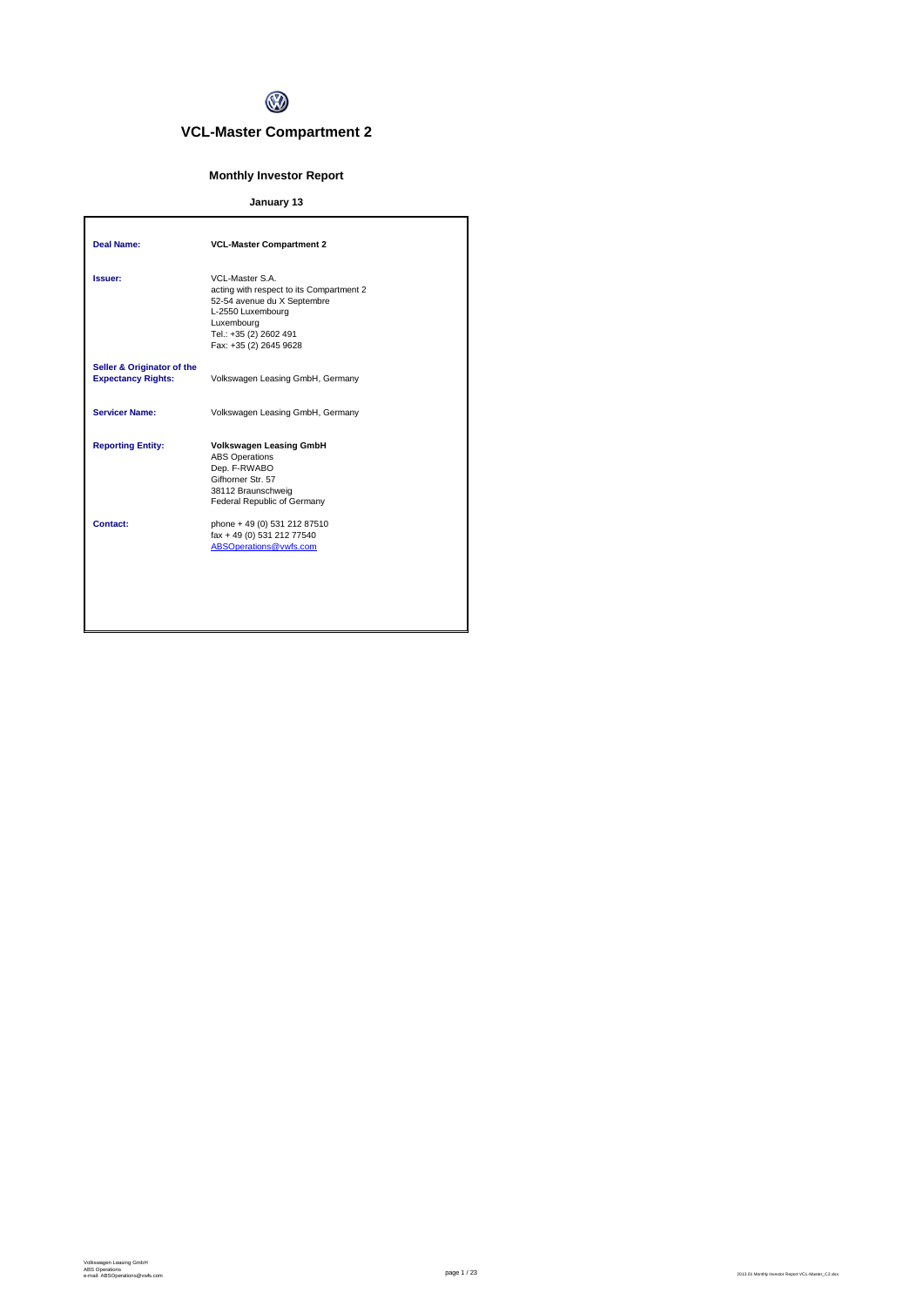

# **VCL-Master Compartment 2**

# **Monthly Investor Report**

# **January 13**

| <b>Deal Name:</b>                                       | <b>VCL-Master Compartment 2</b>                                                                                                                                                   |
|---------------------------------------------------------|-----------------------------------------------------------------------------------------------------------------------------------------------------------------------------------|
| Issuer:                                                 | VCL-Master S.A.<br>acting with respect to its Compartment 2<br>52-54 avenue du X Septembre<br>L-2550 Luxembourg<br>Luxembourg<br>Tel.: +35 (2) 2602 491<br>Fax: +35 (2) 2645 9628 |
| Seller & Originator of the<br><b>Expectancy Rights:</b> | Volkswagen Leasing GmbH, Germany                                                                                                                                                  |
| <b>Servicer Name:</b>                                   | Volkswagen Leasing GmbH, Germany                                                                                                                                                  |
| <b>Reporting Entity:</b>                                | <b>Volkswagen Leasing GmbH</b><br><b>ABS Operations</b><br>Dep. F-RWABO<br>Gifhorner Str. 57<br>38112 Braunschweig<br>Federal Republic of Germany                                 |
| Contact:                                                | phone + 49 (0) 531 212 87510<br>fax + 49 (0) 531 212 77540<br>ABSOperations@vwfs.com                                                                                              |
|                                                         |                                                                                                                                                                                   |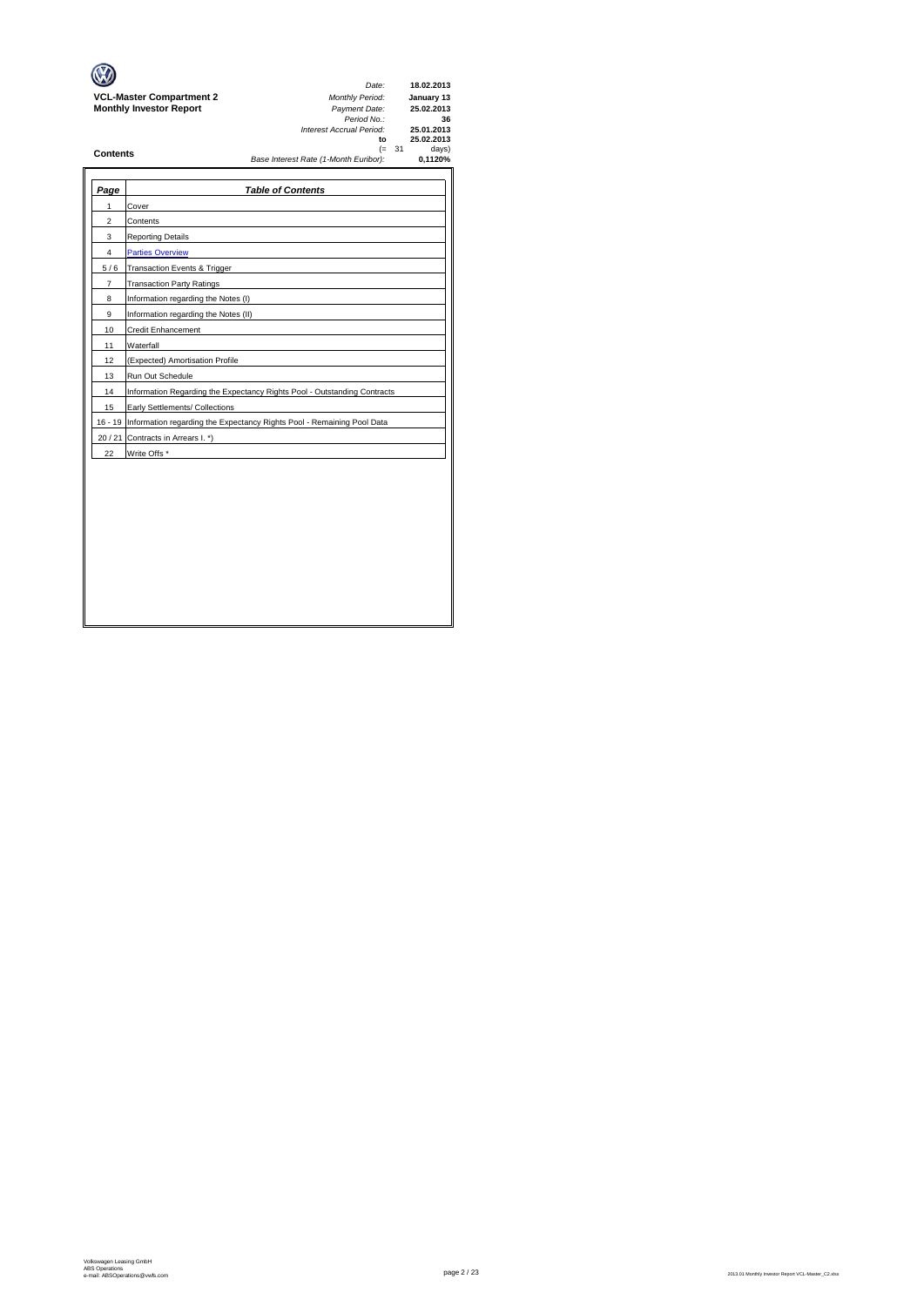|                                 | Date:                                 |          | 18.02.2013 |
|---------------------------------|---------------------------------------|----------|------------|
| <b>VCL-Master Compartment 2</b> | <b>Monthly Period:</b>                |          | January 13 |
| <b>Monthly Investor Report</b>  | Payment Date:                         |          | 25.02.2013 |
|                                 | Period No.:                           |          | 36         |
|                                 | Interest Accrual Period:              |          | 25.01.2013 |
|                                 | to                                    |          | 25.02.2013 |
| <b>Contents</b>                 |                                       | $(= 31)$ | days)      |
|                                 | Base Interest Rate (1-Month Euribor): |          | 0.1120%    |
|                                 |                                       |          |            |

 $\rightarrow$ 

| Page           | <b>Table of Contents</b>                                                       |
|----------------|--------------------------------------------------------------------------------|
| 1              | Cover                                                                          |
| $\overline{2}$ | Contents                                                                       |
| 3              | <b>Reporting Details</b>                                                       |
| 4              | <b>Parties Overview</b>                                                        |
| 5/6            | Transaction Events & Trigger                                                   |
| $\overline{7}$ | <b>Transaction Party Ratings</b>                                               |
| 8              | Information regarding the Notes (I)                                            |
| 9              | Information regarding the Notes (II)                                           |
| 10             | Credit Enhancement                                                             |
| 11             | Waterfall                                                                      |
| 12             | (Expected) Amortisation Profile                                                |
| 13             | Run Out Schedule                                                               |
| 14             | Information Regarding the Expectancy Rights Pool - Outstanding Contracts       |
| 15             | Early Settlements/ Collections                                                 |
|                | 16 - 19 Information regarding the Expectancy Rights Pool - Remaining Pool Data |
|                | 20 / 21 Contracts in Arrears I. *)                                             |
| 22             | Write Offs *                                                                   |
|                |                                                                                |
|                |                                                                                |
|                |                                                                                |
|                |                                                                                |
|                |                                                                                |
|                |                                                                                |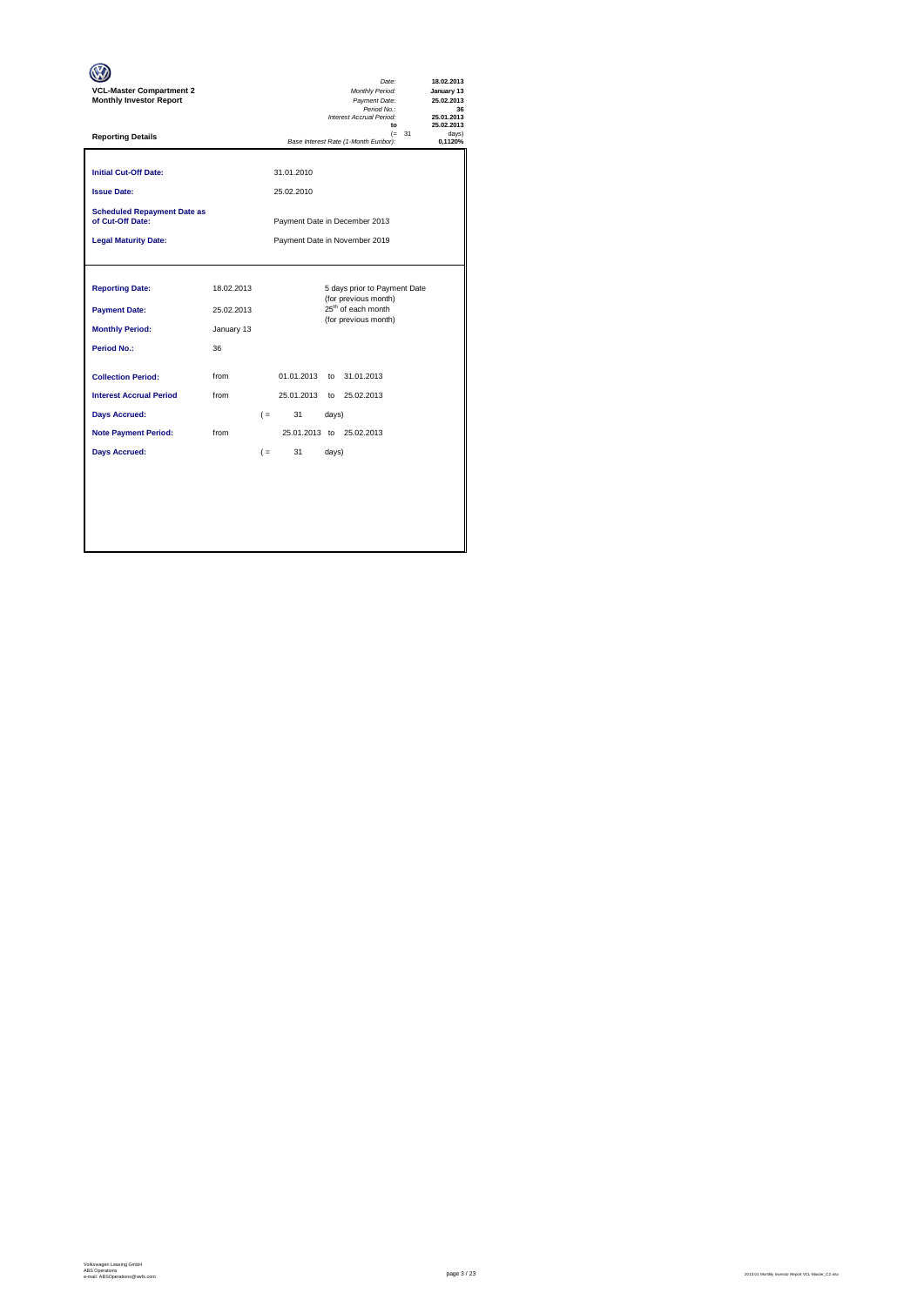| <b>VCL-Master Compartment 2</b><br><b>Monthly Investor Report</b>                                                                                         |                                        | Date:<br>Monthly Period:<br>Payment Date:<br>Period No.:<br>Interest Accrual Period:<br>$\mathbf{f}$                                | 18.02.2013<br>January 13<br>25.02.2013<br>36<br>25.01.2013<br>25.02.2013 |  |  |  |  |
|-----------------------------------------------------------------------------------------------------------------------------------------------------------|----------------------------------------|-------------------------------------------------------------------------------------------------------------------------------------|--------------------------------------------------------------------------|--|--|--|--|
| <b>Reporting Details</b>                                                                                                                                  |                                        | $(= 31)$<br>Base Interest Rate (1-Month Euribor):                                                                                   | davs'<br>0.1120%                                                         |  |  |  |  |
| <b>Initial Cut-Off Date:</b><br><b>Issue Date:</b>                                                                                                        |                                        | 31.01.2010<br>25.02.2010                                                                                                            |                                                                          |  |  |  |  |
| <b>Scheduled Repayment Date as</b><br>of Cut-Off Date:                                                                                                    | Payment Date in December 2013          |                                                                                                                                     |                                                                          |  |  |  |  |
| <b>Legal Maturity Date:</b>                                                                                                                               |                                        | Payment Date in November 2019                                                                                                       |                                                                          |  |  |  |  |
| <b>Reporting Date:</b><br><b>Payment Date:</b><br><b>Monthly Period:</b>                                                                                  | 18.02.2013<br>25.02.2013<br>January 13 | 5 days prior to Payment Date<br>(for previous month)<br>25 <sup>th</sup> of each month<br>(for previous month)                      |                                                                          |  |  |  |  |
| Period No.:<br><b>Collection Period:</b><br><b>Interest Accrual Period</b><br><b>Days Accrued:</b><br><b>Note Payment Period:</b><br><b>Days Accrued:</b> | 36<br>from<br>from<br>from             | 01.01.2013<br>to 31.01.2013<br>25.01.2013 to 25.02.2013<br>31<br>$($ =<br>days)<br>25.01.2013 to 25.02.2013<br>31<br>$($ =<br>days) |                                                                          |  |  |  |  |
|                                                                                                                                                           |                                        |                                                                                                                                     |                                                                          |  |  |  |  |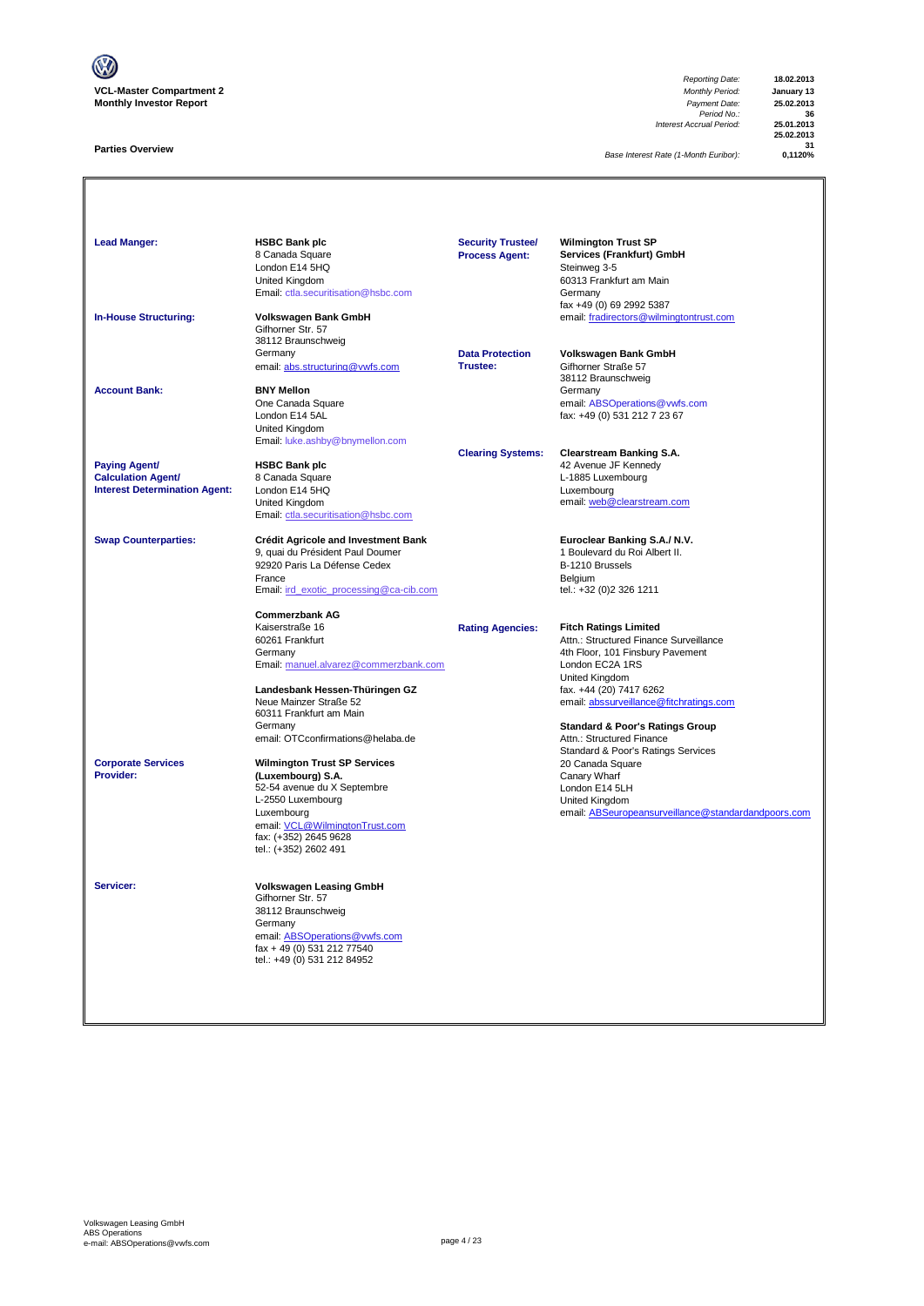

#### **Parties Overview**

*Reporting Date:* **18.02.2013** *Payment Date:* **25.02.2013**<br> *Period No.:* **36**<br> *Accrual Period:* **25.01.2013** *Interest Accrual Period:* **25.01.2013**

**25.02.2013 31**

*Base Interest Rate (1-Month Euribor):* **0,1120%**

Lead Manger: **HSBC Bank plc Manufacturer SPC Security Trustee/** Wilmington Trust SP **Services (Frankfurt) GmbH**<br>Steinweg 3-5 8 Canada Square<br>London E14 5HQ<br>United Kingdom Summay - C<br>60313 Frankfurt am Main<br>Germany [Email: ctla.securitisation@hsbc.com](mailto:ctla.securitisation@hsbc.com) fax +49 (0) 69 2992 5387 **In-House Structuring: Volkswagen Bank GmbH** email: fradirectors@wilmingtontrust.com Volkswagen Bank GmbH<br>Gifhorner Str. 57 Santanier Ca. Cr<br>38112 Braunschweig<br>Germany **Data Protection Volkswagen Bank GmbH**<br>**Trustee:** Gifhorner Straße 57 email: abs.structuring@vwfs.com 38112 Braunschweig **Account Bank: BNY Mellon**<br>
One Canada Square One Canada Square email: <u>ABSOperations@vwfs.com</u> London E14 5AL fax: +49 (0) 531 212 7 23 67 United Kingdom [Email: luke.ashby@bnymellon.com](mailto:ctla.securitisation@hsbc.com) **Clearing Systems: Clearstream Banking S.A. Paying Agent/ HSBC Bank plc** 42 Avenue JF Kennedy **Calculation Agent/** 8 Canada Square **Canada Square L-1885** Luxembourg **Interest Determination Agent:** London E14 5HQ<br>United Kingdom United Kingdom email: <u>web @clearstream.com</u> [Email: ctla.securitisation@hsbc.com](mailto:ctla.securitisation@hsbc.com) **Swap Counterparties: Crédit Agricole and Investment Bank Euroclear Banking S.A./ N.V.** 9, quai du Président Paul Doumer 1 au 1000 et du Roi du Roi Albert II.<br>1 Boulevard du Franç II.<br>1 B-1210 Brussels 92920 Paris La Défense Cedex B-1210 Brussels<br>
France Belgium<br>
Email: ird exotic processing @ca-cib.com (and a set of the l.: +32 (0) 2326 1211 France Belgium [Email: ird\\_exotic\\_processing@ca-cib.com](mailto:ctla.securitisation@hsbc.com) tel.: +32 (0)2 326 1211 **Commerzbank AG** Kaiserstraße 16 **Rating Agencies: Fitch Ratings Limited** 60261 Frankfurt Attn.: Structured Finance Surveillance 4th Floor, 101 Finsbury Pavement [Email: manuel.alvarez@commerzbank.com](mailto:ctla.securitisation@hsbc.com) London EC2A 1RS United Kingdom<br>fax. +44 (20) 7417 6262 Landesbank Hessen-Thüringen GZ<br>Neue Mainzer Straße 52 [email: abssurveillance@fitchratings.com](mailto:abssurveillance@fitchratings.com) 60311 Frankfurt am Main **Standard & Poor's Ratings Group**<br>Attn.: Structured Finance email: OTCconfirmations@helaba.de Standard & Poor's Ratings Services<br>20 Canada Square **Corporate Services Wilmington Trust SP Services** 20 Canada Scuare 20 Canada Scuare 20 Canada Scuare 20 Canada Scuare 20 Canada Scuare 20 Canada Scuare 20 Canada Scuare 20 Canada Scuare 20 Canada Scuare 20 Canada Scuare **Providers the Contract Construction of the Construction of the Construction Construction Construction Construction**<br>1999 - S2-54 avenue du X Septembre<br>1999 - London E14 5LH 52-54 avenue du X Septembre London E14 5LH L-2550 Luxembourg email: ABSeuropeansurveillance@standardandpoors.com email: <u>VCL@WilmingtonTrust.com</u><br>fax: (+352) 2645 9628 tel.: (+352) 2602 491 **Servicer: Volkswagen Leasing GmbH** Gifhorner Str. 57 38112 Braunschweig **Germany** email: ABSOperations@vwfs.com fax + 49 (0) 531 212 77540 tel.: +49 (0) 531 212 84952 **Security Trustee/ Process Agent:**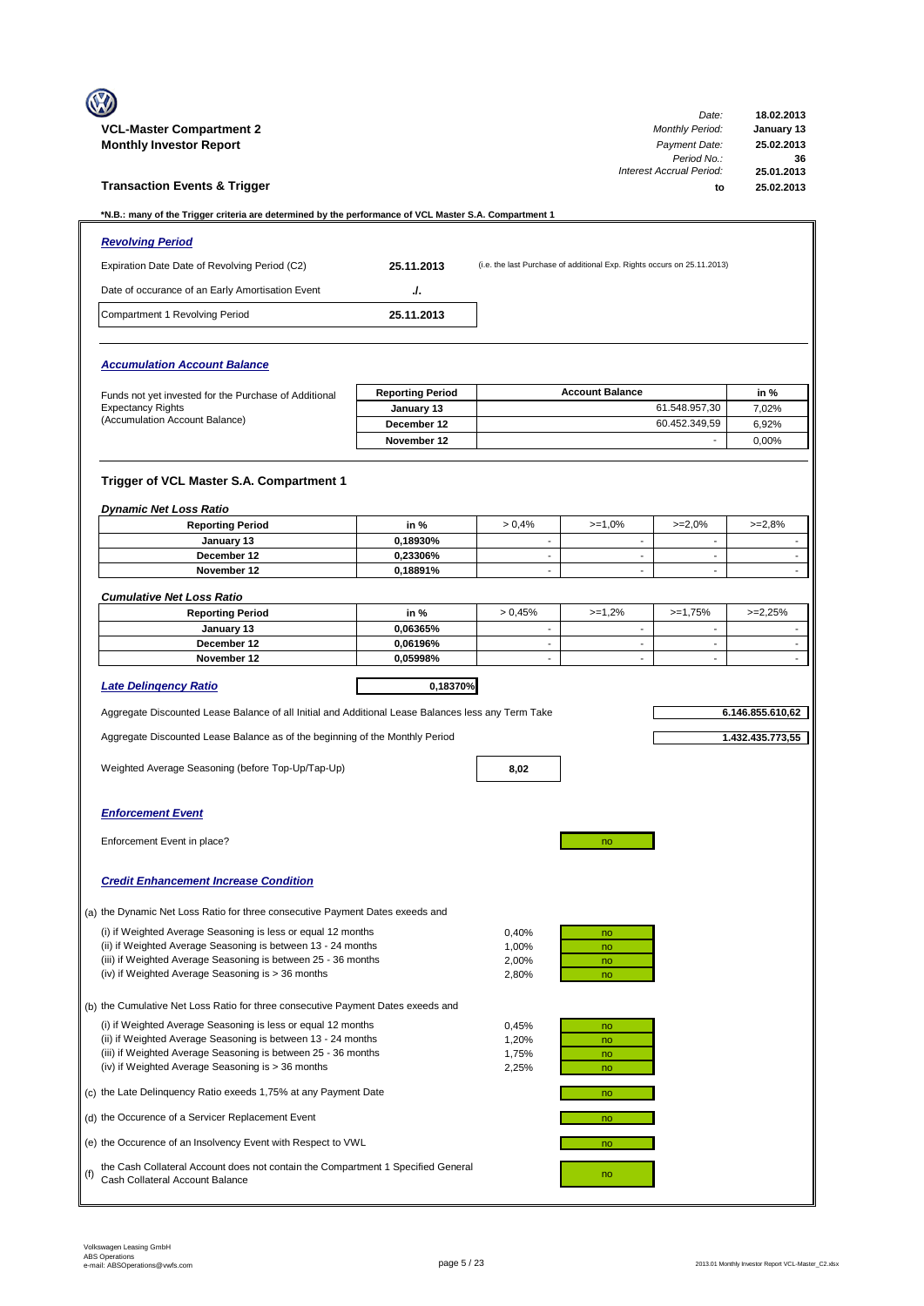|     |                                                                                                                               |                         |                                          |                                                                         | Date:                                         | 18.02.2013                                           |
|-----|-------------------------------------------------------------------------------------------------------------------------------|-------------------------|------------------------------------------|-------------------------------------------------------------------------|-----------------------------------------------|------------------------------------------------------|
|     | <b>VCL-Master Compartment 2</b><br><b>Monthly Investor Report</b>                                                             |                         |                                          |                                                                         | <b>Monthly Period:</b><br>Payment Date:       | January 13<br>25.02.2013                             |
|     | <b>Transaction Events &amp; Trigger</b>                                                                                       |                         |                                          |                                                                         | Period No.:<br>Interest Accrual Period:<br>to | 36<br>25.01.2013<br>25.02.2013                       |
|     | *N.B.: many of the Trigger criteria are determined by the performance of VCL Master S.A. Compartment 1                        |                         |                                          |                                                                         |                                               |                                                      |
|     | <b>Revolving Period</b>                                                                                                       |                         |                                          |                                                                         |                                               |                                                      |
|     | Expiration Date Date of Revolving Period (C2)                                                                                 | 25.11.2013              |                                          | (i.e. the last Purchase of additional Exp. Rights occurs on 25.11.2013) |                                               |                                                      |
|     | Date of occurance of an Early Amortisation Event                                                                              | J.                      |                                          |                                                                         |                                               |                                                      |
|     | Compartment 1 Revolving Period                                                                                                | 25.11.2013              |                                          |                                                                         |                                               |                                                      |
|     | <b>Accumulation Account Balance</b>                                                                                           |                         |                                          |                                                                         |                                               |                                                      |
|     | Funds not yet invested for the Purchase of Additional                                                                         | <b>Reporting Period</b> |                                          | <b>Account Balance</b>                                                  |                                               | in %                                                 |
|     | <b>Expectancy Rights</b>                                                                                                      | January 13              |                                          |                                                                         | 61.548.957,30                                 | 7,02%                                                |
|     | (Accumulation Account Balance)                                                                                                | December 12             |                                          |                                                                         | 60.452.349,59<br>$\overline{\phantom{a}}$     | 6,92%                                                |
|     |                                                                                                                               | November 12             |                                          |                                                                         |                                               | 0.00%                                                |
|     | Trigger of VCL Master S.A. Compartment 1<br><b>Dynamic Net Loss Ratio</b>                                                     |                         |                                          |                                                                         |                                               |                                                      |
|     | <b>Reporting Period</b>                                                                                                       | in %                    | > 0,4%                                   | $>=1,0%$                                                                | $>=2,0%$                                      | $>=2.8%$                                             |
|     | January 13                                                                                                                    | 0,18930%                | $\blacksquare$                           | $\sim$                                                                  | $\mathbf{r}$                                  | $\blacksquare$                                       |
|     | December 12<br>November 12                                                                                                    | 0,23306%<br>0,18891%    | $\mathbf{r}$<br>$\overline{\phantom{a}}$ | $\blacksquare$<br>÷.                                                    | $\sim$<br>$\overline{\phantom{a}}$            | $\overline{\phantom{a}}$<br>$\overline{\phantom{a}}$ |
|     |                                                                                                                               |                         |                                          |                                                                         |                                               |                                                      |
|     | <b>Cumulative Net Loss Ratio</b><br><b>Reporting Period</b>                                                                   | in %                    | > 0.45%                                  | $>=1,2%$                                                                | $>=1,75%$                                     | $>=2,25%$                                            |
|     | January 13                                                                                                                    | 0,06365%                | $\blacksquare$                           | $\overline{\phantom{a}}$                                                | $\blacksquare$                                | $\overline{\phantom{a}}$                             |
|     | December 12                                                                                                                   | 0,06196%                | ÷                                        | $\blacksquare$                                                          | $\sim$                                        | $\overline{\phantom{a}}$                             |
|     | November 12                                                                                                                   | 0,05998%                | ÷                                        | ÷.                                                                      | $\mathbf{r}$                                  | $\mathbf{r}$                                         |
|     | <b>Late Delingency Ratio</b>                                                                                                  | 0,18370%                |                                          |                                                                         |                                               |                                                      |
|     | Aggregate Discounted Lease Balance of all Initial and Additional Lease Balances less any Term Take                            |                         |                                          |                                                                         |                                               | 6.146.855.610,62                                     |
|     | Aggregate Discounted Lease Balance as of the beginning of the Monthly Period                                                  |                         |                                          |                                                                         |                                               | 1.432.435.773,55                                     |
|     | Weighted Average Seasoning (before Top-Up/Tap-Up)                                                                             |                         | 8,02                                     |                                                                         |                                               |                                                      |
|     | <b>Enforcement Event</b>                                                                                                      |                         |                                          |                                                                         |                                               |                                                      |
|     | Enforcement Event in place?                                                                                                   |                         |                                          | no                                                                      |                                               |                                                      |
|     | <b>Credit Enhancement Increase Condition</b>                                                                                  |                         |                                          |                                                                         |                                               |                                                      |
|     | (a) the Dynamic Net Loss Ratio for three consecutive Payment Dates exeeds and                                                 |                         |                                          |                                                                         |                                               |                                                      |
|     | (i) if Weighted Average Seasoning is less or equal 12 months                                                                  |                         | 0,40%                                    | no                                                                      |                                               |                                                      |
|     | (ii) if Weighted Average Seasoning is between 13 - 24 months<br>(iii) if Weighted Average Seasoning is between 25 - 36 months |                         | 1,00%<br>2,00%                           | no<br>no                                                                |                                               |                                                      |
|     | (iv) if Weighted Average Seasoning is > 36 months                                                                             |                         | 2,80%                                    | no                                                                      |                                               |                                                      |
|     | (b) the Cumulative Net Loss Ratio for three consecutive Payment Dates exeeds and                                              |                         |                                          |                                                                         |                                               |                                                      |
|     | (i) if Weighted Average Seasoning is less or equal 12 months                                                                  |                         | 0,45%                                    | no                                                                      |                                               |                                                      |
|     | (ii) if Weighted Average Seasoning is between 13 - 24 months                                                                  |                         | 1,20%                                    | no                                                                      |                                               |                                                      |
|     | (iii) if Weighted Average Seasoning is between 25 - 36 months<br>(iv) if Weighted Average Seasoning is > 36 months            |                         | 1,75%<br>2,25%                           | no<br>no                                                                |                                               |                                                      |
|     | (c) the Late Delinquency Ratio exeeds 1,75% at any Payment Date                                                               |                         |                                          | no                                                                      |                                               |                                                      |
|     | (d) the Occurence of a Servicer Replacement Event                                                                             |                         |                                          | no                                                                      |                                               |                                                      |
|     | (e) the Occurence of an Insolvency Event with Respect to VWL                                                                  |                         |                                          | no                                                                      |                                               |                                                      |
| (f) | the Cash Collateral Account does not contain the Compartment 1 Specified General<br>Cash Collateral Account Balance           |                         |                                          | no                                                                      |                                               |                                                      |
|     |                                                                                                                               |                         |                                          |                                                                         |                                               |                                                      |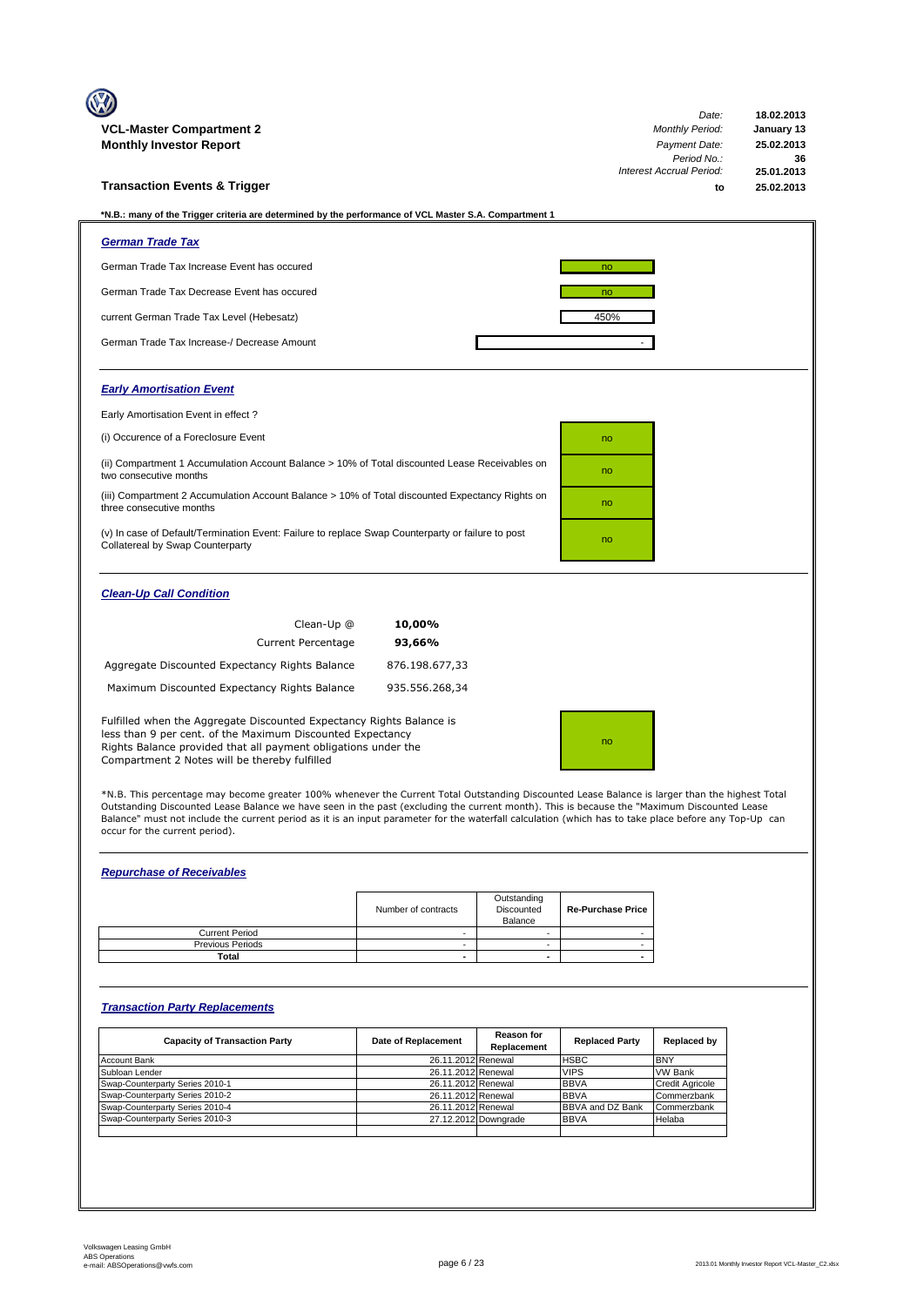|                                                                                                                                                                                                                                                       |                | Date:                                   | 18.02.2013               |
|-------------------------------------------------------------------------------------------------------------------------------------------------------------------------------------------------------------------------------------------------------|----------------|-----------------------------------------|--------------------------|
| <b>VCL-Master Compartment 2</b>                                                                                                                                                                                                                       |                | <b>Monthly Period:</b><br>Payment Date: | January 13<br>25.02.2013 |
| <b>Monthly Investor Report</b>                                                                                                                                                                                                                        |                | Period No.:                             | 36                       |
|                                                                                                                                                                                                                                                       |                | Interest Accrual Period:                | 25.01.2013               |
| <b>Transaction Events &amp; Trigger</b>                                                                                                                                                                                                               |                | to                                      | 25.02.2013               |
|                                                                                                                                                                                                                                                       |                |                                         |                          |
| *N.B.: many of the Trigger criteria are determined by the performance of VCL Master S.A. Compartment 1                                                                                                                                                |                |                                         |                          |
| <b>German Trade Tax</b>                                                                                                                                                                                                                               |                |                                         |                          |
| German Trade Tax Increase Event has occured                                                                                                                                                                                                           |                | no                                      |                          |
| German Trade Tax Decrease Event has occured                                                                                                                                                                                                           |                | no                                      |                          |
| current German Trade Tax Level (Hebesatz)                                                                                                                                                                                                             |                | 450%                                    |                          |
| German Trade Tax Increase-/ Decrease Amount                                                                                                                                                                                                           |                |                                         |                          |
| <b>Early Amortisation Event</b>                                                                                                                                                                                                                       |                |                                         |                          |
| Early Amortisation Event in effect?                                                                                                                                                                                                                   |                |                                         |                          |
| (i) Occurence of a Foreclosure Event                                                                                                                                                                                                                  |                | no                                      |                          |
| (ii) Compartment 1 Accumulation Account Balance > 10% of Total discounted Lease Receivables on<br>two consecutive months                                                                                                                              |                | no                                      |                          |
| (iii) Compartment 2 Accumulation Account Balance > 10% of Total discounted Expectancy Rights on<br>three consecutive months                                                                                                                           |                | no                                      |                          |
| (v) In case of Default/Termination Event: Failure to replace Swap Counterparty or failure to post<br>Collatereal by Swap Counterparty                                                                                                                 |                | no                                      |                          |
| <b>Clean-Up Call Condition</b>                                                                                                                                                                                                                        |                |                                         |                          |
| Clean-Up @                                                                                                                                                                                                                                            | 10,00%         |                                         |                          |
| <b>Current Percentage</b>                                                                                                                                                                                                                             | 93,66%         |                                         |                          |
| Aggregate Discounted Expectancy Rights Balance                                                                                                                                                                                                        | 876.198.677,33 |                                         |                          |
| Maximum Discounted Expectancy Rights Balance                                                                                                                                                                                                          | 935.556.268,34 |                                         |                          |
| Fulfilled when the Aggregate Discounted Expectancy Rights Balance is<br>less than 9 per cent. of the Maximum Discounted Expectancy<br>Rights Balance provided that all payment obligations under the<br>Compartment 2 Notes will be thereby fulfilled |                | no                                      |                          |
| $\cdots$ $\cdots$                                                                                                                                                                                                                                     |                |                                         |                          |

\*N.B. This percentage may become greater 100% whenever the Current Total Outstanding Discounted Lease Balance is larger than the highest Total<br>Outstanding Discounted Lease Balance we have seen in the past (excluding the cu Balance" must not include the current period as it is an input parameter for the waterfall calculation (which has to take place before any Top-Up can occur for the current period).

# *Repurchase of Receivables*

|                         | Number of contracts | Outstanding<br>Discounted<br>Balance | <b>Re-Purchase Price</b> |
|-------------------------|---------------------|--------------------------------------|--------------------------|
| <b>Current Period</b>   |                     |                                      |                          |
| <b>Previous Periods</b> |                     |                                      |                          |
| Total                   |                     |                                      |                          |

### *Transaction Party Replacements*

| <b>Capacity of Transaction Party</b> | Date of Replacement | <b>Reason for</b><br>Replacement | <b>Replaced Party</b> | Replaced by            |
|--------------------------------------|---------------------|----------------------------------|-----------------------|------------------------|
| Account Bank                         | 26.11.2012 Renewal  |                                  | <b>HSBC</b>           | <b>IBNY</b>            |
| Subloan Lender                       | 26.11.2012 Renewal  |                                  | <b>VIPS</b>           | <b>VW Bank</b>         |
| Swap-Counterparty Series 2010-1      | 26.11.2012 Renewal  |                                  | <b>BBVA</b>           | <b>Credit Agricole</b> |
| Swap-Counterparty Series 2010-2      | 26.11.2012 Renewal  |                                  | <b>BBVA</b>           | Commerzbank            |
| Swap-Counterparty Series 2010-4      | 26.11.2012 Renewal  |                                  | BBVA and DZ Bank      | Commerzbank            |
| Swap-Counterparty Series 2010-3      |                     | 27.12.2012 Downgrade             | <b>BBVA</b>           | Helaba                 |
|                                      |                     |                                  |                       |                        |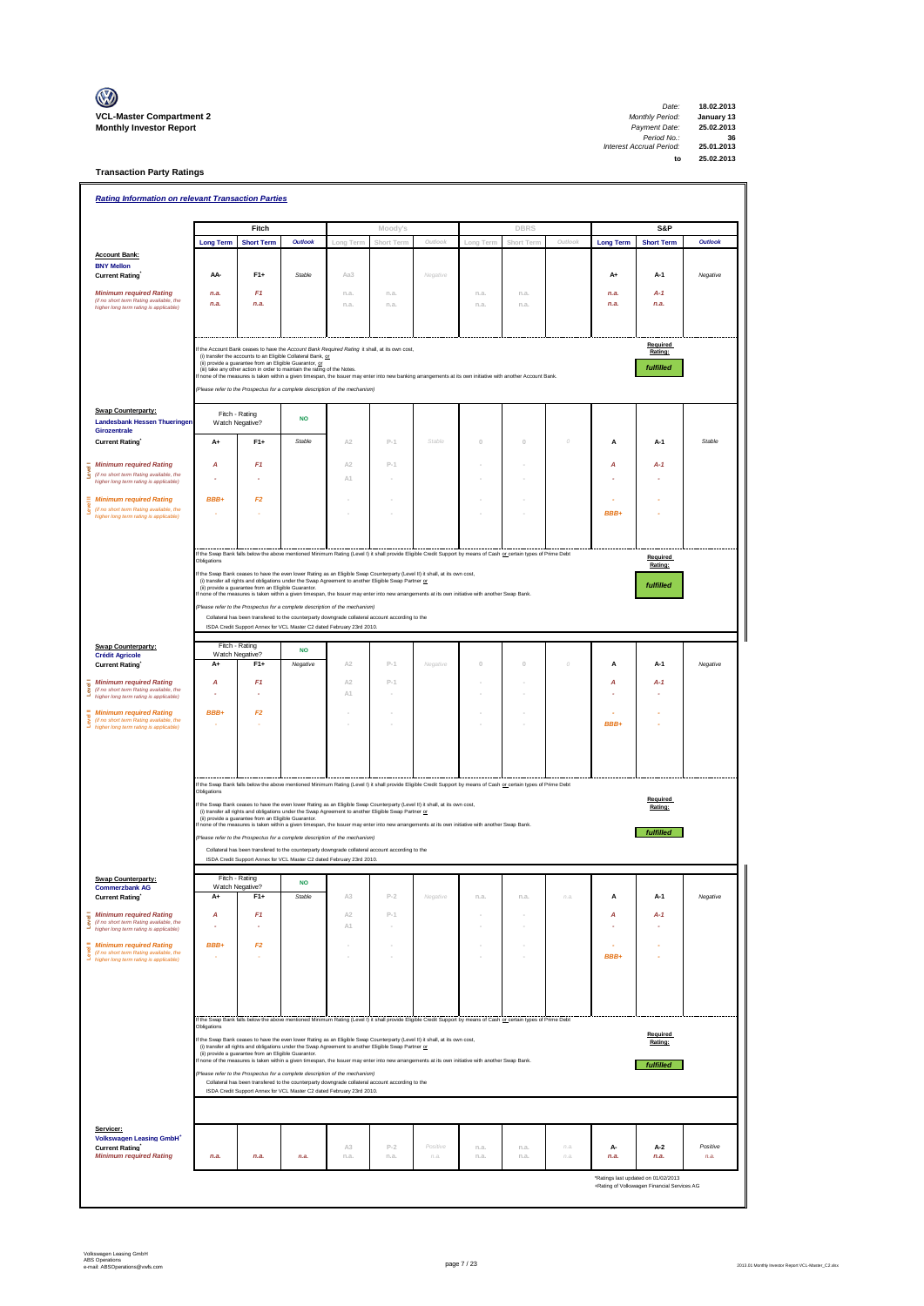

**Transaction Party Ratings**

| <b>Rating Information on relevant Transaction Parties</b>                                    |                  |                                                                                                                                                                                                                                                                                              |                |                |            |          |              |              |              |                  |                                             |          |
|----------------------------------------------------------------------------------------------|------------------|----------------------------------------------------------------------------------------------------------------------------------------------------------------------------------------------------------------------------------------------------------------------------------------------|----------------|----------------|------------|----------|--------------|--------------|--------------|------------------|---------------------------------------------|----------|
|                                                                                              |                  | Fitch                                                                                                                                                                                                                                                                                        |                |                | Moody's    |          |              | <b>DBRS</b>  |              |                  | S&P                                         |          |
|                                                                                              | <b>Long Term</b> | <b>Short Term</b>                                                                                                                                                                                                                                                                            | <b>Outlook</b> | Long Term      | Short Term | Outlook  | Long Term    | Short Term   | Outlook      | <b>Long Term</b> | <b>Short Term</b>                           | Outlook  |
| <b>Account Bank:</b><br><b>BNY Mellon</b>                                                    |                  |                                                                                                                                                                                                                                                                                              |                |                |            |          |              |              |              |                  |                                             |          |
| <b>Current Rating</b>                                                                        | AA-              | F1+                                                                                                                                                                                                                                                                                          | Stable         | Aa3            |            | Negative |              |              |              | A+               | A-1                                         | Negative |
| <b>Minimum required Rating</b><br>(if no short term Rating available, the                    | n.a.             | F <sub>1</sub>                                                                                                                                                                                                                                                                               |                | n.a.           | n.a.       |          | n.a.         | n.a.         |              | n.a.             | $A - 1$                                     |          |
| higher long term rating is applicable)                                                       | n.a.             | n.a.                                                                                                                                                                                                                                                                                         |                | n.a.           | n.a.       |          | n.a.         | n.a.         |              | n.a.             | n.a.                                        |          |
|                                                                                              |                  |                                                                                                                                                                                                                                                                                              |                |                |            |          |              |              |              |                  |                                             |          |
|                                                                                              |                  | If the Account Bank ceases to have the Account Bank Required Rating it shall, at its own cost,                                                                                                                                                                                               |                |                |            |          |              |              |              |                  | Required<br>Rating:                         |          |
|                                                                                              |                  | (i) transfer the accounts to an Eligible Collateral Bank, or<br>(ii) provide a guarantee from an Eligible Guarantor, or<br>(iii) take any other action in order to maintain the rating of the Notes.                                                                                         |                |                |            |          |              |              |              |                  | fulfilled                                   |          |
|                                                                                              |                  | If none of the measures is taken within a given timespan, the Issuer may enter into new banking arrangements at its own initiative with another Account Bank.                                                                                                                                |                |                |            |          |              |              |              |                  |                                             |          |
|                                                                                              |                  | (Please refer to the Prospectus for a complete description of the mechanism)                                                                                                                                                                                                                 |                |                |            |          |              |              |              |                  |                                             |          |
| <b>Swap Counterparty:</b><br><b>Landesbank Hessen Thueringen</b>                             |                  | Fitch - Rating<br>Watch Negative?                                                                                                                                                                                                                                                            | <b>NO</b>      |                |            |          |              |              |              |                  |                                             |          |
| Girozentrale<br><b>Current Rating</b>                                                        | A+               | $F1+$                                                                                                                                                                                                                                                                                        | Stable         | A2             | $P-1$      | Stable   | $\Omega$     | $\Omega$     | O            | A                | $A-1$                                       | Stable   |
| <b>Minimum required Rating</b>                                                               | A                | F1                                                                                                                                                                                                                                                                                           |                | A <sub>2</sub> | $P-1$      |          |              |              |              | A                | $A-1$                                       |          |
| Level<br>(if no short term Rating available, the<br>higher long term rating is applicable)   |                  |                                                                                                                                                                                                                                                                                              |                | A1             |            |          |              |              |              |                  |                                             |          |
| <b>Minimum required Rating</b>                                                               | BBB+             | F2                                                                                                                                                                                                                                                                                           |                |                |            |          |              |              |              |                  |                                             |          |
| Level<br>(if no short term Rating available, the<br>higher long term rating is applicable)   |                  |                                                                                                                                                                                                                                                                                              |                |                |            |          |              |              |              | BBB+             |                                             |          |
|                                                                                              |                  |                                                                                                                                                                                                                                                                                              |                |                |            |          |              |              |              |                  |                                             |          |
|                                                                                              |                  |                                                                                                                                                                                                                                                                                              |                |                |            |          |              |              |              |                  |                                             |          |
|                                                                                              | Obligations      | If the Swap Bank falls below the above mentioned Minimum Rating (Level I) it shall provide Eligible Credit Support by means of Cash or certain types of Prime Debt                                                                                                                           |                |                |            |          |              |              |              |                  | Required<br>Rating:                         |          |
|                                                                                              |                  | If the Swap Bank ceases to have the even lower Rating as an Eligible Swap Counterparty (Level II) it shall, at its own cost,<br>(i) transfer all rights and obligations under the Swap Agreement to another Eligible Swap Partner or                                                         |                |                |            |          |              |              |              |                  | fulfilled                                   |          |
|                                                                                              |                  | (ii) provide a guarantee from an Eligible Guarantor.<br>f none of the measures is taken within a given timespan, the Issuer may enter into new arrangements at its own initiative with another Swap Bank                                                                                     |                |                |            |          |              |              |              |                  |                                             |          |
|                                                                                              |                  | (Please refer to the Prospectus for a complete description of the mechanism)<br>Collateral has been transfered to the counterparty downgrade collateral account according to the                                                                                                             |                |                |            |          |              |              |              |                  |                                             |          |
|                                                                                              |                  | ISDA Credit Support Annex for VCL Master C2 dated February 23rd 2010.                                                                                                                                                                                                                        |                |                |            |          |              |              |              |                  |                                             |          |
| <b>Swap Counterparty:</b><br><b>Crédit Agricole</b>                                          |                  | Fitch - Rating<br>Watch Negative?                                                                                                                                                                                                                                                            | <b>NO</b>      |                |            |          |              |              |              |                  |                                             |          |
| <b>Current Rating</b>                                                                        | A+               | $F1+$                                                                                                                                                                                                                                                                                        | Negative       | A2             | $P-1$      | Negative | $\theta$     | $\mathbb O$  | 0            | A                | A-1                                         | Negative |
| <b>Minimum required Rating</b><br>Level<br>(if no short term Rating available, the           | А                | F1                                                                                                                                                                                                                                                                                           |                | A <sub>2</sub> | $P-1$      |          |              |              |              | A                | A-1                                         |          |
| higher long term rating is applicable)                                                       |                  |                                                                                                                                                                                                                                                                                              |                | A1             |            |          |              |              |              |                  |                                             |          |
| <b>Minimum required Rating</b><br>(if no short term Rating available, the                    | BBB+             | F2                                                                                                                                                                                                                                                                                           |                |                |            |          |              |              |              | BBB+             |                                             |          |
| higher long term rating is applicable)                                                       |                  |                                                                                                                                                                                                                                                                                              |                |                |            |          |              |              |              |                  |                                             |          |
|                                                                                              |                  |                                                                                                                                                                                                                                                                                              |                |                |            |          |              |              |              |                  |                                             |          |
|                                                                                              |                  |                                                                                                                                                                                                                                                                                              |                |                |            |          |              |              |              |                  |                                             |          |
|                                                                                              | Obligations      | If the Swap Bank falls below the above mentioned Minimum Rating (Level I) it shall provide Eligible Credit Support by means of Cash or certain types of Prime Debt                                                                                                                           |                |                |            |          |              |              |              |                  |                                             |          |
|                                                                                              |                  | If the Swap Bank ceases to have the even lower Rating as an Eligible Swap Counterparty (Level II) it shall, at its own cost,<br>(i) transfer all rights and obligations under the Swap Agreement to another Eligible Swap Partner or                                                         |                |                |            |          |              |              |              |                  | Required<br>Rating:                         |          |
|                                                                                              |                  | (ii) provide a guarantee from an Eligible Guarantor.<br>If none of the measures is taken within a given timespan, the Issuer may enter into new arrangements at its own initiative with another Swap Bank.                                                                                   |                |                |            |          |              |              |              |                  |                                             |          |
|                                                                                              |                  | (Please refer to the Prospectus for a complete description of the mechanism)                                                                                                                                                                                                                 |                |                |            |          |              |              |              |                  | fulfilled                                   |          |
|                                                                                              |                  | Collateral has been transfered to the counterparty downgrade collateral account according to the<br>ISDA Credit Support Annex for VCL Master C2 dated February 23rd 2010                                                                                                                     |                |                |            |          |              |              |              |                  |                                             |          |
| <b>Swap Counterparty:</b>                                                                    |                  | Fitch - Rating                                                                                                                                                                                                                                                                               | <b>NO</b>      |                |            |          |              |              |              |                  |                                             |          |
| <b>Commerzbank AG</b><br>Current Rating                                                      | A+               | Watch Negative?<br>F1+                                                                                                                                                                                                                                                                       | Stable         | A3             | $P-2$      | Negative | n.a.         | n.a.         | n.a          | A                | A-1                                         | Negative |
| <b>Minimum required Rating</b><br>튷                                                          | А                | F <sub>1</sub>                                                                                                                                                                                                                                                                               |                | A2             | $P-1$      |          |              |              |              | А                | A-1                                         |          |
| (if no short term Rating available, the<br>š<br>higher long term rating is applicable)       |                  | ٠                                                                                                                                                                                                                                                                                            |                | A1             |            |          |              |              |              |                  |                                             |          |
| <b>Level II</b><br><b>Minimum required Rating</b><br>(if no short term Rating available, the | BBB+             | F <sub>2</sub>                                                                                                                                                                                                                                                                               |                |                |            |          |              |              |              |                  |                                             |          |
| higher long term rating is applicable)                                                       |                  |                                                                                                                                                                                                                                                                                              |                |                |            |          |              | ٠            |              | BBB+             |                                             |          |
|                                                                                              |                  |                                                                                                                                                                                                                                                                                              |                |                |            |          |              |              |              |                  |                                             |          |
|                                                                                              |                  |                                                                                                                                                                                                                                                                                              |                |                |            |          |              |              |              |                  |                                             |          |
|                                                                                              |                  | If the Swap Bank falls below the above mentioned Minimum Rating (Level I) it shall provide Eligible Credit Support by means of Cash or certain types of Prime Debt                                                                                                                           |                |                |            |          |              |              |              |                  |                                             |          |
|                                                                                              | Obligations      |                                                                                                                                                                                                                                                                                              |                |                |            |          |              |              |              |                  | Required                                    |          |
|                                                                                              |                  | If the Swap Bank ceases to have the even lower Rating as an Eligible Swap Counterparty (Level II) it shall, at its own cost.<br>(i) transfer all rights and obligations under the Swap Agreement to another Eligible Swap Partner or<br>(ii) provide a guarantee from an Eligible Guarantor. |                |                |            |          |              |              |              |                  | Rating:                                     |          |
|                                                                                              |                  | If none of the measures is taken within a given timespan, the Issuer may enter into new arrangements at its own initiative with another Swap Bank.<br>(Please refer to the Prospectus for a complete description of the mechanism)                                                           |                |                |            |          |              |              |              |                  | fulfilled                                   |          |
|                                                                                              |                  | Collateral has been transfered to the counterparty downgrade collateral account according to the                                                                                                                                                                                             |                |                |            |          |              |              |              |                  |                                             |          |
|                                                                                              |                  | ISDA Credit Support Annex for VCL Master C2 dated February 23rd 2010.                                                                                                                                                                                                                        |                |                |            |          |              |              |              |                  |                                             |          |
| Servicer:                                                                                    |                  |                                                                                                                                                                                                                                                                                              |                |                |            |          |              |              |              |                  |                                             |          |
| <b>Volkswagen Leasing GmbH*</b>                                                              |                  |                                                                                                                                                                                                                                                                                              |                | A3             | $P-2$      | Positive |              |              |              |                  |                                             | Positive |
| <b>Current Rating</b><br><b>Minimum required Rating</b>                                      | n.a.             | n.a.                                                                                                                                                                                                                                                                                         | n.a.           | n.a.           | n.a.       | n.a.     | n.a.<br>n.a. | n.a.<br>n.a. | n.a.<br>n.a. | А-<br>n.a.       | $A-2$<br>n.a.                               | n.a.     |
|                                                                                              |                  |                                                                                                                                                                                                                                                                                              |                |                |            |          |              |              |              |                  | *Ratings last updated on 01/02/2013         |          |
|                                                                                              |                  |                                                                                                                                                                                                                                                                                              |                |                |            |          |              |              |              |                  | +Rating of Volkswagen Financial Services AG |          |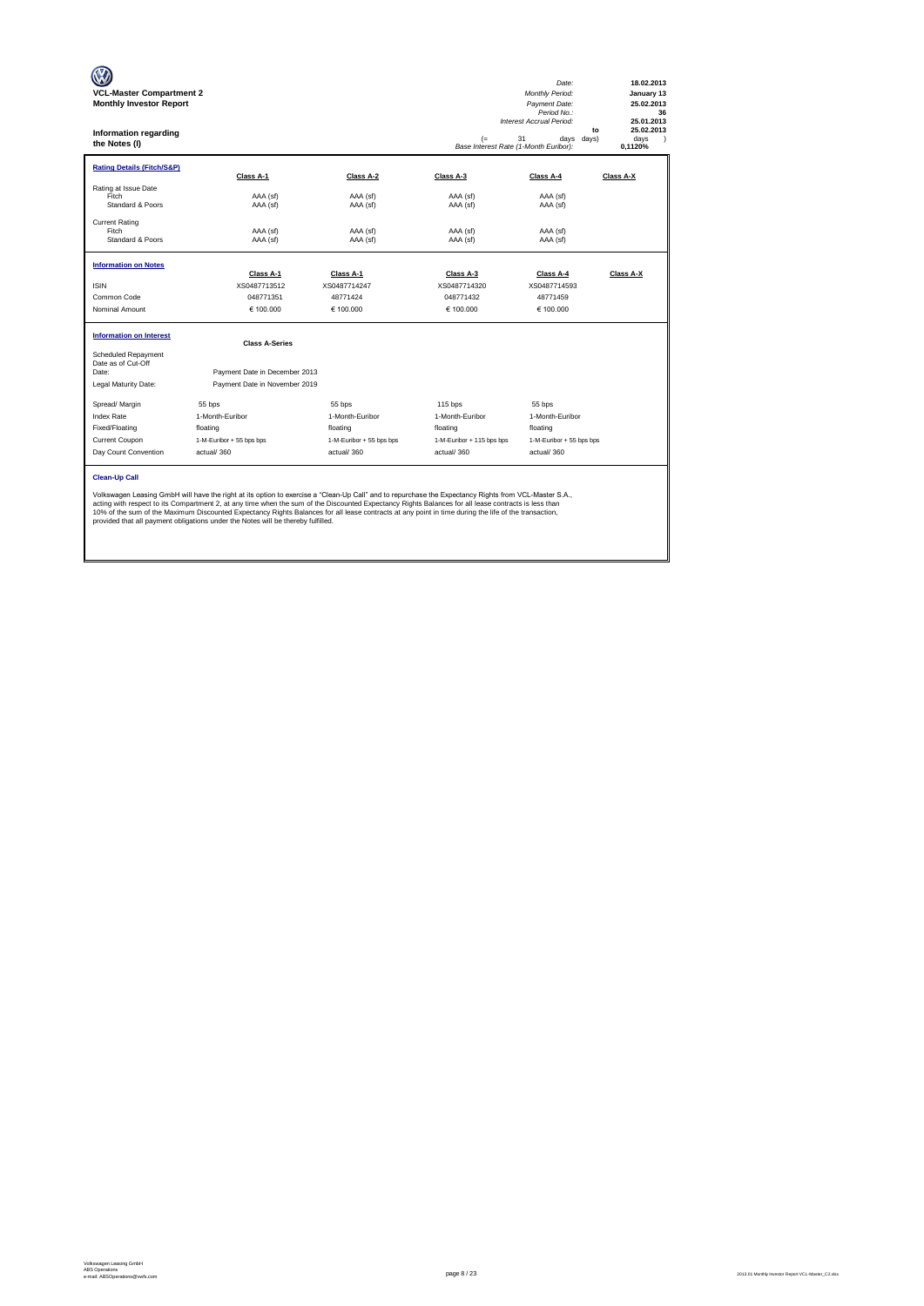| <b>VCL-Master Compartment 2</b><br><b>Monthly Investor Report</b><br>Information regarding<br>the Notes (I) |                                                                                                                                                                                                                                                                                                                                                                                                                                                                                                                                                           |                          | (=<br>Base Interest Rate (1-Month Euribor): | Date:<br>Monthly Period:<br>Payment Date:<br>Period No.:<br>Interest Accrual Period:<br>to<br>31<br>days<br>davs) | 18.02.2013<br>January 13<br>25.02.2013<br>36<br>25.01.2013<br>25.02.2013<br>davs<br>$\lambda$<br>0.1120% |
|-------------------------------------------------------------------------------------------------------------|-----------------------------------------------------------------------------------------------------------------------------------------------------------------------------------------------------------------------------------------------------------------------------------------------------------------------------------------------------------------------------------------------------------------------------------------------------------------------------------------------------------------------------------------------------------|--------------------------|---------------------------------------------|-------------------------------------------------------------------------------------------------------------------|----------------------------------------------------------------------------------------------------------|
| <b>Rating Details (Fitch/S&amp;P)</b>                                                                       | Class A-1                                                                                                                                                                                                                                                                                                                                                                                                                                                                                                                                                 | Class A-2                | Class A-3                                   | Class A-4                                                                                                         | Class A-X                                                                                                |
| Rating at Issue Date<br>Fitch<br>Standard & Poors                                                           | AAA (sf)<br>AAA (sf)                                                                                                                                                                                                                                                                                                                                                                                                                                                                                                                                      | AAA (sf)<br>AAA (sf)     | AAA (sf)<br>AAA (sf)                        | AAA (sf)<br>AAA (sf)                                                                                              |                                                                                                          |
| <b>Current Rating</b><br>Fitch<br>Standard & Poors                                                          | AAA (sf)<br>AAA (sf)                                                                                                                                                                                                                                                                                                                                                                                                                                                                                                                                      | AAA (sf)<br>AAA (sf)     | AAA (sf)<br>AAA (sf)                        | AAA (sf)<br>AAA (sf)                                                                                              |                                                                                                          |
| <b>Information on Notes</b>                                                                                 |                                                                                                                                                                                                                                                                                                                                                                                                                                                                                                                                                           |                          |                                             |                                                                                                                   |                                                                                                          |
|                                                                                                             | Class A-1                                                                                                                                                                                                                                                                                                                                                                                                                                                                                                                                                 | Class A-1                | Class A-3                                   | Class A-4                                                                                                         | Class A-X                                                                                                |
| <b>ISIN</b><br>Common Code                                                                                  | XS0487713512                                                                                                                                                                                                                                                                                                                                                                                                                                                                                                                                              | XS0487714247<br>48771424 | XS0487714320<br>048771432                   | XS0487714593                                                                                                      |                                                                                                          |
| Nominal Amount                                                                                              | 048771351<br>€ 100,000                                                                                                                                                                                                                                                                                                                                                                                                                                                                                                                                    | € 100.000                | € 100.000                                   | 48771459<br>€ 100.000                                                                                             |                                                                                                          |
| <b>Information on Interest</b>                                                                              | <b>Class A-Series</b>                                                                                                                                                                                                                                                                                                                                                                                                                                                                                                                                     |                          |                                             |                                                                                                                   |                                                                                                          |
| Scheduled Repayment<br>Date as of Cut-Off                                                                   |                                                                                                                                                                                                                                                                                                                                                                                                                                                                                                                                                           |                          |                                             |                                                                                                                   |                                                                                                          |
| Date:                                                                                                       | Payment Date in December 2013                                                                                                                                                                                                                                                                                                                                                                                                                                                                                                                             |                          |                                             |                                                                                                                   |                                                                                                          |
| Legal Maturity Date:                                                                                        | Payment Date in November 2019                                                                                                                                                                                                                                                                                                                                                                                                                                                                                                                             |                          |                                             |                                                                                                                   |                                                                                                          |
| Spread/ Margin                                                                                              | 55 bps                                                                                                                                                                                                                                                                                                                                                                                                                                                                                                                                                    | 55 bps                   | 115 bps                                     | 55 bps                                                                                                            |                                                                                                          |
| <b>Index Rate</b>                                                                                           | 1-Month-Euribor                                                                                                                                                                                                                                                                                                                                                                                                                                                                                                                                           | 1-Month-Euribor          | 1-Month-Euribor                             | 1-Month-Euribor                                                                                                   |                                                                                                          |
| Fixed/Floating                                                                                              | floating                                                                                                                                                                                                                                                                                                                                                                                                                                                                                                                                                  | floating                 | floating                                    | floating                                                                                                          |                                                                                                          |
| <b>Current Coupon</b>                                                                                       | 1-M-Euribor + 55 bps bps                                                                                                                                                                                                                                                                                                                                                                                                                                                                                                                                  | 1-M-Euribor + 55 bps bps | 1-M-Euribor + 115 bps bps                   | 1-M-Euribor + 55 bps bps                                                                                          |                                                                                                          |
| Day Count Convention                                                                                        | actual/360                                                                                                                                                                                                                                                                                                                                                                                                                                                                                                                                                | actual/360               | actual/360                                  | actual/360                                                                                                        |                                                                                                          |
| <b>Clean-Up Call</b>                                                                                        | Volkswagen Leasing GmbH will have the right at its option to exercise a "Clean-Up Call" and to repurchase the Expectancy Rights from VCL-Master S.A.,<br>acting with respect to its Compartment 2, at any time when the sum of the Discounted Expectancy Rights Balances for all lease contracts is less than<br>10% of the sum of the Maximum Discounted Expectancy Rights Balances for all lease contracts at any point in time during the life of the transaction,<br>provided that all payment obligations under the Notes will be thereby fulfilled. |                          |                                             |                                                                                                                   |                                                                                                          |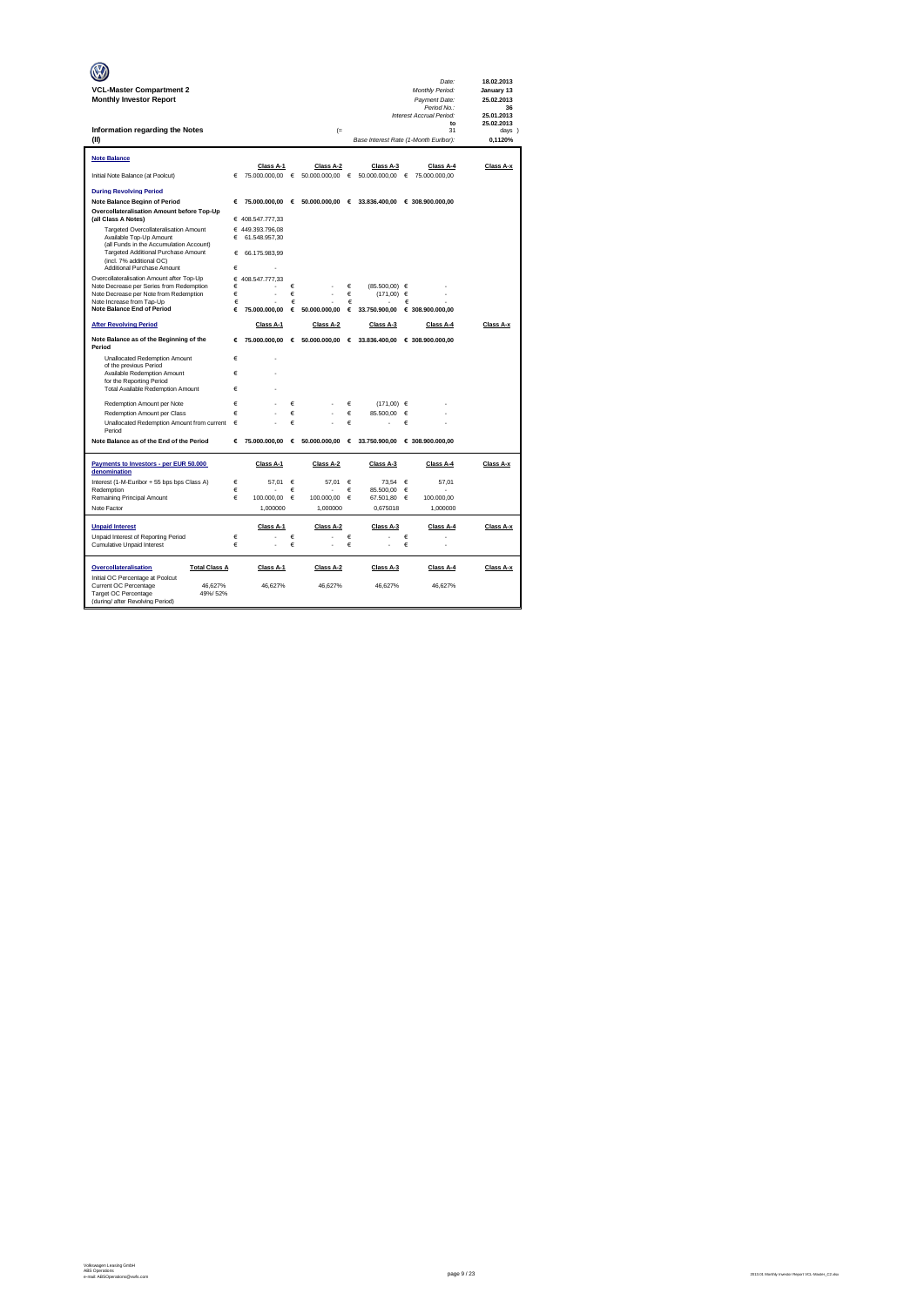|                                                                         |        |                                   |            |                                 |        |                                       |            | Date:                            | 18.02.2013               |
|-------------------------------------------------------------------------|--------|-----------------------------------|------------|---------------------------------|--------|---------------------------------------|------------|----------------------------------|--------------------------|
| <b>VCL-Master Compartment 2</b><br><b>Monthly Investor Report</b>       |        |                                   |            |                                 |        |                                       |            | Monthly Period:<br>Payment Date: | January 13<br>25.02.2013 |
|                                                                         |        |                                   |            |                                 |        |                                       |            | Period No.:                      | 36                       |
|                                                                         |        |                                   |            |                                 |        |                                       |            | Interest Accrual Period:<br>to   | 25.01.2013<br>25.02.2013 |
| Information regarding the Notes                                         |        |                                   |            | $(=$                            |        |                                       |            | 31                               | days 1                   |
| (II)                                                                    |        |                                   |            |                                 |        | Base Interest Rate (1-Month Euribor): |            |                                  | 0,1120%                  |
| <b>Note Balance</b>                                                     |        |                                   |            |                                 |        |                                       |            |                                  |                          |
|                                                                         |        | Class A-1                         |            | Class A-2                       |        | Class A-3                             |            | Class A-4                        | Class A-x                |
| Initial Note Balance (at Poolcut)                                       |        | € 75.000.000,00 € 50.000.000,00 € |            |                                 |        |                                       |            | 50.000.000,00  € 75.000.000,00   |                          |
| <b>During Revolving Period</b>                                          |        |                                   |            |                                 |        |                                       |            |                                  |                          |
| Note Balance Beginn of Period                                           | €      |                                   |            | 75.000.000,00 € 50.000.000,00 € |        |                                       |            | 33.836.400,00 € 308.900.000,00   |                          |
| Overcollateralisation Amount before Top-Up<br>(all Class A Notes)       |        | € 408.547.777,33                  |            |                                 |        |                                       |            |                                  |                          |
| Targeted Overcollateralisation Amount                                   |        | € 449.393.796,08                  |            |                                 |        |                                       |            |                                  |                          |
| Available Top-Up Amount<br>(all Funds in the Accumulation Account)      | €      | 61.548.957,30                     |            |                                 |        |                                       |            |                                  |                          |
| Targeted Additional Purchase Amount                                     | €      | 66.175.983.99                     |            |                                 |        |                                       |            |                                  |                          |
| (incl. 7% additional OC)                                                | €      |                                   |            |                                 |        |                                       |            |                                  |                          |
| Additional Purchase Amount<br>Overcollateralisation Amount after Top-Up |        | € 408.547.777,33                  |            |                                 |        |                                       |            |                                  |                          |
| Note Decrease per Series from Redemption                                | €      |                                   | €          |                                 | €      | (85,500,00) €                         |            |                                  |                          |
| Note Decrease per Note from Redemption<br>Note Increase from Tap-Up     | €<br>€ |                                   | €<br>€     |                                 | €<br>€ | (171,00)                              | €<br>€     |                                  |                          |
| <b>Note Balance End of Period</b>                                       | €      | 75,000,000,00                     | €          | 50.000.000.00                   | €      | 33.750.900,00                         |            | € 308.900.000,00                 |                          |
| <b>After Revolving Period</b>                                           |        | Class A-1                         |            | Class A-2                       |        | Class A-3                             |            | Class A-4                        | Class A-x                |
| Note Balance as of the Beginning of the                                 | €      | 75.000.000,00                     |            | € 50.000.000,00 € 33.836.400,00 |        |                                       |            | € 308.900.000,00                 |                          |
| Period                                                                  |        |                                   |            |                                 |        |                                       |            |                                  |                          |
| Unallocated Redemption Amount<br>of the previous Period                 | €      |                                   |            |                                 |        |                                       |            |                                  |                          |
| Available Redemption Amount                                             | €      |                                   |            |                                 |        |                                       |            |                                  |                          |
| for the Reporting Period<br>Total Available Redemption Amount           | €      |                                   |            |                                 |        |                                       |            |                                  |                          |
|                                                                         |        |                                   |            |                                 |        |                                       |            |                                  |                          |
| Redemption Amount per Note<br>Redemption Amount per Class               | €<br>Ë |                                   | €<br>€     |                                 | €<br>€ | $(171.00) \in$<br>85,500.00           | $\epsilon$ |                                  |                          |
| Unallocated Redemption Amount from current                              | €      |                                   | €          |                                 | €      |                                       | €          |                                  |                          |
| Period                                                                  |        |                                   |            |                                 |        |                                       |            |                                  |                          |
| Note Balance as of the End of the Period                                | €      | 75,000,000,00                     |            | € 50.000.000,00 € 33.750.900,00 |        |                                       |            | € 308,900,000,00                 |                          |
| Payments to Investors - per EUR 50.000<br>denomination                  |        | Class A-1                         |            | Class A-2                       |        | Class A-3                             |            | Class A-4                        | Class A-x                |
| Interest (1-M-Euribor + 55 bps bps Class A)                             | €      | 57,01                             | €          | 57,01                           | €      | 73,54                                 | €          | 57,01                            |                          |
| Redemption                                                              | €      |                                   | €          |                                 | €      | 85.500,00                             | €          |                                  |                          |
| Remaining Principal Amount                                              | €      | 100,000,00                        | $\epsilon$ | 100,000.00                      | €      | 67.501.80                             | $\epsilon$ | 100.000.00                       |                          |
| Note Factor                                                             |        | 1,000000                          |            | 1,000000                        |        | 0,675018                              |            | 1,000000                         |                          |
| <b>Unpaid Interest</b>                                                  |        | Class A-1                         |            | Class A-2                       |        | Class A-3                             |            | Class A-4                        | Class A-x                |
| Unpaid Interest of Reporting Period                                     | €      |                                   | €          |                                 | €      |                                       | €          |                                  |                          |
| Cumulative Unpaid Interest                                              | €      |                                   | €          | ż                               | €      | ä,                                    | €          |                                  |                          |
| <b>Total Class A</b><br>Overcollateralisation                           |        | Class A-1                         |            | Class A-2                       |        | Class A-3                             |            | Class A-4                        | Class A-x                |
| Initial OC Percentage at Poolcut                                        |        |                                   |            |                                 |        |                                       |            |                                  |                          |
| Current OC Percentage<br>46.627%<br>Target OC Percentage<br>49%/52%     |        | 46,627%                           |            | 46,627%                         |        | 46,627%                               |            | 46,627%                          |                          |
| (during/ after Revolving Period)                                        |        |                                   |            |                                 |        |                                       |            |                                  |                          |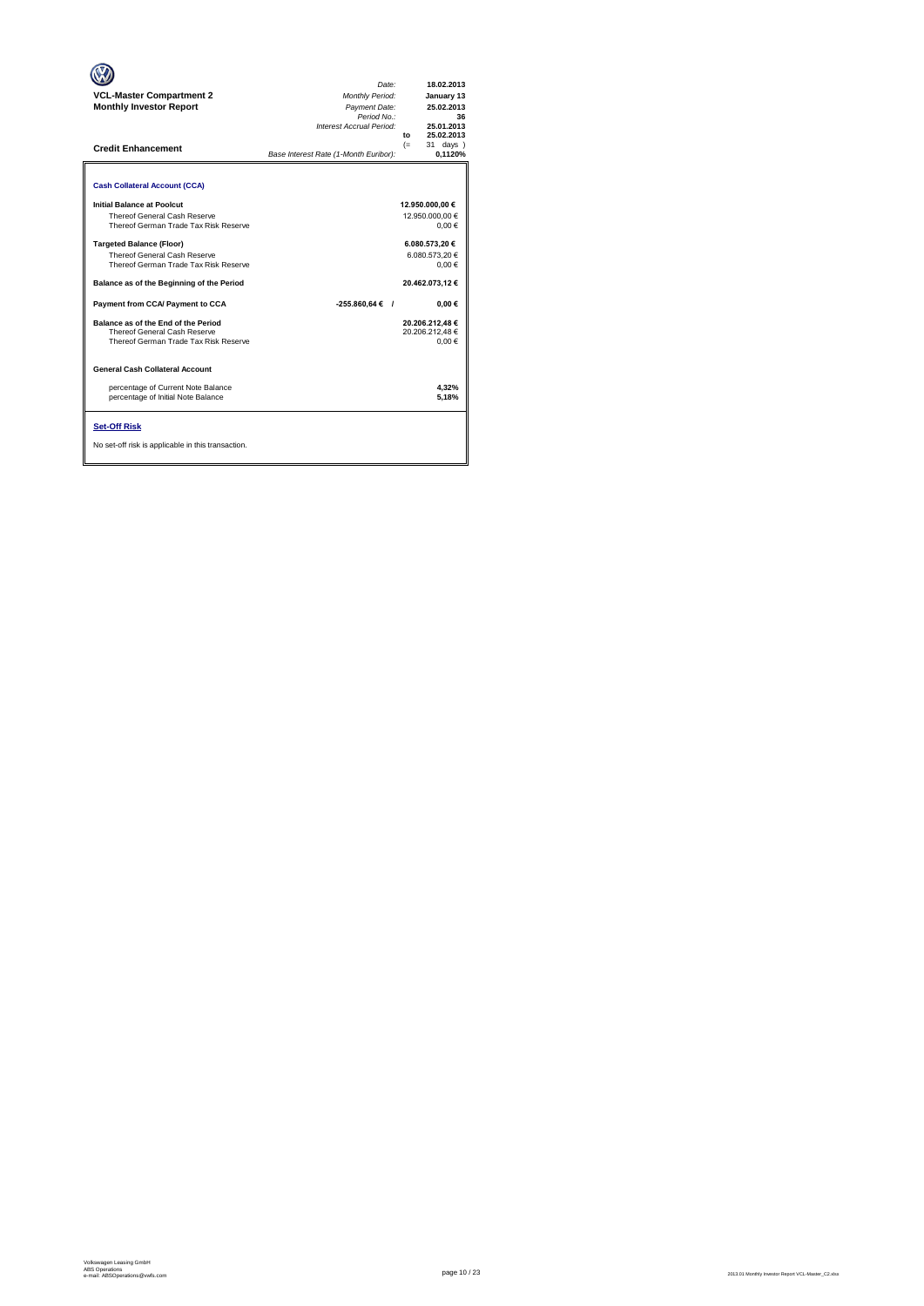| <b>VCL-Master Compartment 2</b><br><b>Monthly Investor Report</b><br><b>Credit Enhancement</b>                  | Date:<br>Monthly Period:<br>Payment Date:<br>Period No.:<br>Interest Accrual Period:<br>Base Interest Rate (1-Month Euribor): | 18.02.2013<br>January 13<br>25.02.2013<br>36<br>25.01.2013<br>25.02.2013<br>to<br>31 days )<br>$(=$<br>0.1120% |
|-----------------------------------------------------------------------------------------------------------------|-------------------------------------------------------------------------------------------------------------------------------|----------------------------------------------------------------------------------------------------------------|
| <b>Cash Collateral Account (CCA)</b>                                                                            |                                                                                                                               |                                                                                                                |
| Initial Balance at Poolcut<br>Thereof General Cash Reserve<br>Thereof German Trade Tax Risk Reserve             |                                                                                                                               | 12.950.000,00 €<br>12.950.000.00 €<br>$0,00 \in$                                                               |
| <b>Targeted Balance (Floor)</b><br><b>Thereof General Cash Reserve</b><br>Thereof German Trade Tax Risk Reserve |                                                                                                                               | 6.080.573,20 €<br>6.080.573.20€<br>$0.00 \in$                                                                  |
| Balance as of the Beginning of the Period                                                                       |                                                                                                                               | 20.462.073,12€                                                                                                 |
| Payment from CCA/ Payment to CCA                                                                                | $-255.860.64 \in$ /                                                                                                           | $0.00 \in$                                                                                                     |
| Balance as of the End of the Period<br>Thereof General Cash Reserve<br>Thereof German Trade Tax Risk Reserve    |                                                                                                                               | 20.206.212.48€<br>20.206.212.48€<br>0.00€                                                                      |
| <b>General Cash Collateral Account</b>                                                                          |                                                                                                                               |                                                                                                                |
| percentage of Current Note Balance<br>percentage of Initial Note Balance                                        |                                                                                                                               | 4.32%<br>5.18%                                                                                                 |
| <b>Set-Off Risk</b><br>No set-off risk is applicable in this transaction.                                       |                                                                                                                               |                                                                                                                |

**. . . .** Trigger Level 1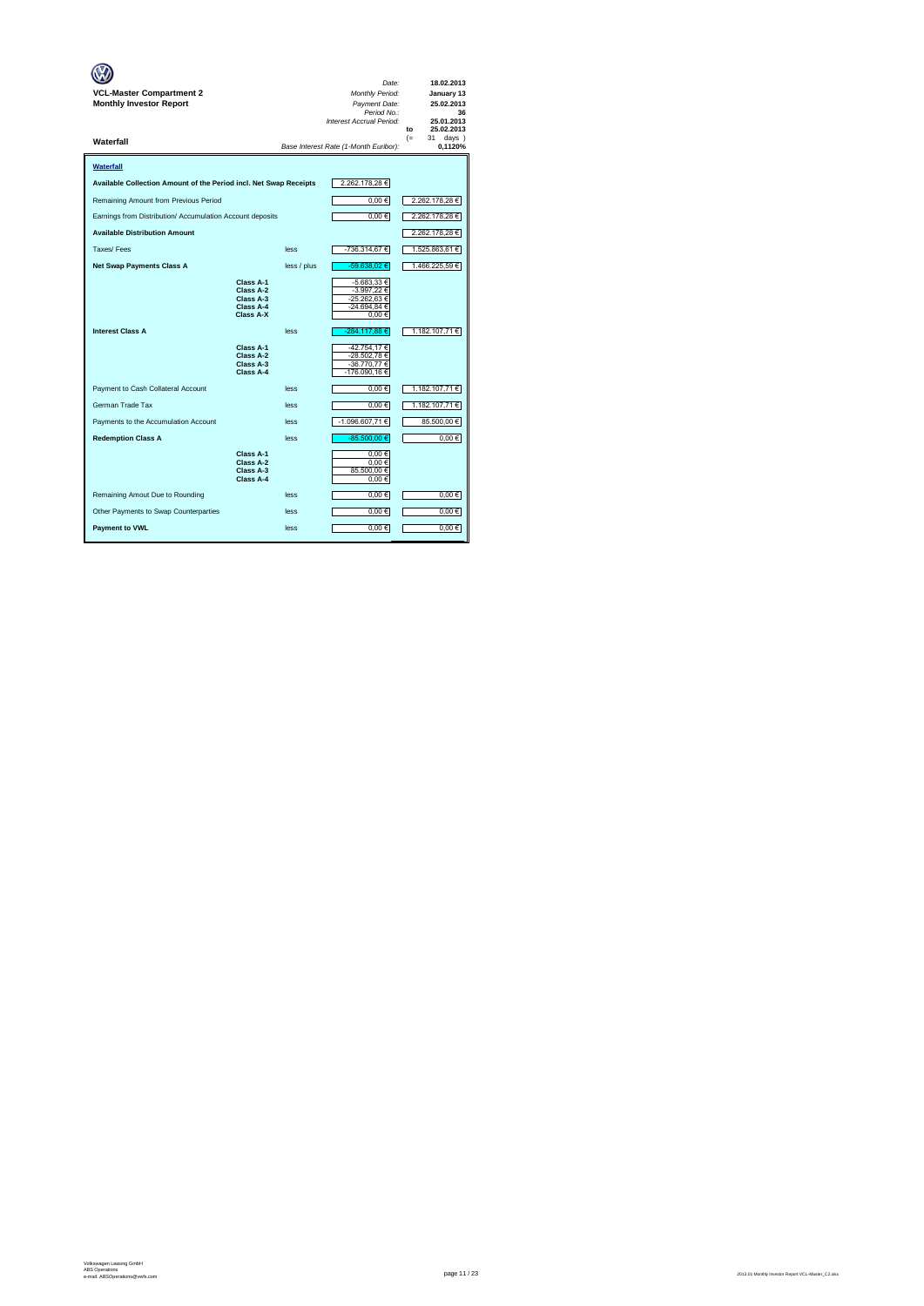| <b>VCL-Master Compartment 2</b><br><b>Monthly Investor Report</b> |                                                               |             | Date:<br>Monthly Period:<br>Payment Date:<br>Period No.:<br>Interest Accrual Period: | 18.02.2013<br>January 13<br>25.02.2013<br>36<br>25.01.2013<br>25.02.2013<br>to |
|-------------------------------------------------------------------|---------------------------------------------------------------|-------------|--------------------------------------------------------------------------------------|--------------------------------------------------------------------------------|
| Waterfall                                                         |                                                               |             | Base Interest Rate (1-Month Euribor):                                                | 31<br>$(=$<br>days )<br>0.1120%                                                |
| Waterfall                                                         |                                                               |             |                                                                                      |                                                                                |
| Available Collection Amount of the Period incl. Net Swap Receipts |                                                               |             | 2.262.178,28€                                                                        |                                                                                |
| Remaining Amount from Previous Period                             |                                                               |             | 0,00€                                                                                | 2.262.178,28 €                                                                 |
| Earnings from Distribution/ Accumulation Account deposits         |                                                               |             | $0,00 \in$                                                                           | 2.262.178,28€                                                                  |
| <b>Available Distribution Amount</b>                              |                                                               |             |                                                                                      | 2.262.178,28 €                                                                 |
| Taxes/Fees                                                        |                                                               | less        | -736.314,67€                                                                         | 1.525.863,61 €                                                                 |
| <b>Net Swap Payments Class A</b>                                  |                                                               | less / plus | -59.638.02 €                                                                         | 1.466.225,59 €                                                                 |
|                                                                   | Class A-1<br>Class A-2<br>Class A-3<br>Class A-4<br>Class A-X |             | -5.683,33 €<br>-3.997,22 €<br>-25.262,63€<br>-24.694,84 €<br>0,00€                   |                                                                                |
| <b>Interest Class A</b>                                           |                                                               | less        | -284.117,88 €                                                                        | 1.182.107,71€                                                                  |
|                                                                   | Class A-1<br>Class A-2<br>Class A-3<br>Class A-4              |             | -42.754,17€<br>-28.502,78€<br>-36.770,77€<br>-176.090,16€                            |                                                                                |
| Payment to Cash Collateral Account                                |                                                               | less        | $0,00 \in$                                                                           | 1.182.107,71€                                                                  |
| German Trade Tax                                                  |                                                               | less        | 0,00€                                                                                | 1.182.107,71€                                                                  |
| Payments to the Accumulation Account                              |                                                               | less        | -1.096.607,71€                                                                       | 85.500,00 €                                                                    |
| <b>Redemption Class A</b>                                         |                                                               | less        | $-85.500,00 \in$                                                                     | 0,00€                                                                          |
|                                                                   | Class A-1<br>Class A-2<br>Class A-3<br>Class A-4              |             | 0.00€<br>0.00€<br>85.500,00 €<br>0,00€                                               |                                                                                |
| Remaining Amout Due to Rounding                                   |                                                               | less        | 0,00€                                                                                | $0.00 \in$                                                                     |
| Other Payments to Swap Counterparties                             |                                                               | less        | $0.00 \in$                                                                           | 0.00€                                                                          |
| <b>Payment to VWL</b>                                             |                                                               | less        | $0,00 \in$                                                                           | $0,00 \in$                                                                     |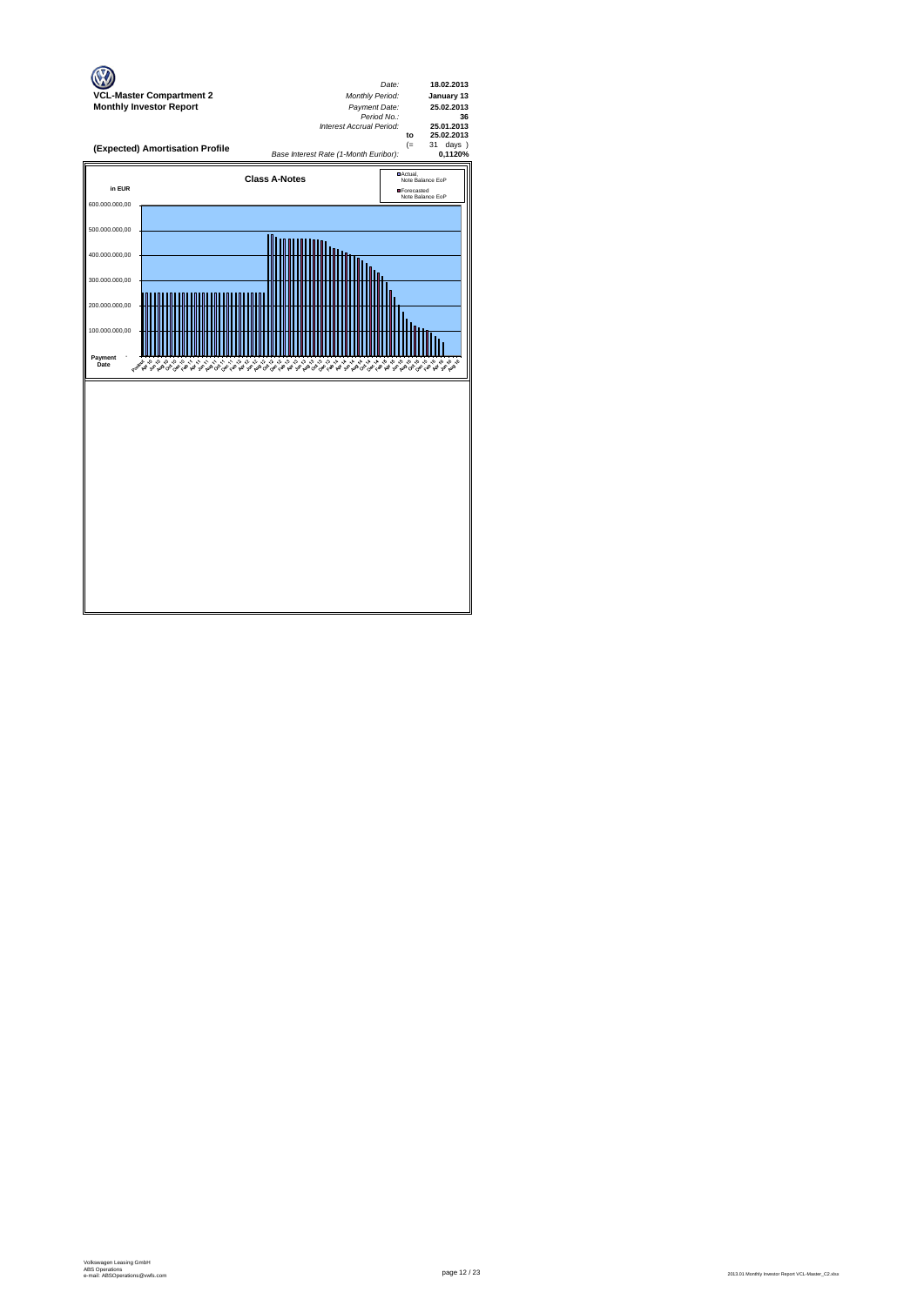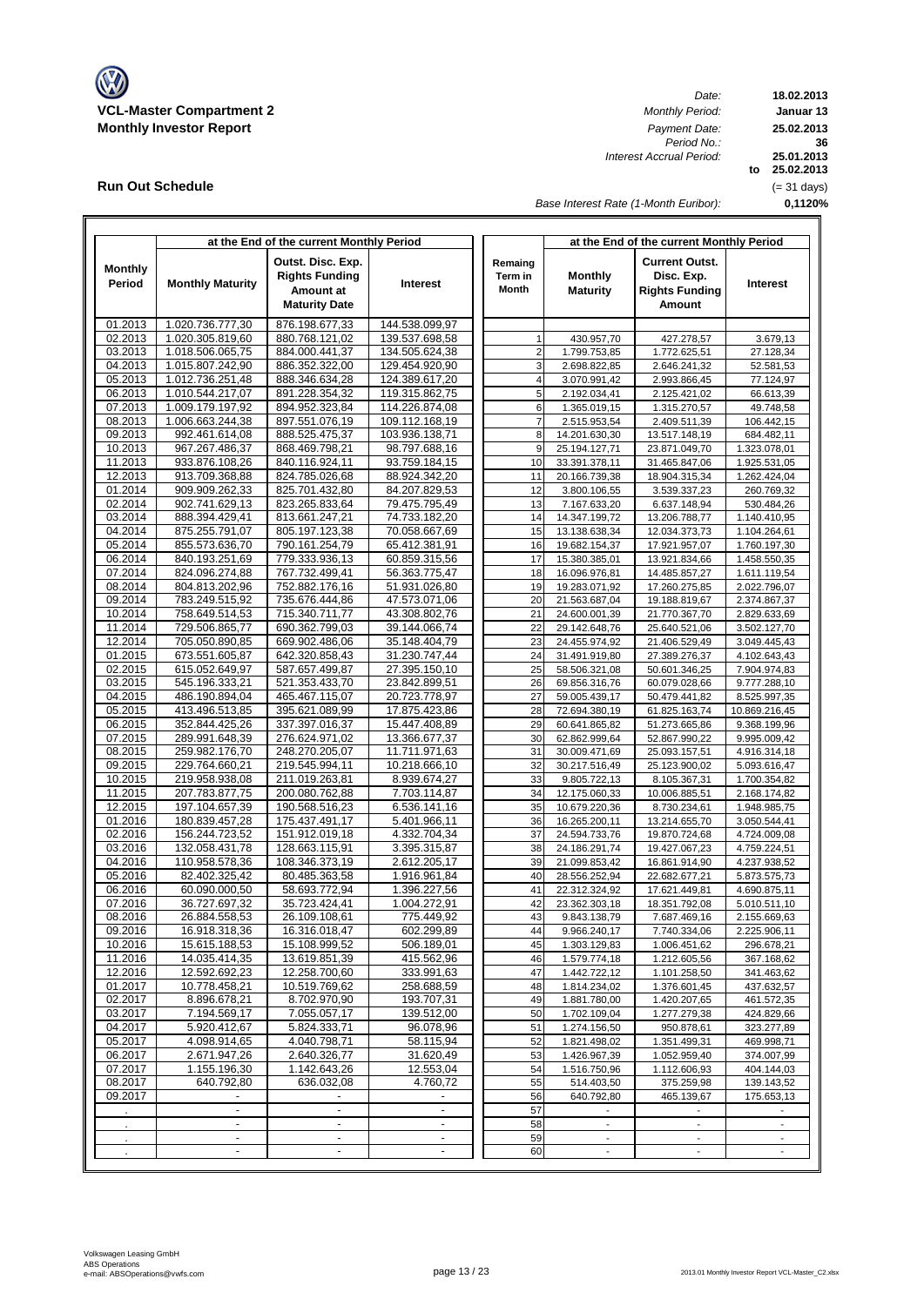

**Run Out Schedule**

*Date:*<br>*Monthly Period: Period No.: Interest Accrual Period:*

**18.02.2013 Januar 13 to 25.02.2013 0,1120% 36 25.02.2013 25.01.2013** (= 31 days)

*Base Interest Rate (1-Month Euribor):*

|                    |                                  | at the End of the current Monthly Period |                                |                | at the End of the current Monthly Period |                                |                              |  |  |  |
|--------------------|----------------------------------|------------------------------------------|--------------------------------|----------------|------------------------------------------|--------------------------------|------------------------------|--|--|--|
|                    |                                  | Outst. Disc. Exp.                        |                                | Remaing        |                                          | <b>Current Outst.</b>          |                              |  |  |  |
| <b>Monthly</b>     |                                  | <b>Rights Funding</b>                    |                                | Term in        | <b>Monthly</b>                           | Disc. Exp.                     |                              |  |  |  |
| Period             | <b>Monthly Maturity</b>          | Amount at                                | <b>Interest</b>                | <b>Month</b>   | <b>Maturity</b>                          | <b>Rights Funding</b>          | Interest                     |  |  |  |
|                    |                                  |                                          |                                |                |                                          | Amount                         |                              |  |  |  |
|                    |                                  | <b>Maturity Date</b>                     |                                |                |                                          |                                |                              |  |  |  |
| 01.2013            | 1.020.736.777,30                 | 876.198.677,33                           | 144.538.099,97                 |                |                                          |                                |                              |  |  |  |
| 02.2013            | 1.020.305.819,60                 | 880.768.121,02                           | 139.537.698,58                 |                | 430.957,70                               | 427.278,57                     | 3.679.13                     |  |  |  |
| 03.2013            | 1.018.506.065,75                 | 884.000.441,37                           | 134.505.624,38                 | $\sqrt{2}$     | 1.799.753,85                             | 1.772.625,51                   | 27.128,34                    |  |  |  |
| 04.2013            | 1.015.807.242,90                 | 886.352.322,00                           | 129.454.920,90                 | 3              | 2.698.822,85                             | 2.646.241,32                   | 52.581,53                    |  |  |  |
| 05.2013            | 1.012.736.251,48                 | 888.346.634,28                           | 124.389.617,20                 | $\overline{4}$ | 3.070.991,42                             | 2.993.866,45                   | 77.124,97                    |  |  |  |
| 06.2013            | 1.010.544.217,07                 | 891.228.354,32                           | 119.315.862,75                 | $\overline{5}$ | 2.192.034,41                             | 2.125.421,02                   | 66.613,39                    |  |  |  |
| 07.2013            | 1.009.179.197,92                 | 894.952.323,84                           | 114.226.874,08                 | 6              | 1.365.019,15                             | 1.315.270,57                   | 49.748,58                    |  |  |  |
| 08.2013            | 1.006.663.244,38                 | 897.551.076,19                           | 109.112.168,19                 | $\overline{7}$ | 2.515.953,54                             | 2.409.511,39                   | 106.442,15                   |  |  |  |
| 09.2013            | 992.461.614,08                   | 888.525.475,37                           | 103.936.138,71                 | 8              | 14.201.630,30                            | 13.517.148,19                  | 684.482,11                   |  |  |  |
| 10.2013            | 967.267.486,37                   | 868.469.798,21                           | 98.797.688,16                  | 9              | 25.194.127,71                            | 23.871.049,70                  | 1.323.078,01                 |  |  |  |
| 11.2013            | 933.876.108,26                   | 840.116.924,11                           | 93.759.184,15                  | 10             | 33.391.378,11                            | 31.465.847,06                  | 1.925.531,05                 |  |  |  |
| 12.2013            | 913.709.368,88                   | 824.785.026,68                           | 88.924.342,20                  | 11             | 20.166.739,38                            | 18.904.315,34                  | 1.262.424,04                 |  |  |  |
| 01.2014            | 909.909.262,33                   | 825.701.432,80                           | 84.207.829,53                  | 12             | 3.800.106,55                             | 3.539.337,23                   | 260.769,32                   |  |  |  |
| 02.2014            | 902.741.629,13                   | 823.265.833,64                           | 79.475.795,49                  | 13             | 7.167.633,20                             | 6.637.148,94                   | 530.484,26                   |  |  |  |
| 03.2014            | 888.394.429,41                   | 813.661.247,21                           | 74.733.182,20                  | 14             | 14.347.199,72                            | 13.206.788,77                  | 1.140.410,95                 |  |  |  |
| 04.2014            | 875.255.791,07                   | 805.197.123,38                           | 70.058.667,69                  | 15             | 13.138.638,34                            | 12.034.373,73<br>17.921.957,07 | 1.104.264,61                 |  |  |  |
| 05.2014<br>06.2014 | 855.573.636,70<br>840.193.251.69 | 790.161.254,79<br>779.333.936,13         | 65.412.381,91<br>60.859.315,56 | 16<br>17       | 19.682.154,37<br>15.380.385,01           | 13.921.834,66                  | 1.760.197,30                 |  |  |  |
| 07.2014            | 824.096.274,88                   | 767.732.499,41                           | 56.363.775,47                  | 18             | 16.096.976,81                            | 14.485.857,27                  | 1.458.550,35<br>1.611.119,54 |  |  |  |
| 08.2014            | 804.813.202,96                   | 752.882.176,16                           | 51.931.026,80                  | 19             | 19.283.071,92                            | 17.260.275,85                  | 2.022.796,07                 |  |  |  |
| 09.2014            | 783.249.515,92                   | 735.676.444,86                           | 47.573.071,06                  | 20             | 21.563.687,04                            | 19.188.819,67                  | 2.374.867,37                 |  |  |  |
| 10.2014            | 758.649.514,53                   | 715.340.711,77                           | 43.308.802,76                  | 21             | 24.600.001,39                            | 21.770.367,70                  | 2.829.633,69                 |  |  |  |
| 11.2014            | 729.506.865,77                   | 690.362.799,03                           | 39.144.066,74                  | 22             | 29.142.648,76                            | 25.640.521,06                  | 3.502.127,70                 |  |  |  |
| 12.2014            | 705.050.890,85                   | 669.902.486,06                           | 35.148.404,79                  | 23             | 24.455.974,92                            | 21.406.529,49                  | 3.049.445,43                 |  |  |  |
| 01.2015            | 673.551.605,87                   | 642.320.858,43                           | 31.230.747,44                  | 24             | 31.491.919,80                            | 27.389.276,37                  | 4.102.643,43                 |  |  |  |
| 02.2015            | 615.052.649,97                   | 587.657.499,87                           | 27.395.150,10                  | 25             | 58.506.321,08                            | 50.601.346,25                  | 7.904.974,83                 |  |  |  |
| 03.2015            | 545.196.333,21                   | 521.353.433,70                           | 23.842.899,51                  | 26             | 69.856.316,76                            | 60.079.028,66                  | 9.777.288,10                 |  |  |  |
| 04.2015            | 486.190.894,04                   | 465.467.115,07                           | 20.723.778,97                  | 27             | 59.005.439,17                            | 50.479.441,82                  | 8.525.997,35                 |  |  |  |
| 05.2015            | 413.496.513,85                   | 395.621.089,99                           | 17.875.423,86                  | 28             | 72.694.380,19                            | 61.825.163,74                  | 10.869.216,45                |  |  |  |
| 06.2015            | 352.844.425,26                   | 337.397.016,37                           | 15.447.408,89                  | 29             | 60.641.865,82                            | 51.273.665,86                  | 9.368.199,96                 |  |  |  |
| 07.2015            | 289.991.648,39                   | 276.624.971,02                           | 13.366.677,37                  | 30             | 62.862.999,64                            | 52.867.990,22                  | 9.995.009,42                 |  |  |  |
| 08.2015            | 259.982.176,70                   | 248.270.205,07                           | 11.711.971,63                  | 31             | 30.009.471,69                            | 25.093.157,51                  | 4.916.314,18                 |  |  |  |
| 09.2015            | 229.764.660,21                   | 219.545.994,11                           | 10.218.666,10                  | 32             | 30.217.516,49                            | 25.123.900,02                  | 5.093.616,47                 |  |  |  |
| 10.2015            | 219.958.938,08                   | 211.019.263,81                           | 8.939.674,27                   | 33             | 9.805.722,13                             | 8.105.367,31                   | 1.700.354,82                 |  |  |  |
| 11.2015            | 207.783.877,75                   | 200.080.762,88                           | 7.703.114,87                   | 34             | 12.175.060,33                            | 10.006.885,51                  | 2.168.174,82                 |  |  |  |
| 12.2015            | 197.104.657,39                   | 190.568.516,23                           | 6.536.141,16                   | 35             | 10.679.220,36                            | 8.730.234,61                   | 1.948.985,75                 |  |  |  |
| 01.2016            | 180.839.457,28                   | 175.437.491,17                           | 5.401.966,11                   | 36             | 16.265.200,11                            | 13.214.655,70                  | 3.050.544,41                 |  |  |  |
| 02.2016            | 156.244.723,52                   | 151.912.019,18                           | 4.332.704,34                   | 37             | 24.594.733,76                            | 19.870.724,68                  | 4.724.009,08                 |  |  |  |
| 03.2016            | 132.058.431,78                   | 128.663.115,91                           | 3.395.315,87                   | 38             | 24.186.291,74                            | 19.427.067,23                  | 4.759.224,51                 |  |  |  |
| 04.2016            | 110.958.578,36                   | 108.346.373,19                           | 2.612.205,17                   | 39             | 21.099.853,42                            | 16.861.914,90                  | 4.237.938,52                 |  |  |  |
| 05.2016            | 82.402.325,42                    | 80.485.363,58                            | 1.916.961,84                   | 40             | 28.556.252,94                            | 22.682.677,21                  | 5.873.575,73                 |  |  |  |
| 06.2016            | 60.090.000,50                    | 58.693.772,94                            | 1.396.227,56                   | 41             | 22.312.324,92                            | 17.621.449,81                  | 4.690.875,11                 |  |  |  |
| 07.2016            | 36.727.697,32<br>26.884.558,53   | 35.723.424,41                            | 1.004.272,91<br>775.449,92     | 42<br>43       | 23.362.303,18                            | 18.351.792,08                  | 5.010.511,10                 |  |  |  |
| 08.2016<br>09.2016 | 16.918.318.36                    | 26.109.108,61<br>16.316.018.47           | 602.299.89                     | 44             | 9.843.138,79<br>9.966.240.17             | 7.687.469,16<br>7.740.334.06   | 2.155.669,63<br>2.225.906.11 |  |  |  |
| 10.2016            | 15.615.188,53                    | 15.108.999,52                            | 506.189,01                     | 45             | 1.303.129,83                             | 1.006.451,62                   | 296.678,21                   |  |  |  |
| 11.2016            | 14.035.414,35                    | 13.619.851,39                            | 415.562,96                     | 46             | 1.579.774,18                             | 1.212.605,56                   | 367.168,62                   |  |  |  |
| 12.2016            | 12.592.692,23                    | 12.258.700,60                            | 333.991,63                     | 47             | 1.442.722,12                             | 1.101.258,50                   | 341.463,62                   |  |  |  |
| 01.2017            | 10.778.458,21                    | 10.519.769,62                            | 258.688,59                     | 48             | 1.814.234,02                             | 1.376.601,45                   | 437.632,57                   |  |  |  |
| 02.2017            | 8.896.678,21                     | 8.702.970,90                             | 193.707,31                     | 49             | 1.881.780,00                             | 1.420.207,65                   | 461.572,35                   |  |  |  |
| 03.2017            | 7.194.569,17                     | 7.055.057,17                             | 139.512,00                     | 50             | 1.702.109,04                             | 1.277.279,38                   | 424.829,66                   |  |  |  |
| 04.2017            | 5.920.412,67                     | 5.824.333,71                             | 96.078,96                      | 51             | 1.274.156,50                             | 950.878,61                     | 323.277,89                   |  |  |  |
| 05.2017            | 4.098.914,65                     | 4.040.798,71                             | 58.115,94                      | 52             | 1.821.498,02                             | 1.351.499,31                   | 469.998,71                   |  |  |  |
| 06.2017            | 2.671.947,26                     | 2.640.326,77                             | 31.620,49                      | 53             | 1.426.967,39                             | 1.052.959,40                   | 374.007,99                   |  |  |  |
| 07.2017            | 1.155.196,30                     | 1.142.643,26                             | 12.553,04                      | 54             | 1.516.750,96                             | 1.112.606,93                   | 404.144,03                   |  |  |  |
| 08.2017            | 640.792,80                       | 636.032,08                               | 4.760,72                       | 55             | 514.403,50                               | 375.259,98                     | 139.143,52                   |  |  |  |
| 09.2017            |                                  |                                          |                                | 56             | 640.792,80                               | 465.139,67                     | 175.653,13                   |  |  |  |
|                    | $\overline{a}$                   | $\overline{\phantom{a}}$                 | $\overline{\phantom{a}}$       | 57             |                                          |                                |                              |  |  |  |
|                    | $\overline{a}$                   | $\overline{\phantom{a}}$                 | $\overline{\phantom{a}}$       | 58             | $\blacksquare$                           | $\blacksquare$                 | $\overline{\phantom{a}}$     |  |  |  |
|                    | $\overline{\phantom{a}}$         | $\overline{\phantom{a}}$                 | $\blacksquare$                 | 59             | $\blacksquare$                           |                                |                              |  |  |  |
|                    | $\overline{a}$                   | $\overline{\phantom{a}}$                 | $\blacksquare$                 | 60             | $\overline{\phantom{a}}$                 |                                |                              |  |  |  |
|                    |                                  |                                          |                                |                |                                          |                                |                              |  |  |  |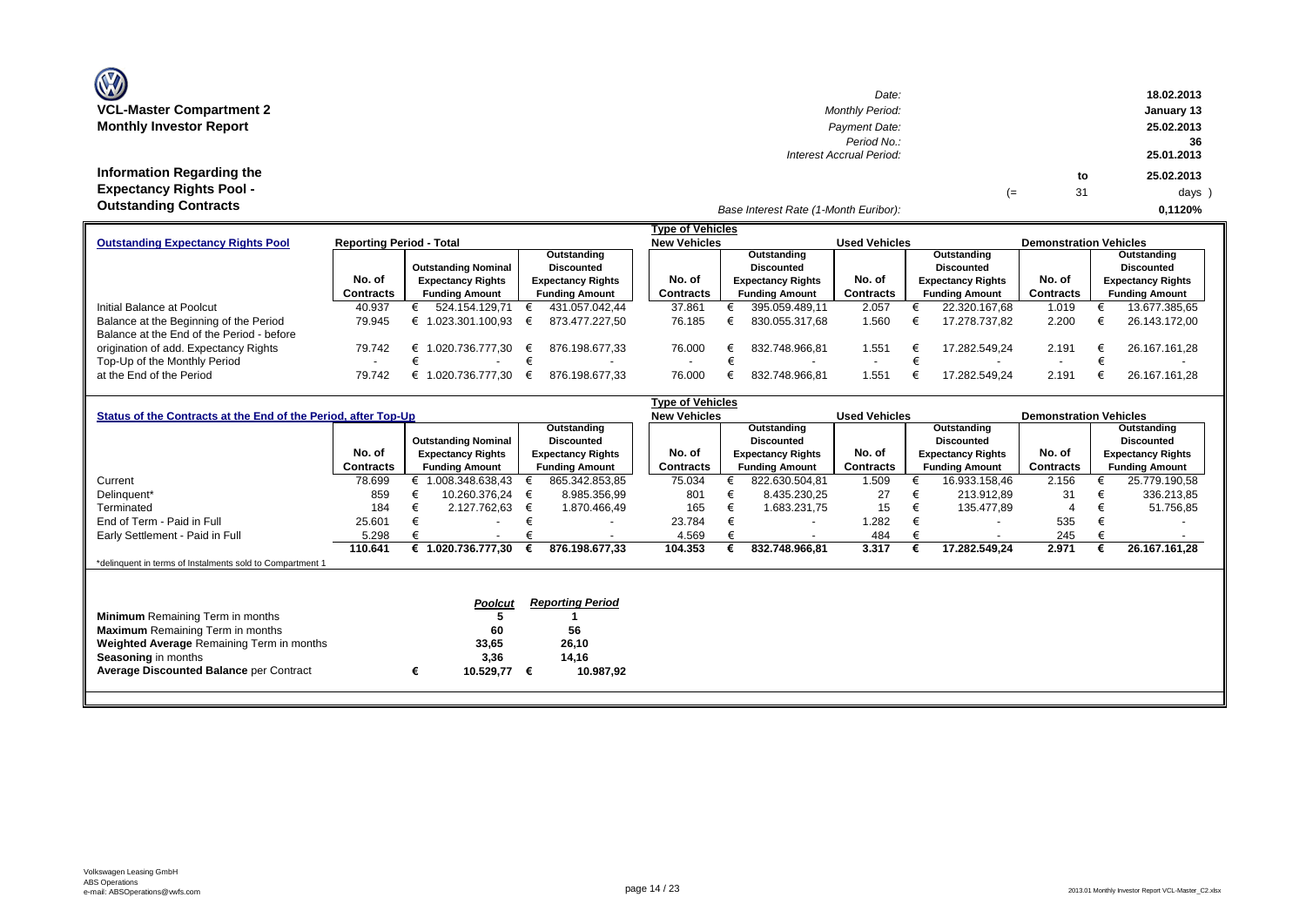# **Information Regarding the Expectancy Rights Pool -**

| Date:                                                    |    |    | 18.02.2013                     |
|----------------------------------------------------------|----|----|--------------------------------|
| <b>Monthly Period:</b>                                   |    |    | January 13                     |
| Payment Date:<br>Period No.:<br>Interest Accrual Period: |    |    | 25.02.2013<br>36<br>25.01.2013 |
|                                                          |    | to | 25.02.2013                     |
|                                                          | (≕ | 31 | $days$ )                       |
|                                                          |    |    |                                |

#### *Base Interest Rate (1-Month Euribor):* **Outstanding Contracts 0,1120%**

|                                           |                                 |                                                 |                          | Tvpe of Vehicles         |                          |                          |                          |                               |                          |
|-------------------------------------------|---------------------------------|-------------------------------------------------|--------------------------|--------------------------|--------------------------|--------------------------|--------------------------|-------------------------------|--------------------------|
| <b>Outstanding Expectancy Rights Pool</b> | <b>Reporting Period - Total</b> |                                                 |                          | <b>New Vehicles</b>      |                          | <b>Used Vehicles</b>     |                          | <b>Demonstration Vehicles</b> |                          |
|                                           |                                 |                                                 | Outstanding              |                          | Outstanding              |                          | Outstanding              |                               | Outstanding              |
|                                           |                                 | <b>Outstanding Nominal</b><br><b>Discounted</b> |                          |                          | <b>Discounted</b>        |                          | Discounted               | <b>Discounted</b>             |                          |
|                                           | No. of                          | <b>Expectancy Rights</b>                        | <b>Expectancy Rights</b> | No. of                   | <b>Expectancy Rights</b> | No. of                   | <b>Expectancy Rights</b> | No. of                        | <b>Expectancy Rights</b> |
|                                           | <b>Contracts</b>                | <b>Funding Amount</b>                           | <b>Funding Amount</b>    | <b>Contracts</b>         | <b>Funding Amount</b>    | <b>Contracts</b>         | <b>Funding Amount</b>    | Contracts                     | <b>Funding Amount</b>    |
| Initial Balance at Poolcut                | 40.937                          | 524.154.129.71                                  | 431.057.042.44           | 37.861                   | 395.059.489.11           | 2.057                    | 22.320.167.68            | 1.019                         | 13.677.385,65            |
| Balance at the Beginning of the Period    | 79.945                          | 1.023.301.100.93                                | 873.477.227.50           | 76.185                   | 830.055.317.68           | 1.560                    | 17.278.737.82            | 2.200                         | 26.143.172.00            |
| Balance at the End of the Period - before |                                 |                                                 |                          |                          |                          |                          |                          |                               |                          |
| origination of add. Expectancy Rights     | 79.742                          | 1.020.736.777.30 €                              | 876.198.677.33           | 76.000                   | 832.748.966.81           | 1.551                    | 17.282.549.24            | 2.191                         | 26.167.161.28            |
| Top-Up of the Monthly Period              |                                 |                                                 |                          | $\overline{\phantom{a}}$ |                          | $\overline{\phantom{a}}$ |                          | $\overline{\phantom{a}}$      |                          |
| at the End of the Period                  | 79.742                          | 1.020.736.777.30                                | 876.198.677.33           | 76.000                   | 832.748.966.81           | 551ء ا                   | 17.282.549.24            | 2.191                         | 26.167.161.28            |

|                                                                |                  |   |                            |                   |                                    | Type of Vehicles |                          |  |                       |                          |                       |                          |                               |  |                       |
|----------------------------------------------------------------|------------------|---|----------------------------|-------------------|------------------------------------|------------------|--------------------------|--|-----------------------|--------------------------|-----------------------|--------------------------|-------------------------------|--|-----------------------|
| Status of the Contracts at the End of the Period, after Top-Up |                  |   |                            |                   |                                    |                  | <b>New Vehicles</b>      |  |                       | <b>Used Vehicles</b>     |                       |                          | <b>Demonstration Vehicles</b> |  |                       |
|                                                                |                  |   |                            |                   | Outstanding                        |                  |                          |  | Outstanding           |                          | Outstanding           |                          |                               |  | Outstanding           |
|                                                                |                  |   | <b>Outstanding Nominal</b> | <b>Discounted</b> |                                    |                  |                          |  | <b>Discounted</b>     |                          | <b>Discounted</b>     |                          |                               |  | <b>Discounted</b>     |
|                                                                | No. of           |   | <b>Expectancy Rights</b>   |                   | No. of<br><b>Expectancy Rights</b> |                  | <b>Expectancy Rights</b> |  | No. of                | <b>Expectancy Rights</b> |                       | No. of                   | <b>Expectancy Rights</b>      |  |                       |
|                                                                | <b>Contracts</b> |   | <b>Funding Amount</b>      |                   | <b>Funding Amount</b>              | Contracts        |                          |  | <b>Funding Amount</b> | <b>Contracts</b>         | <b>Funding Amount</b> |                          | <b>Contracts</b>              |  | <b>Funding Amount</b> |
| Current                                                        | 78.699           |   | € 1.008.348.638,43         |                   | 865.342.853,85                     | 75.034           |                          |  | 822.630.504,81        | 1.509                    |                       | 16.933.158,46            | 2.156                         |  | 25.779.190,58         |
| Delinquent*                                                    | 859              |   | 10.260.376.24              | €                 | 8.985.356,99                       |                  | 801                      |  | 8.435.230,25          | 27                       | €                     | 213.912,89               | 31                            |  | 336.213,85            |
| Terminated                                                     | 184              | € | 2.127.762,63               | €                 | 1.870.466,49                       |                  | 165                      |  | 1.683.231,75          | 15                       | €                     | 135.477,89               | 4                             |  | 51.756,85             |
| End of Term - Paid in Full                                     | 25.601           |   |                            |                   |                                    | 23.784           |                          |  |                       | .282                     |                       |                          | 535                           |  |                       |
| Early Settlement - Paid in Full                                | 5.298            |   | $\overline{\phantom{a}}$   |                   |                                    |                  | 4.569                    |  |                       | 484                      |                       | $\overline{\phantom{a}}$ | 245                           |  |                       |
|                                                                | 110.641          |   | 1.020.736.777.30           |                   | 876.198.677,33                     | 104.353          |                          |  | 832.748.966,81        | 3.317                    |                       | 17.282.549,24            | 2.971                         |  | 26.167.161,28         |
| *delinquent in terms of Instalments sold to Compartment 1      |                  |   |                            |                   |                                    |                  |                          |  |                       |                          |                       |                          |                               |  |                       |
|                                                                |                  |   |                            |                   |                                    |                  |                          |  |                       |                          |                       |                          |                               |  |                       |
|                                                                |                  |   |                            |                   |                                    |                  |                          |  |                       |                          |                       |                          |                               |  |                       |
|                                                                |                  |   | <b>Poolcut</b>             |                   | <b>Reporting Period</b>            |                  |                          |  |                       |                          |                       |                          |                               |  |                       |
| <b>Minimum</b> Remaining Term in months                        |                  |   |                            |                   |                                    |                  |                          |  |                       |                          |                       |                          |                               |  |                       |
| <b>Maximum</b> Remaining Term in months                        |                  |   | 60                         |                   | 56                                 |                  |                          |  |                       |                          |                       |                          |                               |  |                       |
| <b>Weighted Average Remaining Term in months</b>               |                  |   | 33,65                      |                   | 26,10                              |                  |                          |  |                       |                          |                       |                          |                               |  |                       |
| <b>Seasoning in months</b>                                     |                  |   | 3,36                       |                   | 14,16                              |                  |                          |  |                       |                          |                       |                          |                               |  |                       |
| <b>Average Discounted Balance per Contract</b>                 |                  | € | 10.529,77                  | €                 | 10.987,92                          |                  |                          |  |                       |                          |                       |                          |                               |  |                       |
|                                                                |                  |   |                            |                   |                                    |                  |                          |  |                       |                          |                       |                          |                               |  |                       |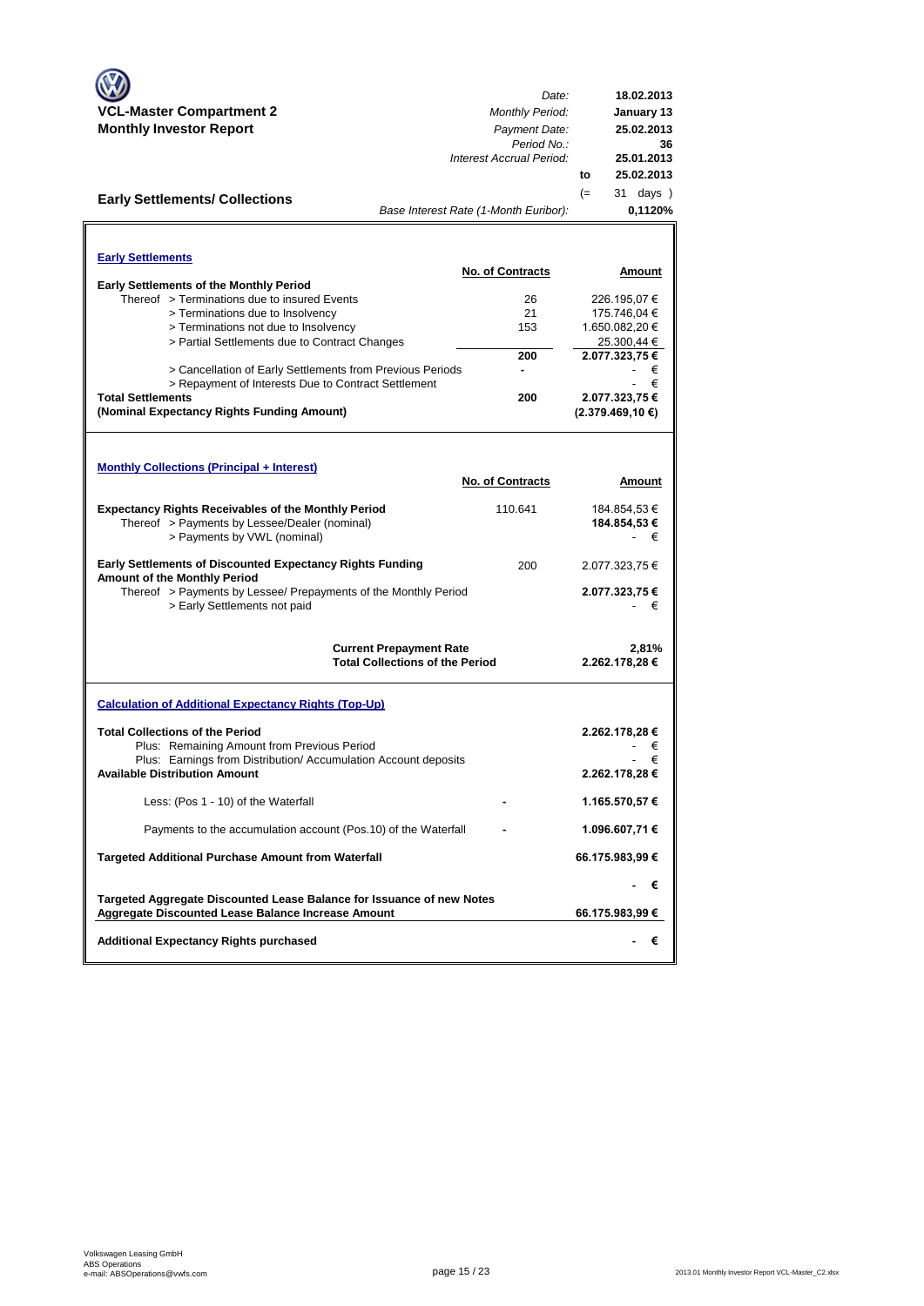| VCL-Master Compartment 2<br><b>Monthly Investor Report</b><br><b>Early Settlements/ Collections</b>                                                                                              | Date:<br><b>Monthly Period:</b><br>Payment Date:<br>Period No.:<br>Interest Accrual Period: | 18.02.2013<br>January 13<br>25.02.2013<br>36<br>25.01.2013<br>25.02.2013<br>to<br>$(=$<br>31 days ) |
|--------------------------------------------------------------------------------------------------------------------------------------------------------------------------------------------------|---------------------------------------------------------------------------------------------|-----------------------------------------------------------------------------------------------------|
|                                                                                                                                                                                                  | Base Interest Rate (1-Month Euribor):                                                       | 0,1120%                                                                                             |
| <b>Early Settlements</b>                                                                                                                                                                         | <b>No. of Contracts</b>                                                                     | Amount                                                                                              |
| <b>Early Settlements of the Monthly Period</b>                                                                                                                                                   |                                                                                             |                                                                                                     |
| Thereof > Terminations due to insured Events                                                                                                                                                     | 26                                                                                          | 226.195,07 €                                                                                        |
| > Terminations due to Insolvency                                                                                                                                                                 | 21                                                                                          | 175.746,04 €                                                                                        |
| > Terminations not due to Insolvency                                                                                                                                                             | 153                                                                                         | 1.650.082,20 €                                                                                      |
| > Partial Settlements due to Contract Changes                                                                                                                                                    |                                                                                             | 25.300,44 €                                                                                         |
|                                                                                                                                                                                                  | 200                                                                                         | 2.077.323,75 €                                                                                      |
| > Cancellation of Early Settlements from Previous Periods<br>> Repayment of Interests Due to Contract Settlement                                                                                 | ۰                                                                                           | €<br>€                                                                                              |
| <b>Total Settlements</b>                                                                                                                                                                         | 200                                                                                         | 2.077.323,75 €                                                                                      |
| (Nominal Expectancy Rights Funding Amount)                                                                                                                                                       |                                                                                             | (2.379.469, 10€)                                                                                    |
| <b>Monthly Collections (Principal + Interest)</b>                                                                                                                                                |                                                                                             |                                                                                                     |
|                                                                                                                                                                                                  | <b>No. of Contracts</b>                                                                     | Amount                                                                                              |
| <b>Expectancy Rights Receivables of the Monthly Period</b><br>Thereof > Payments by Lessee/Dealer (nominal)<br>> Payments by VWL (nominal)                                                       | 110.641                                                                                     | 184.854,53 €<br>184.854,53 €<br>- €                                                                 |
| <b>Early Settlements of Discounted Expectancy Rights Funding</b><br>Amount of the Monthly Period                                                                                                 | 200                                                                                         | 2.077.323,75 €                                                                                      |
| Thereof > Payments by Lessee/ Prepayments of the Monthly Period<br>> Early Settlements not paid                                                                                                  |                                                                                             | 2.077.323,75 €<br>€                                                                                 |
|                                                                                                                                                                                                  | <b>Current Prepayment Rate</b><br><b>Total Collections of the Period</b>                    | 2,81%<br>2.262.178,28 €                                                                             |
| <b>Calculation of Additional Expectancy Rights (Top-Up)</b>                                                                                                                                      |                                                                                             |                                                                                                     |
| <b>Total Collections of the Period</b><br>Plus: Remaining Amount from Previous Period<br>Plus: Earnings from Distribution/ Accumulation Account deposits<br><b>Available Distribution Amount</b> |                                                                                             | 2.262.178,28 €<br>€<br>2.262.178,28 €                                                               |
| Less: (Pos 1 - 10) of the Waterfall                                                                                                                                                              |                                                                                             | 1.165.570,57 €                                                                                      |
| Payments to the accumulation account (Pos.10) of the Waterfall                                                                                                                                   |                                                                                             | 1.096.607,71 €                                                                                      |
| <b>Targeted Additional Purchase Amount from Waterfall</b>                                                                                                                                        |                                                                                             | 66.175.983,99 €                                                                                     |
|                                                                                                                                                                                                  |                                                                                             | - €                                                                                                 |
| Targeted Aggregate Discounted Lease Balance for Issuance of new Notes<br><b>Aggregate Discounted Lease Balance Increase Amount</b>                                                               |                                                                                             | 66.175.983,99 €                                                                                     |
| <b>Additional Expectancy Rights purchased</b>                                                                                                                                                    |                                                                                             | €                                                                                                   |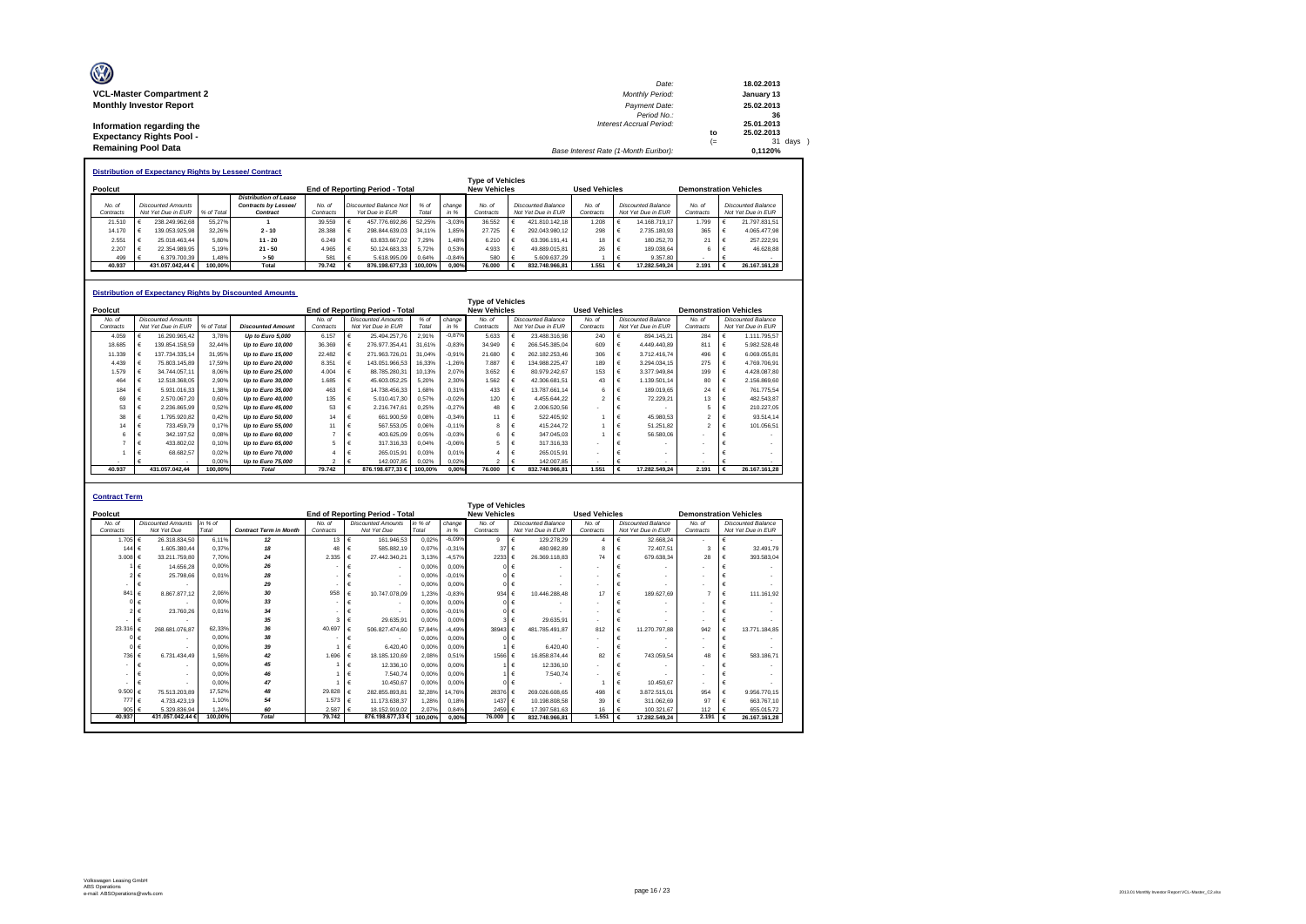| O                               | Date:                                 |      | 18.02.2013 |
|---------------------------------|---------------------------------------|------|------------|
| <b>VCL-Master Compartment 2</b> | <b>Monthly Period:</b>                |      | January 13 |
| <b>Monthly Investor Report</b>  | Payment Date:                         |      | 25.02.2013 |
|                                 | Period No.:                           |      | 36         |
| Information regarding the       | <b>Interest Accrual Period:</b>       |      | 25.01.2013 |
| <b>Expectancy Rights Pool -</b> |                                       | to   | 25.02.2013 |
|                                 |                                       | $(=$ | 31 days    |
| <b>Remaining Pool Data</b>      | Base Interest Rate (1-Month Euribor): |      | 0.1120%    |

|           | <b>Distribution of Expectancy Rights by Lessee/ Contract</b> |  |                           |            |                              |           |  |                                        |         |          |                         |  |                    |                      |  |                    |                               |                    |
|-----------|--------------------------------------------------------------|--|---------------------------|------------|------------------------------|-----------|--|----------------------------------------|---------|----------|-------------------------|--|--------------------|----------------------|--|--------------------|-------------------------------|--------------------|
|           |                                                              |  |                           |            |                              |           |  |                                        |         |          | <b>Type of Vehicles</b> |  |                    |                      |  |                    |                               |                    |
| Poolcut   |                                                              |  |                           |            |                              |           |  | <b>End of Reporting Period - Total</b> |         |          | <b>New Vehicles</b>     |  |                    | <b>Used Vehicles</b> |  |                    | <b>Demonstration Vehicles</b> |                    |
|           |                                                              |  |                           |            | <b>Distribution of Lease</b> |           |  |                                        |         |          |                         |  |                    |                      |  |                    |                               |                    |
| No. of    |                                                              |  | <b>Discounted Amounts</b> |            | Contracts by Lessee/         | No at     |  | Discounted Balance Not                 | $%$ of  | change   | No of                   |  | Discounted Balance | No of                |  | Discounted Balance | No of                         | Discounted Balance |
| Contracts |                                                              |  | Not Yet Due in EUR        | % of Total | Contract                     | Contracts |  | Yet Due in EUR                         | Total   | in %     | Contracts               |  | Not Yet Due in EUR | Contracts            |  | Not Yet Due in EUR | Contracts                     | Not Yet Due in EUR |
|           | 21.510                                                       |  | 238.249.962.68            | 55.27%     |                              | 39.559    |  | 457.776.692.86                         | 52.25%  | $-3.03%$ | 36,552                  |  | 421.810.142.18     | 1.208                |  | 14.168.719.17      | 1.799                         | 21.797.831.51      |
|           | 14.170                                                       |  | 139.053.925.98            | 32.26%     | $2 - 10$                     | 28.388    |  | 298.844.639.03                         | 34 11%  | 1.85%    | 27.725                  |  | 292.043.980.12     | 298                  |  | 2.735.180.93       | 365                           | 4.065.477.98       |
|           | 2.551                                                        |  | 25.018.463.44             | 5.80%      | $11 - 20$                    | 6.249     |  | 63.833.667.02                          | 7.29%   | 1.48%    | 6.210                   |  | 63.396.191.41      | 18                   |  | 180.252.70         | 21                            | 257.222.91         |
|           | 2.207                                                        |  | 22.354.989.95             | 5.19%      | $21 - 50$                    | 4.965     |  | 50.124.683.33                          | 5.72%   | 0.53%    | 4.933                   |  | 49.889.015.81      | 26                   |  | 189.038.64         |                               | 46.628.88          |
|           | 499                                                          |  | 6.379.700.39              | .48%       | > 50                         | 581       |  | 5.618.995.09                           | 0.64%   | $-0.84%$ | 580                     |  | 5.609.637.29       |                      |  | 9.357.80           |                               |                    |
|           | 40.937                                                       |  | 431.057.042.44 €          | 100.00%    | Total                        | 79.742    |  | 876.198.677.33                         | 100.00% | 0.00%    | 76.000                  |  | 832.748.966.81     | 1.551                |  | 17.282.549.24      | 2.191                         | 26.167.161.28      |

#### **Distribution of Expectancy Rights by Discounted Amounts**

| Distribution of Expectancy Rights by Discounted Amounts |  |                           |            |                          |           |  |                                        |         |          |                         |  |                           |                          |                           |                    |                               |  |                           |
|---------------------------------------------------------|--|---------------------------|------------|--------------------------|-----------|--|----------------------------------------|---------|----------|-------------------------|--|---------------------------|--------------------------|---------------------------|--------------------|-------------------------------|--|---------------------------|
|                                                         |  |                           |            |                          |           |  |                                        |         |          | <b>Type of Vehicles</b> |  |                           |                          |                           |                    |                               |  |                           |
| Poolcut                                                 |  |                           |            |                          |           |  | <b>End of Reporting Period - Total</b> |         |          | <b>New Vehicles</b>     |  |                           | <b>Used Vehicles</b>     |                           |                    | <b>Demonstration Vehicles</b> |  |                           |
| No. of                                                  |  | <b>Discounted Amounts</b> |            |                          | No. of    |  | <b>Discounted Amounts</b>              | $%$ of  | change   | No. of                  |  | <b>Discounted Balance</b> | No. of                   | <b>Discounted Balance</b> |                    | No. of                        |  | <b>Discounted Balance</b> |
| Contracts                                               |  | Not Yet Due in EUR        | % of Total | <b>Discounted Amount</b> | Contracts |  | Not Yet Due in EUR                     | Total   | in %     | Contracts               |  | Not Yet Due in EUR        | Contracts                |                           | Not Yet Due in EUR | Contracts                     |  | Not Yet Due in EUR        |
| 4.059                                                   |  | 16.290.965.42             | 3.78%      | Up to Euro 5,000         | 6.157     |  | 25.494.257.76                          | 2.91%   | $-0.87%$ | 5.633                   |  | 23.488.316.98             | 240                      |                           | 894.145.21         | 284                           |  | 1.111.795.57              |
| 18.685                                                  |  | 139.854.158.59            | 32.44%     | Up to Euro 10,000        | 36.369    |  | 276.977.354.41                         | 31,61%  | $-0.83%$ | 34.949                  |  | 266.545.385.04            | 609                      |                           | 4.449.440.89       | 811                           |  | 5.982.528.48              |
| 11.339                                                  |  | 137.734.335.14            | 31,95%     | Up to Euro 15,000        | 22.482    |  | 271.963.726.01                         | 31,04%  | $-0.91%$ | 21,680                  |  | 262.182.253.46            | 306                      |                           | 3.712.416.74       | 496                           |  | 6.069.055.81              |
| 4.439                                                   |  | 75.803.145.89             | 17.59%     | Up to Euro 20,000        | 8.351     |  | 143.051.966.53                         | 16.33%  | $-1.26%$ | 7.887                   |  | 134.988.225.47            | 189                      |                           | 3.294.034,15       | 275                           |  | 4.769.706.91              |
| 1.579                                                   |  | 34.744.057.11             | 8.06%      | Up to Euro 25,000        | 4.004     |  | 88.785.280.31                          | 10.13%  | 2.07%    | 3.652                   |  | 80.979.242.67             | 153                      |                           | 3.377.949.84       | 199                           |  | 4.428.087.80              |
| 464                                                     |  | 12.518.368.05             | 2.90%      | Up to Euro 30,000        | 1.685     |  | 45.603.052.25                          | 5.20%   | 2.30%    | 1.562                   |  | 42.306.681.51             | 43                       |                           | 1.139.501.14       | 80                            |  | 2.156.869.60              |
| 184                                                     |  | 5.931.016.33              | 1.38%      | Up to Euro 35,000        | 463       |  | 14.738.456.33                          | 1.68%   | 0.31%    | 433                     |  | 13.787.661.14             | 6                        |                           | 189.019.65         | 24                            |  | 761.775.54                |
| 69                                                      |  | 2.570.067.20              | 0.60%      | Up to Euro 40,000        | 135       |  | 5.010.417.30                           | 0.57%   | $-0.02%$ | 120                     |  | 4.455.644.22              | $\overline{\phantom{a}}$ |                           | 72.229.21          | 13                            |  | 482.543.87                |
| 53                                                      |  | 2.236.865.99              | 0,52%      | Up to Euro 45,000        | 53        |  | 2.216.747,61                           | 0,25%   | $-0.27%$ | 48                      |  | 2.006.520.56              |                          |                           |                    |                               |  | 210.227.05                |
| 38                                                      |  | 1.795.920.82              | 0,42%      | Up to Euro 50,000        | 14        |  | 661.900,59                             | 0.08%   | $-0.34%$ | 11                      |  | 522.405.92                |                          |                           | 45.980.53          |                               |  | 93.514.14                 |
| 14                                                      |  | 733.459.79                | 0.17%      | Up to Euro 55,000        | 11        |  | 567.553,05                             | 0.06%   | $-0.11%$ |                         |  | 415.244.72                |                          |                           | 51.251,82          |                               |  | 101.056,51                |
|                                                         |  | 342.197.52                | 0.08%      | Up to Euro 60,000        |           |  | 403.625,09                             | 0.05%   | $-0.03%$ |                         |  | 347.045.03                |                          |                           | 56,580.06          |                               |  |                           |
|                                                         |  | 433.802.02                | 0.10%      | Up to Euro 65,000        | 5         |  | 317.316,33                             | 0.04%   | $-0.06%$ |                         |  | 317.316.33                |                          |                           |                    |                               |  |                           |
|                                                         |  | 68.682.57                 | 0.02%      | Up to Euro 70,000        |           |  | 265.015.91                             | 0.03%   | 0.01%    |                         |  | 265.015.91                |                          |                           |                    |                               |  |                           |
|                                                         |  |                           | 0.00%      | Up to Euro 75,000        |           |  | 142.007.85                             | 0.02%   | 0.02%    |                         |  | 142.007.85                |                          |                           |                    |                               |  |                           |
| 40.937                                                  |  | 431.057.042.44            | 100.00%    | <b>Total</b>             | 79.742    |  | 876.198.677.33 €                       | 100.00% | 0.00%    | 76,000                  |  | 832.748.966.81            | 1.551                    |                           | 17.282.549.24      | 2.191                         |  | 26.167.161.28             |

|                  | <b>Contract Term</b>      |         |                               |           |                                 |         |          |                         |                           |                      |                          |                          |                               |  |
|------------------|---------------------------|---------|-------------------------------|-----------|---------------------------------|---------|----------|-------------------------|---------------------------|----------------------|--------------------------|--------------------------|-------------------------------|--|
|                  |                           |         |                               |           |                                 |         |          | <b>Type of Vehicles</b> |                           |                      |                          |                          |                               |  |
| Poolcut          |                           |         |                               |           | End of Reporting Period - Total |         |          | <b>New Vehicles</b>     |                           | <b>Used Vehicles</b> |                          |                          | <b>Demonstration Vehicles</b> |  |
| No. of           | <b>Discounted Amounts</b> | in % of |                               | No. of    | <b>Discounted Amounts</b>       | in % of | change   | No. of                  | <b>Discounted Balance</b> | No. of               | Discounted Balance       | No. of                   | Discounted Balance            |  |
| Contracts        | Not Yet Due               | Total   | <b>Contract Term in Month</b> | Contracts | Not Yet Due                     | Total   | in %     | Contracts               | Not Yet Due in EUR        | Contracts            | Not Yet Due in EUR       | Contracts                | Not Yet Due in EUR            |  |
| 1.705 $\epsilon$ | 26.318.834.50             | 6.11%   | 12                            | 13        | 161.946.53                      | 0.02%   | $-6.09%$ | 9                       | 129.278,29<br>€           | $\boldsymbol{A}$     | 32,668.24                | $\overline{\phantom{a}}$ |                               |  |
| 144 €            | 1.605.380.44              | 0.37%   | 18                            | 48        | 585,882.19                      | 0.07%   | $-0.31%$ | 37                      | 480.982.89<br>€           | 8                    | 72.407.51                | $\mathbf{3}$             | 32.491.79                     |  |
| $3.008 \in$      | 33.211.759.80             | 7.70%   | 24                            | 2.335     | 27.442.340.21                   | 3.13%   | $-4.57%$ | 2233 €                  | 26.369.118.83             | 74                   | 679.638.34               | 28                       | 393.583.04                    |  |
|                  | 14.656.28                 | 0.00%   | 26                            |           |                                 | 0.00%   | 0.00%    |                         | $0 \in$                   | ٠                    |                          |                          |                               |  |
|                  | 25.798.66                 | 0.01%   | 28                            |           |                                 | 0.00%   | $-0.01%$ |                         | 0 <sup>1</sup>            | ٠                    |                          |                          |                               |  |
| ۰                | €                         |         | 29                            |           | ٠                               | 0.00%   | 0.00%    |                         | $0 \in$                   |                      |                          |                          |                               |  |
| 841              | 8.867.877.12              | 2.06%   | 30                            | 958       | 10.747.078.09                   | 1.23%   | $-0.83%$ | 934 $\in$               | 10.446.288.48             | 17                   | 189.627.69               |                          | 111.161.92                    |  |
|                  |                           | 0.00%   | 33                            |           | $\overline{\phantom{a}}$        | 0.00%   | 0.00%    |                         | $0 \in$                   | ٠                    |                          |                          |                               |  |
|                  | 23,760.26                 | 0.01%   | 34                            |           |                                 | 0.00%   | $-0.01%$ |                         | $0 \in$                   | ٠                    |                          | $\blacksquare$           |                               |  |
|                  |                           |         | 35                            | 3         | 29.635.91                       | 0.00%   | 0.00%    |                         | 29.635.91<br>$3 \in$      |                      | $\blacksquare$           | $\overline{\phantom{a}}$ |                               |  |
| 23.316           | 268.681.076.87            | 62.33%  | 36                            | 40.697    | 506.827.474.60                  | 57.84%  | $-4.49%$ | 38943                   | 481.785.491.87            | 812                  | 11.270.797.88            | 942                      | 13,771.184.85                 |  |
|                  |                           | 0.00%   | 38                            |           |                                 | 0.00%   | 0.00%    |                         | $0 \in$                   | ٠                    | $\overline{\phantom{a}}$ | $\overline{\phantom{a}}$ |                               |  |
|                  |                           | 0.00%   | 39                            |           | 6.420.40                        | 0.00%   | 0.00%    |                         | 6.420.40<br>16            |                      | $\blacksquare$           | $\overline{\phantom{a}}$ |                               |  |
| 736 €            | 6.731.434.49              | 1.56%   | 42                            | 1.696     | 18.185.120.69                   | 2.08%   | 0.51%    | 1566 €                  | 16.858.874.44             | 82                   | 743.059.54               | 48                       | 583.186.71                    |  |
|                  |                           | 0.00%   | 45                            |           | 12.336.10                       | 0.00%   | 0.00%    |                         | 12.336.10<br>$1 \in$      |                      |                          | $\overline{\phantom{a}}$ |                               |  |
| ۰                |                           | 0.00%   | 46                            |           | 7.540.74                        | 0.00%   | 0.00%    |                         | 7.540.74<br>$1 \in$       |                      |                          | $\blacksquare$           |                               |  |
|                  |                           | 0.00%   | 47                            |           | 10.450.67                       | 0.00%   | 0.00%    |                         | $0 \in$                   |                      | 10.450.67                | $\overline{\phantom{a}}$ |                               |  |
| 9.500 $6$        | 75.513.203.89             | 17.52%  | 48                            | 29.828    | 282.855.893.81                  | 32.28%  | 14.76%   | 28376 €                 | 269.026.608.65            | 498                  | 3.872.515.01             | 954                      | 9.956.770.15                  |  |
| 777 €            | 4.733.423.19              | 1.10%   | 54                            | 1.573     | 11.173.638.37                   | 1.28%   | 0.18%    | 1437 €                  | 10.198.808.58             | 39                   | 311.062.69               | 97                       | 663,767.10                    |  |
| 905              | 5.329.836.94              | 1.24%   | 60                            | 2.587     | 18.152.919.02                   | 2.07%   | 0.84%    | 2459 €                  | 17.397.581.63             | 16                   | 100.321.67               | 112                      | 655.015.72                    |  |
| 40,937           | 431.057.042.44            | 100.00% | <b>Total</b>                  | 79.742    | 876.198.677.33                  | 100,00% | 0.00%    | 76,000                  | 832.748.966.81            | 1.551                | 17.282.549.24            | 2.191                    | 26.167.161.28                 |  |
|                  |                           |         |                               |           |                                 |         |          |                         |                           |                      |                          |                          |                               |  |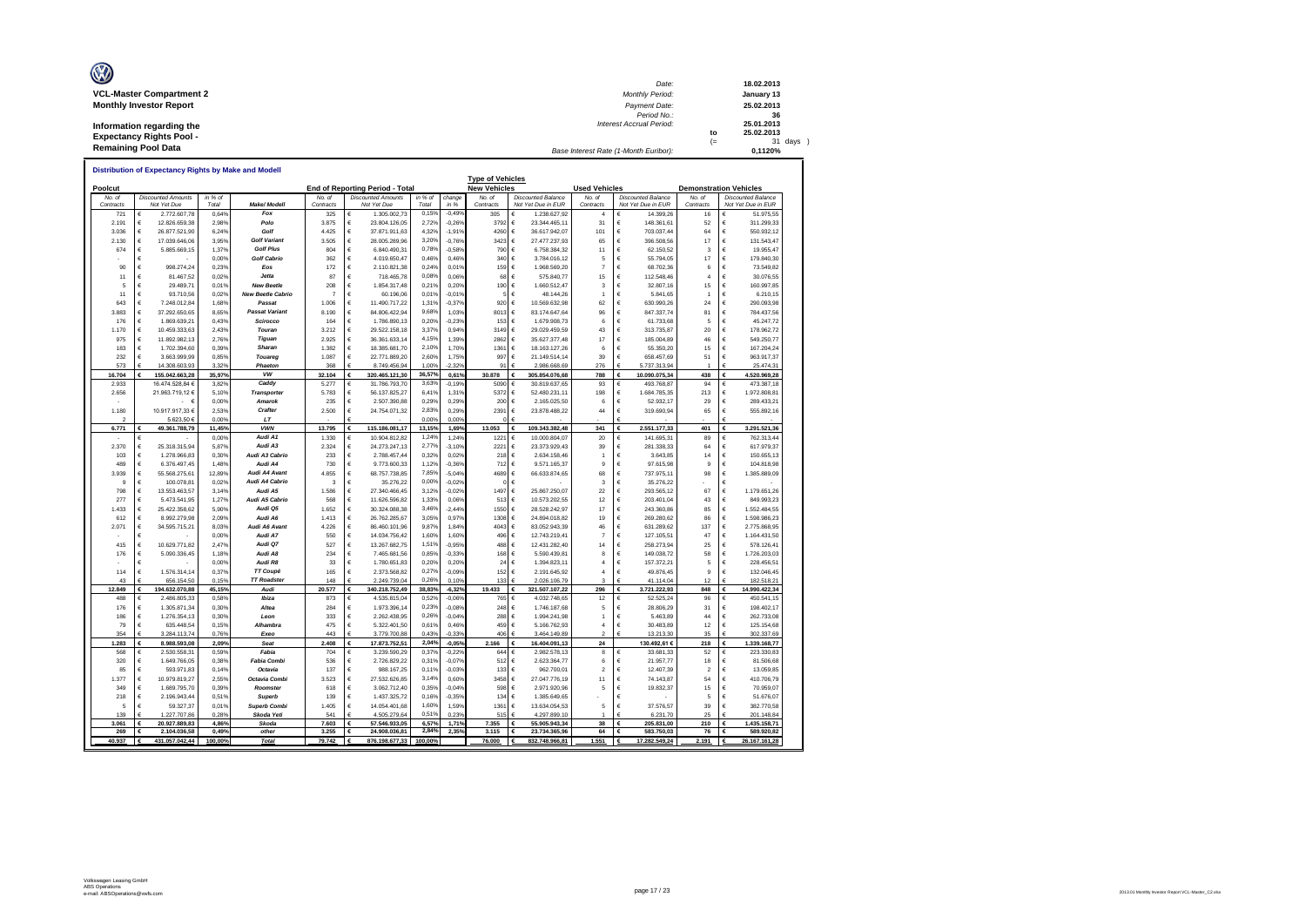| O                               | Date:                                 |      | 18.02.2013 |
|---------------------------------|---------------------------------------|------|------------|
| <b>VCL-Master Compartment 2</b> | <b>Monthly Period:</b>                |      | January 13 |
| <b>Monthly Investor Report</b>  | Payment Date:                         |      | 25.02.2013 |
|                                 | Period No.:                           |      | 36         |
| Information regarding the       | <b>Interest Accrual Period:</b>       |      | 25.01.2013 |
| <b>Expectancy Rights Pool -</b> |                                       | to   | 25.02.2013 |
|                                 |                                       | $(=$ | 31 days    |
| <b>Remaining Pool Data</b>      | Base Interest Rate (1-Month Euribor): |      | 0.1120%    |

| <b>Distribution of Expectancy Rights by Make and Modell</b><br><b>Type of Vehicles</b> |                          |                               |                |                                       |                |         |                                 |                |                    |                     |                                                 |                               |                                   |                               |        |                            |
|----------------------------------------------------------------------------------------|--------------------------|-------------------------------|----------------|---------------------------------------|----------------|---------|---------------------------------|----------------|--------------------|---------------------|-------------------------------------------------|-------------------------------|-----------------------------------|-------------------------------|--------|----------------------------|
| Poolcut                                                                                |                          |                               |                |                                       |                |         | End of Reporting Period - Total |                |                    | <b>New Vehicles</b> | <b>Used Vehicles</b>                            | <b>Demonstration Vehicles</b> |                                   |                               |        |                            |
| No. of                                                                                 |                          | <b>Discounted Amounts</b>     | in % of        |                                       | No. of         |         | <b>Discounted Amounts</b>       | in % of        | change             | No. of              | <b>Discounted Balance</b>                       | No. of                        | <b>Discounted Balance</b>         | No. of                        |        | <b>Discounted Balance</b>  |
| Contracts                                                                              | €                        | Not Yet Due                   | Total          | Make/ Modell<br>Fox                   | Contracts      | €       | Not Yet Due                     | Total<br>0,15% | $in$ %<br>$-0.499$ | Contracts           | Not Yet Due in EUR<br>€                         | Contracts<br>$\overline{4}$   | Not Yet Due in EUR                | Contracts                     | €      | Not Yet Due in EUR         |
| 721<br>2.191                                                                           | €                        | 2.772.607,78<br>12.826.659,38 | 0,64%<br>2.98% | Polo                                  | 325<br>3.875   | €       | 1.305.002,73<br>23.804.126.05   | 2,72%          | $-0.269$           | 305<br>3792         | 1.238.627,92<br>€<br>23.344.465,11              | 31                            | 14.399,26<br>€<br>148,361.61      | 16<br>52                      | €      | 51.975,55<br>311.299.33    |
| 3.036                                                                                  | €                        | 26.877.521,90                 | 6,249          | Golf                                  | 4.425          | €       | 37.871.911,63                   | 4,32%          | $-1,91%$           | 4260                | €<br>36.617.942,07                              | 101                           | €<br>703.037,44                   | 64                            | €      | 550.932,12                 |
| 2.130                                                                                  | €                        | 17.039.646,06                 | 3.95%          | <b>Golf Variant</b>                   | 3.505          | €       | 28.005.289,96                   | 3,20%          | $-0.76%$           | 3423                | €<br>27.477.237,93                              | 65                            | €<br>396.508,56                   | 17                            | €      | 131.543,47                 |
| 674                                                                                    | $\epsilon$               | 5.885.669,15                  | 1,379          | <b>Golf Plus</b>                      | 804            | €       | 6.840.490,31                    | 0,78%          | $-0.58%$           | 790                 | €<br>6.758.384,32                               | 11                            | €<br>62.150,52                    | 3                             | €      | 19.955,47                  |
|                                                                                        | $\epsilon$               |                               | 0,00%          | <b>Golf Cabrio</b>                    | 362            | €       | 4.019.650,47                    | 0.46%          | 0,46%              | 340                 | €<br>3.784.016,12                               | 5                             | €<br>55.794,05                    | 17                            | €      | 179.840,30                 |
| 90                                                                                     | €                        | 998.274,24                    | 0,239          | Eos                                   | 172            | €       | 2.110.821,38                    | 0,24%          | 0.01%              | 159                 | €<br>1.968.569,20                               | 7                             | €<br>68.702,36                    | 6                             | €      | 73.549,82                  |
| 11                                                                                     | €                        | 81.467,52                     | 0,02%          | Jetta                                 | 87             | €       | 718.465,78                      | 0,08%          | 0.06%              | 68                  | €<br>575.840,77                                 | 15                            | €<br>112.548,46                   | 4                             | €      | 30.076,55                  |
| 5                                                                                      | $\epsilon$               | 29.489,71                     | 0,019          | <b>New Beetle</b>                     | 208            | €       | 1.854.317,48                    | 0.21%          | 0.20%              | 190                 | €<br>1.660.512,47                               | 3                             | €<br>32.807,16                    | 15                            | €      | 160.997,85                 |
| 11                                                                                     | $\epsilon$               | 93.710,56                     | 0,02%          | <b>New Beetle Cabrio</b>              |                | €       | 60.196,06                       | 0,01%          | $-0.01%$           |                     | €<br>48.144,26                                  | 1                             | €<br>5.841,65                     | 1                             | €      | 6.210,15                   |
| 643                                                                                    | $\epsilon$               | 7.248.012,84                  | 1,689          | Passat                                | 1.006          | €       | 11.490.717,22                   | 1,31%          | $-0.37%$           | 920                 | €<br>10.569.632,98                              | 62                            | $\epsilon$<br>630.990,26          | 24                            | €      | 290.093,98                 |
| 3.883                                                                                  | $\in$                    | 37.292.650,65                 | 8,65%          | <b>Passat Variant</b>                 | 8.190          | €       | 84.806.422,94                   | 9,68%          | 1,03%              | 8013                | $\in$<br>83.174.647,64                          | 96                            | €<br>847.337,74                   | 81                            | €      | 784.437,56                 |
| 176                                                                                    | $\epsilon$               | 1.869.639,21                  | 0,439          | Scirocco                              | 164            | €       | 1.786.890,13                    | 0,20%          | $-0.23%$           | 153                 | €<br>1.679.908,73                               | 6                             | €<br>61.733,68                    | 5                             | €      | 45.247,72                  |
| 1.170                                                                                  | $\epsilon$               | 10.459.333,63                 | 2,439          | Touran                                | 3.212          | €       | 29.522.158,18                   | 3,37%          | 0,94%              | 3149                | $\in$<br>29.029.459,59                          | 43                            | €<br>313.735,87                   | 20                            | €      | 178.962,72                 |
| 975                                                                                    | €                        | 11.892.982.13                 | 2.769          | Tiguan                                | 2.925          | €<br>€  | 36.361.633.14                   | 4,15%          | 1.39%              | 2862                | €<br>35.627.377.48                              | 17                            | €<br>185,004.89                   | 46                            | €<br>€ | 549.250.77                 |
| 183<br>232                                                                             | $\epsilon$<br>$\epsilon$ | 1.702.394,60<br>3.663.999,99  | 0,399<br>0,85% | <b>Sharan</b><br>Touared              | 1.382<br>1.087 | €       | 18.385.681,70<br>22.771.889,20  | 2,10%<br>2.60% | 1,70%<br>1,75%     | 1361<br>997         | €<br>18.163.127,26<br>€<br>21.149.514,14        | 6<br>39                       | €<br>55.350,20<br>€<br>658.457,69 | 15<br>51                      | €      | 167.204,24<br>963.917,37   |
| 573                                                                                    | $\epsilon$               | 14.308.603,93                 | $3.32^{\circ}$ | Phaeton                               | 368            |         | 8.749.456.94                    | 1,00%          | $-2.329$           | 91                  | 2.986.668.69                                    | 276                           | 5.737.313.94                      |                               |        | 25.474,31                  |
| 16.704                                                                                 |                          | 155.042.663,28                | 35.97%         | vw                                    | 32.104         | €       | 320.465.121,30                  | 36,57%         | 0.61%              | 30.878              | 305.854.076,68<br>€                             | 788                           | 10.090.075,34                     | 438                           | €      | 4.520.969,28               |
| 2.933                                                                                  |                          | 16.474.528.84 €               | 3.82%          | Caddy                                 | 5.277          | €       | 31.786.793,70                   | 3,63%          | $-0.19%$           | 5090                | €<br>30.819.637.65                              | 93                            | €<br>493.768.87                   | 94                            | €      | 473.387.18                 |
| 2.656                                                                                  |                          | 21.963.719,12 €               | 5,10%          | <b>Transporter</b>                    | 5.783          | €       | 56.137.825,27                   | 6,41%          | 1,31%              | 5372                | €<br>52.480.231,11                              | 198                           | €<br>1.684.785,35                 | 213                           | €      | 1.972.808,81               |
|                                                                                        |                          | $\epsilon$<br>$\sim$          | 0,00%          | <b>Amarok</b>                         | 235            | €       | 2.507.390,88                    | 0.29%          | 0.29%              | 200                 | €<br>2.165.025,50                               | 6                             | 52.932,17<br>€                    | 29                            | €      | 289.433,21                 |
| 1.180                                                                                  |                          | 10.917.917,33 €               | 2.53%          | Crafter                               | 2.500          | €       | 24.754.071,32                   | 2,83%          | 0.29%              | 2391                | €<br>23.878.488,22                              | 44                            | €<br>319.690,94                   | 65                            | €      | 555.892,16                 |
| $\mathfrak{p}$                                                                         |                          | 5.623,50 €                    | 0.00%          | LT                                    |                |         |                                 | 0,00%          | 0.00%              |                     | €                                               |                               |                                   |                               |        |                            |
| 6,771                                                                                  | £                        | 49.361.788,79                 | 11.45%         | <b>VWN</b>                            | 13,795         | €       | 115.186.081.17                  | 13,15%         | 1.69%              | 13.053              | €<br>109.343.382.48                             | 341                           | €<br>2.551.177.33                 | 401                           | €      | 3.291.521,36               |
|                                                                                        | €                        |                               | 0,009          | Audi A1                               | 1.330          | €       | 10.904.812,82                   | 1,24%          | 1,249              | 1221                | €<br>10.000.804,07                              | 20                            | €<br>141.695,31                   | 89                            | €      | 762.313,44                 |
| 2.370                                                                                  | $\epsilon$               | 25.318.315,94                 | 5,87%          | Audi A3                               | 2.324          | €       | 24.273.247,13                   | 2,77%          | $-3.10%$           | 2221                | €<br>23.373.929,43                              | 39                            | €<br>281.338,33                   | 64                            | €      | 617.979,37                 |
| 103<br>489                                                                             | $\epsilon$<br>$\epsilon$ | 1.278.966,83<br>6.376.497,45  | 0,30%<br>1,48% | Audi A3 Cabrio<br>Audi A4             | 233<br>730     | €<br>€  | 2.788.457,44<br>9.773.600,33    | 0,32%<br>1,12% | 0.02%<br>$-0.36%$  | 218<br>712          | €<br>2.634.158,46<br>€                          | -1<br>g                       | 3.643,85<br>€<br>€<br>97.615,98   | 14<br>9                       | €<br>€ | 150.655,13                 |
| 3.939                                                                                  | $\epsilon$               | 55.568.275,61                 | 12,899         | Audi A4 Avant                         | 4855           | €       | 68.757.738.85                   | 7,85%          | $-5.04%$           | 4689                | 9.571.165,37<br>€<br>66.633.874,65              | 68                            | €<br>737.975,11                   | 98                            | €      | 104.818,98<br>1.385.889,09 |
| 9                                                                                      | €                        | 100.078,81                    | 0,02%          | Audi A4 Cabrio                        | з              | €       | 35.276,22                       | 0,00%          | $-0.02%$           |                     | €                                               | 3                             | €<br>35.276,22                    |                               | €      |                            |
| 798                                                                                    | €                        | 13.553.463,57                 | 3,14%          | Audi A5                               | 1.586          | €       | 27.340.466,45                   | 3,12%          | $-0.02%$           | 1497                | €<br>25.867.250,07                              | 22                            | €<br>293.565,12                   | 67                            | €      | 1.179.651,26               |
| 277                                                                                    | €                        | 5.473.541,95                  | 1,279          | Audi A5 Cabrio                        | 568            | €       | 11.626.596,82                   | 1,33%          | 0,06%              | 513                 | €<br>10.573.202,55                              | 12                            | €<br>203.401,04                   | 43                            | €      | 849.993,23                 |
| 1.433                                                                                  | $\epsilon$               | 25.422.358,62                 | 5,90%          | Audi Q5                               | 1.652          | €       | 30.324.088,38                   | 3,46%          | $-2.449$           | 1550                | €<br>28.528.242,97                              | 17                            | €<br>243.360,86                   | 85                            | €      | 1.552.484,55               |
| 612                                                                                    | $\epsilon$               | 8.992.279,98                  | 2,099          | Audi A6                               | 1.413          | €       | 26.762.285,67                   | 3,05%          | 0,97%              | 1308                | €<br>24.894.018,82                              | 19                            | €<br>269.280,62                   | 86                            | €      | 1.598.986,23               |
| 2.071                                                                                  | €                        | 34.595.715,21                 | 8,03%          | Audi A6 Avant                         | 4.226          | €       | 86.460.101,96                   | 9,87%          | 1,84%              | 4043                | €<br>83.052.943,39                              | 46                            | €<br>631.289,62                   | 137                           | €      | 2.775.868,95               |
|                                                                                        | €                        |                               | 0,00%          | Audi A7                               | 550            | €       | 14.034.756,42                   | 1,60%          | 1,60%              | 496                 | $\in$<br>12.743.219,41                          | $\overline{7}$                | $\epsilon$<br>127.105,51          | 47                            | €      | 1.164.431,50               |
| 415                                                                                    | $\epsilon$               | 10.629.771.82                 | 2.47%          | Audi Q7                               | 527            | €       | 13.267.682.75                   | 1,51%          | $-0.95%$           | 488                 | $\epsilon$<br>12.431.282.40                     | 14                            | €<br>258.273.94                   | 25                            | €      | 578.126.41                 |
| 176                                                                                    | $\epsilon$               | 5.090.336,45                  | 1,189          | Audi A8                               | 234            | €       | 7.465.681,56                    | 0,85%          | $-0.33%$           | 168                 | $\in$<br>5.590.439,81                           | 8                             | €<br>149.038,72                   | 58                            | €      | 1.726.203,03               |
|                                                                                        | $\epsilon$               |                               | 0,00%          | Audi R8                               | 33             | €       | 1.780.651,83                    | 0,20%          | 0,20%              | 24                  | €<br>1.394.823,11                               | 4                             | €<br>157.372,21                   | 5                             | €      | 228.456,51                 |
| 114<br>43                                                                              | $\epsilon$<br>€          | 1.576.314.14<br>656.154.50    | 0.379<br>0.15% | <b>TT Coupé</b><br><b>TT Roadster</b> | 165<br>148     | €<br>£. | 2.373.568.82<br>2.249.739.04    | 0,27%<br>0,26% | $-0.09%$<br>0.10%  | 152<br>133          | $\epsilon$<br>2.191.645,92<br>2.026.106.79<br>€ | 4<br>$\overline{\mathbf{3}}$  | €<br>49.876.45<br>41.114.04       | 9<br>12                       | €<br>€ | 132.046.45<br>182.518.21   |
| 12,849                                                                                 | €                        | 194.632.070.88                | 45.15%         | Audi                                  | 20,577         | €       | 340.218.752.49                  | 38,83%         | $-6.32%$           | 19.433              | 321.507.107.22                                  | 296                           | 3.721.222.93                      | 848                           | €      | 14.990.422.34              |
| 488                                                                                    | €                        | 2.486.805,33                  | 0,58%          | Ibiza                                 | 873            | €       | 4.535.815,04                    | 0.52%          | $-0.069$           | 765                 | €<br>4.032.748,65                               | 12                            | €<br>52.525,24                    | 96                            | €      | 450.541,15                 |
| 176                                                                                    | €                        | 1.305.871,34                  | 0.30%          | Altea                                 | 284            | €       | 1.973.396,14                    | 0,23%          | $-0.08%$           | 248                 | $\epsilon$<br>1.746.187,68                      | 5                             | €<br>28,806.29                    | 31                            | €      | 198.402.17                 |
| 186                                                                                    | $\epsilon$               | 1.276.354,13                  | 0,30%          | Leon                                  | 333            | €       | 2.262.438,95                    | 0,26%          | $-0.04%$           | 288                 | €<br>1.994.241,98                               | 1                             | €<br>5.463,89                     | 44                            | €      | 262.733,08                 |
| 79                                                                                     | $\epsilon$               | 635.448,54                    | 0,15%          | Alhambra                              | 475            | €       | 5.322.401,50                    | 0.61%          | 0.46%              | 459                 | $\epsilon$<br>5.166.762,93                      | $\overline{a}$                | €<br>30.483,89                    | 12                            | €      | 125.154,68                 |
| 354                                                                                    | €                        | 3.284.113.74                  | 0.76%          | Exen                                  | 443            | €       | 3.779.700.88                    | 0.43%          | $-0.33%$           | 406                 | €<br>3.464.149.89                               | $\overline{2}$                | 13,213,30                         | 35                            | €      | 302.337.69                 |
| 1.283                                                                                  | €                        | 8.988.593,08                  | 2,09%          | Seat                                  | 2.408          | €       | 17.873.752,51                   | 2,04%          | $-0,05%$           | 2.166               | 16.404.091,13<br>€                              | 24                            | 130.492,61 €                      | 218                           | €      | 1.339.168,77               |
| 568                                                                                    | €                        | 2.530.558.31                  | 0.59%          | Fabia                                 | 704            | €       | 3.239.590.29                    | 0,37%          | $-0.22%$           | 644                 | €<br>2.982.578.13                               | 8                             | 33,681.33<br>€                    | 52                            | €      | 223.330.83                 |
| 320                                                                                    | $\epsilon$               | 1.649.766,05                  | 0,389          | <b>Fabia Combi</b>                    | 536            | €       | 2.726.829,22                    | 0,31%          | $-0.07%$           | 512                 | $\in$<br>2.623.364,77                           | 6                             | €<br>21.957,77                    | 18                            | €      | 81.506,68                  |
| 85                                                                                     | $\epsilon$               | 593.971,83                    | 0.149          | Octavia<br>Octavia Combi              | 137<br>3.523   | €<br>€  | 988.167,25                      | 0.11%<br>3,14% | $-0.03%$           | 133                 | €<br>962.700,01                                 | $\overline{2}$                | 12.407,39<br>€<br>€               | $\overline{\mathbf{2}}$<br>54 | €<br>€ | 13.059,85                  |
| 1.377<br>349                                                                           | €<br>€                   | 10.979.819,27<br>1.689.795,70 | 2,55%          | Roomster                              | 618            | €       | 27.532.626,85<br>3.062.712,40   | 0,35%          | 0,60%<br>$-0.04%$  | 3458<br>598         | €<br>27.047.776,19<br>€<br>2.971.920,96         | 11<br>5                       | 74.143,87<br>19.832,37<br>€       | 15                            | €      | 410.706,79<br>70.959,07    |
| 218                                                                                    | $\epsilon$               | 2.196.943,44                  | 0,399<br>0,51% | <b>Superb</b>                         | 139            | €       | 1.437.325,72                    | 0,16%          | $-0.35%$           | 134                 | €<br>1.385.649,65                               |                               | €                                 | 5                             | €      | 51.676,07                  |
| 5                                                                                      | $\epsilon$               | 59.327,37                     | 0,019          | <b>Superb Combi</b>                   | 1.405          | €       | 14.054.401,68                   | 1,60%          | 1,59%              | 1361                | €<br>13.634.054,53                              | 5                             | €<br>37.576,57                    | 39                            | €      | 382.770,58                 |
| 130                                                                                    |                          | 1.227.707.86                  | 0.289          | Skoda Yeti                            | 541            |         | 4.505.279.64                    | 0.519          | 0.23%              | 515                 | 4.297.899,10                                    |                               | 6.231,70                          | 25                            |        | 201.148,84                 |
| 3.061                                                                                  | €                        | 20.927.889,83                 | 4,86%          | Skoda                                 | 7.603          | €       | 57.546.933,05                   | 6,57%          | 1,71%              | 7.355               | 55.905.943,34                                   | 38                            | 205.831,00                        | 210                           | €      | 1.435.158,71               |
| 269                                                                                    | €                        | 2.104.036.58                  | 0.49%          | other                                 | 3.255          | €       | 24.908.036.81                   | 2,84%          | 2.35%              | 3.115               | 23.734.365.96<br>€                              | 64                            | €<br>583.750.03                   | 76                            | €      | 589.920.82                 |
| 40.937                                                                                 | €                        | 431.057.042,44                | 100,00%        | <b>Total</b>                          | 79.742         |         | 876.198.677,33                  | 100,00%        |                    | 76.000              | 832.748.966,81                                  | 1.551                         | 17.282.549,24                     | 2.191                         |        | 26.167.161,28              |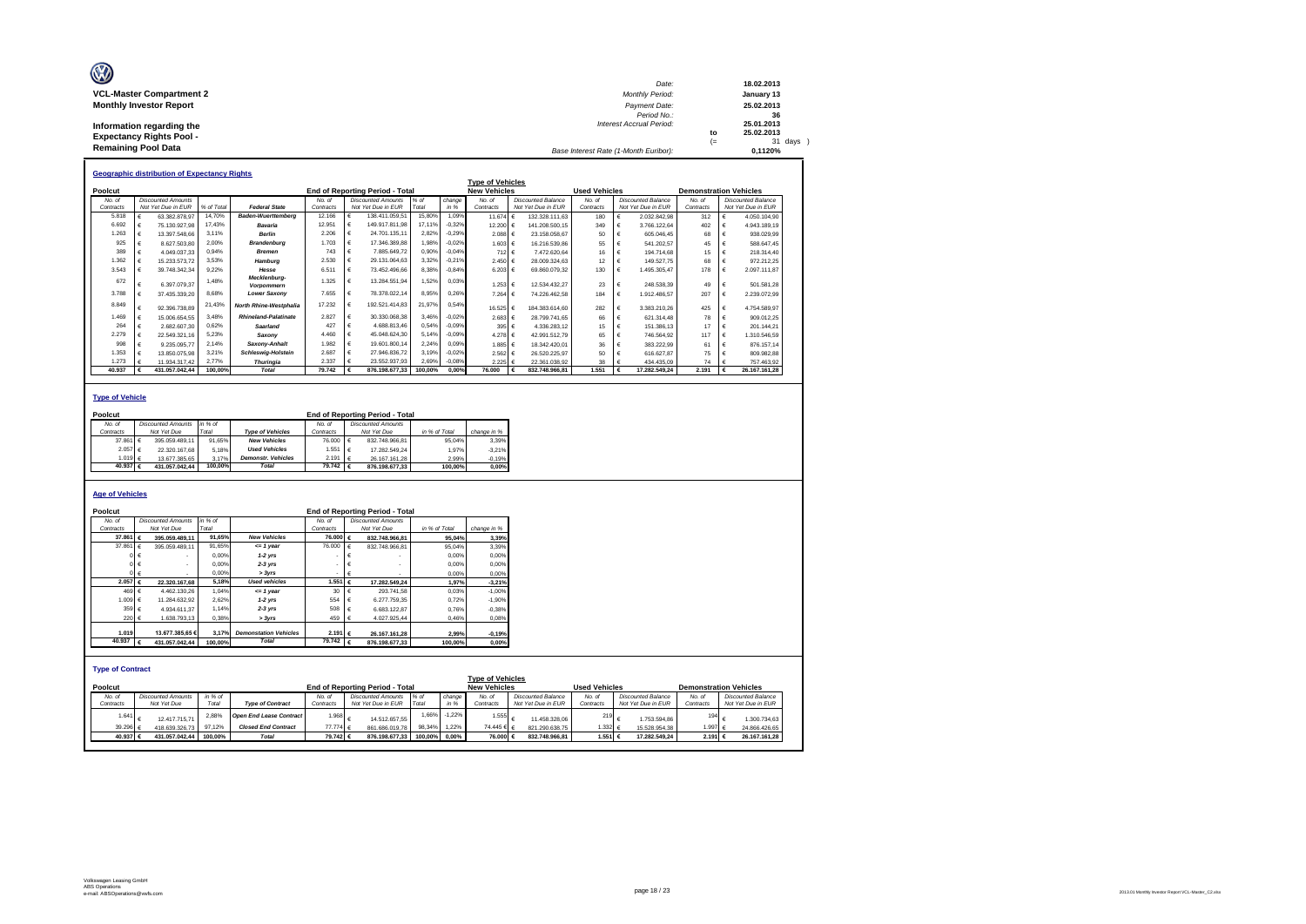| O                               | Date:                                 |      | 18.02.2013 |
|---------------------------------|---------------------------------------|------|------------|
| <b>VCL-Master Compartment 2</b> | <b>Monthly Period:</b>                |      | January 13 |
| <b>Monthly Investor Report</b>  | Payment Date:                         |      | 25.02.2013 |
|                                 | Period No.:                           |      | 36         |
| Information regarding the       | <b>Interest Accrual Period:</b>       |      | 25.01.2013 |
| <b>Expectancy Rights Pool -</b> |                                       | to   | 25.02.2013 |
|                                 |                                       | $(=$ | 31 days    |
| <b>Remaining Pool Data</b>      | Base Interest Rate (1-Month Euribor): |      | 0.1120%    |

|           |   | <b>Geographic distribution of Expectancy Rights</b> |            |                                   |           |                                        |         |          |                         |                           |                      |   |                           |                               |                           |
|-----------|---|-----------------------------------------------------|------------|-----------------------------------|-----------|----------------------------------------|---------|----------|-------------------------|---------------------------|----------------------|---|---------------------------|-------------------------------|---------------------------|
|           |   |                                                     |            |                                   |           |                                        |         |          | <b>Type of Vehicles</b> |                           |                      |   |                           |                               |                           |
| Poolcut   |   |                                                     |            |                                   |           | <b>End of Reporting Period - Total</b> |         |          | <b>New Vehicles</b>     |                           | <b>Used Vehicles</b> |   |                           | <b>Demonstration Vehicles</b> |                           |
| No. of    |   | <b>Discounted Amounts</b>                           |            |                                   | No. of    | <b>Discounted Amounts</b>              | $%$ of  | change   | No. of                  | <b>Discounted Balance</b> | No. of               |   | <b>Discounted Balance</b> | No. of                        | <b>Discounted Balance</b> |
| Contracts |   | Not Yet Due in EUR                                  | % of Total | <b>Federal State</b>              | Contracts | Not Yet Due in EUR                     | Total   | in %     | Contracts               | Not Yet Due in EUR        | Contracts            |   | Not Yet Due in EUR        | Contracts                     | Not Yet Due in EUR        |
| 5,818     |   | 63.382.878.97                                       | 14.70%     | <b>Baden-Wuerttemberg</b>         | 12.166    | 138.411.059.51                         | 15.80%  | 1.09%    | 11.674 €                | 132.328.111.63            | 180                  |   | 2.032.842.98              | 312                           | 4.050.104.90              |
| 6.692     |   | 75.130.927.98                                       | 17.43%     | Bavaria                           | 12.951    | 149.917.811.98                         | 17.11%  | $-0.32%$ | 12.200 €                | 141.208.500.15            | 349                  |   | 3.766.122.64              | 402                           | 4.943.189.19              |
| 1.263     |   | 13.397.548.66                                       | 3.11%      | <b>Berlin</b>                     | 2.206     | 24.701.135.11                          | 2.82%   | $-0.29%$ | 2.088 €                 | 23.158.058,67             | 50                   |   | 605.046.45                | 68                            | 938.029.99                |
| 925       |   | 8.627.503.80                                        | 2.00%      | <b>Brandenburg</b>                | 1.703     | 17.346.389.88                          | 1,98%   | $-0.02%$ | 1.603 €                 | 16.216.539.86             | 55                   |   | 541.202.57                | 45                            | 588.647.45                |
| 389       |   | 4.049.037.33                                        | 0.94%      | <b>Bremen</b>                     | 743       | 7.885.649.72                           | 0,90%   | $-0.04%$ | 712 €                   | 7.472.620.64              | 16                   |   | 194.714.68                | 15                            | 218.314.40                |
| 1.362     |   | 15.233.573.72                                       | 3.53%      | Hamburg                           | 2.530     | 29.131.064.63                          | 3,32%   | $-0.21%$ | 2.450 €                 | 28.009.324.63             | 12                   |   | 149.527.75                | 68                            | 972.212.25                |
| 3.543     |   | 39.748.342.34                                       | 9.22%      | Hesse                             | 6.51'     | 73.452.496.66                          | 8,38%   | $-0.84%$ | 6.203 €                 | 69.860.079.32             | 130                  |   | 1.495.305.47              | 178                           | 2.097.111.87              |
| 672       |   | 6.397.079.37                                        | 1.48%      | Mecklenburg-<br><b>Vorpommern</b> | 1.325     | 13.284.551.94                          | 1,52%   | 0.03%    | 1.253 €                 | 12.534.432.27             | 23                   |   | 248.538.39                | 49                            | 501.581.28                |
| 3.788     |   | 37.435.339.20                                       | 8.68%      | <b>Lower Saxony</b>               | 7.655     | 78.378.022.14                          | 8,95%   | 0.26%    | 7.264 €                 | 74.226.462.58             | 184                  |   | 1.912.486.57              | 207                           | 2.239.072.99              |
| 8.849     |   | 92.396.738.89                                       | 21.43%     | <b>North Rhine-Westphalia</b>     | 17.232    | 192.521.414.83                         | 21.97%  | 0.54%    | 16.525 €                | 184.383.614.60            | 282                  |   | 3.383.210.26              | 425                           | 4.754.589.97              |
| 1.469     |   | 15.006.654.55                                       | 3.48%      | Rhineland-Palatinate              | 2.827     | 30.330.068.38                          | 3.46%   | $-0.02%$ | 2.683 €                 | 28.799.741.65             | 66                   |   | 621.314.48                | 78                            | 909.012.25                |
| 264       |   | 2.682.607.30                                        | 0.62%      | Saarland                          | 427       | 4.688.813.46                           | 0,54%   | $-0.09%$ | 395 €                   | 4.336.283.12              | 15                   |   | 151.386.13                | 17                            | 201.144.21                |
| 2.279     |   | 22.549.321.16                                       | 5,23%      | Saxonv                            | 4.460     | 45.048.624,30                          | 5,14%   | $-0.09%$ | 4.278 €                 | 42.991.512.79             | 65                   |   | 746.564.92                | 117                           | 1.310.546.59              |
| 998       |   | 9.235.095.77                                        | 2,14%      | Saxony-Anhalt                     | 1.982     | 19,601,800.14                          | 2,24%   | 0.09%    | 1.885 €                 | 18.342.420.01             | 36                   |   | 383.222.99                | 61                            | 876.157,14                |
| 1.353     |   | 13.850.075.98                                       | 3,21%      | <b>Schleswig-Holstein</b>         | 2.687     | 27.946.836.72                          | 3,19%   | $-0.02%$ | 2.562 €                 | 26.520.225.97             | 50                   |   | 616.627.87                | 75                            | 809.982.88                |
| 1.273     |   | 11.934.317.42                                       | 2.77%      | <b>Thuringia</b>                  | 2.337     | 23.552.937.93                          | 2,69%   | $-0.08%$ | 2.225 €                 | 22.361.038.92             | 38                   |   | 434.435.09                | 74                            | 757.463.92                |
| 40.937    | € | 431.057.042.44                                      | 100.00%    | Total                             | 79.742    | 876.198.677.33                         | 100.00% | 0.00%    | 76,000                  | 832.748.966.81            | 1.551                | € | 17.282.549.24             | 2.191                         | 26.167.161.28             |

#### **Type of Vehicle**

| Poolcut           |                           |         |                           |                   | End of Reporting Period - Total |               |             |
|-------------------|---------------------------|---------|---------------------------|-------------------|---------------------------------|---------------|-------------|
| No. of            | <b>Discounted Amounts</b> | in % of |                           | No of             | Discounted Amounts              |               |             |
| Contracts         | Not Yet Due               | Total   | <b>Type of Vehicles</b>   | Contracts         | Not Yet Due                     | in % of Total | change in % |
| 37.861 $\epsilon$ | 395.059.489.11            | 91.65%  | <b>New Vehicles</b>       | 76,000 €          | 832.748.966.81                  | 95.04%        | 3.39%       |
| 2.057 €           | 22.320.167.68             | 5.18%   | <b>Used Vehicles</b>      | 1.551 €           | 17.282.549.24                   | 1.97%         | $-3.21%$    |
| 1.019 $6$         | 13.677.385.65             | 3.17%   | <b>Demonstr.</b> Vehicles | 2.191 $\epsilon$  | 26.167.161.28                   | 2.99%         | $-0.19%$    |
| 40.937 $\epsilon$ | 431.057.042.44            | 100.00% | Total                     | $79.742 \epsilon$ | 876.198.677.33                  | 100.00%       | 0.00%       |

#### **Age of Vehicles**

| Poolcut                            |                                          |                                   |                                |                    | End of Reporting Period - Total   |               |          |                                                |                           |                      |                           |           |                               |
|------------------------------------|------------------------------------------|-----------------------------------|--------------------------------|--------------------|-----------------------------------|---------------|----------|------------------------------------------------|---------------------------|----------------------|---------------------------|-----------|-------------------------------|
| No. of<br>Contracts                | <b>Discounted Amounts</b><br>Not Yet Due | in % of<br>Total                  |                                | No of<br>Contracts | Discounted Amounts<br>Not Yet Due | in % of Total |          | change in %                                    |                           |                      |                           |           |                               |
| 37,861 €                           | 395.059.489.11                           | 91.65%                            | <b>New Vehicles</b>            | 76.000 €           | 832.748.966.81                    |               | 95.04%   | 3.39%                                          |                           |                      |                           |           |                               |
| 37,861                             | $\epsilon$<br>395.059.489.11             | 91.65%                            | $= 1$ year                     | 76,000             | $\epsilon$<br>832.748.966.81      |               | 95.04%   | 3.39%                                          |                           |                      |                           |           |                               |
| $\circ$                            | $\epsilon$                               | 0,00%                             | $1-2$ yrs                      |                    | €                                 |               | 0.00%    | 0,00%                                          |                           |                      |                           |           |                               |
|                                    | $0 \in$                                  | 0,00%<br>$\overline{\phantom{a}}$ | $2-3$ yrs                      |                    | €                                 |               | 0.00%    | 0,00%                                          |                           |                      |                           |           |                               |
|                                    | $0 \in$                                  | 0.00%                             | > 3vrs                         |                    | €                                 |               | 0.00%    | 0.00%                                          |                           |                      |                           |           |                               |
| 2.057 €                            | 22.320.167.68                            | 5.18%                             | <b>Used vehicles</b>           | 1.551 €            | 17.282.549.24                     |               | 1.97%    | $-3,21%$                                       |                           |                      |                           |           |                               |
| 469 $\epsilon$                     | 4.462.130.26                             | 1.04%                             | $= 1$ year                     | 30                 | $\epsilon$<br>293.741.58          |               | 0.03%    | $-1.00%$                                       |                           |                      |                           |           |                               |
| 1.009 $\epsilon$                   | 11.284.632.92                            | 2.62%                             | $1-2$ yrs                      | 554                | 6.277.759.35<br>€                 |               | 0.72%    | $-1.90%$                                       |                           |                      |                           |           |                               |
| 359 €                              | 4.934.611.37                             | 1,14%                             | $2-3$ yrs                      | 508                | 6.683.122.87<br>€                 |               | 0.76%    | $-0,38%$                                       |                           |                      |                           |           |                               |
| 220 €                              | 1.638.793.13                             | 0,38%                             | > 3vrs                         | 459                | 4.027.925.44<br>€                 |               | 0.46%    | 0.08%                                          |                           |                      |                           |           |                               |
| 1.019                              | 13,677,385,65€                           | 3.17%                             | <b>Demonstation Vehicles</b>   | 2.191 ∈            | 26.167.161.28                     |               | 2.99%    | $-0.19%$                                       |                           |                      |                           |           |                               |
| 40.937                             | 431.057.042,44<br>€                      | 100,00%                           | <b>Total</b>                   | 79.742 $\epsilon$  | 876.198.677.33                    |               | 100,00%  | 0,00%                                          |                           |                      |                           |           |                               |
| <b>Type of Contract</b><br>Poolcut |                                          |                                   |                                |                    | End of Reporting Period - Total   |               |          | <b>Type of Vehicles</b><br><b>New Vehicles</b> |                           | <b>Used Vehicles</b> |                           |           | <b>Demonstration Vehicles</b> |
| No. of                             | <b>Discounted Amounts</b>                | in % of                           |                                | No. of             | <b>Discounted Amounts</b>         | $%$ of        | change   | No. of                                         | <b>Discounted Balance</b> | No. of               | <b>Discounted Balance</b> | No. of    | <b>Discounted Balance</b>     |
| Contracts                          | Not Yet Due                              | Total                             | <b>Type of Contract</b>        | Contracts          | Not Yet Due in EUR                | Total         | in %     | Contracts                                      | Not Yet Due in EUR        | Contracts            | Not Yet Due in EUR        | Contracts | Not Yet Due in EUR            |
| 1.641                              | 12.417.715.71                            | 2,88%                             | <b>Open End Lease Contract</b> | 1.968              | $\epsilon$<br>14.512.657.55       | 1.66%         | $-1,22%$ | 1.555                                          | 11.458.328.06             | 219                  | 1.753.594.86              | 194       | 1.300.734.63                  |
| 39.296 €                           | 418.639.326.73                           | 97.12%                            | <b>Closed End Contract</b>     | 77,774 €           | 861.686.019,78                    | 98,34%        | 1.22%    | 74.445 € 6                                     | 821.290.638.75            | 1.332 €              | 15.528.954,38             | 1.997 €   | 24.866.426,65                 |
| 40.937 €                           | 431.057.042,44                           | 100.00%                           | <b>Total</b>                   | 79.742 €           | 876.198.677.33                    | 100.00%       | 0.00%    | 76,000 €                                       | 832.748.966.81            | 1.551 €              | 17.282.549.24             | 2.191 €   | 26.167.161.28                 |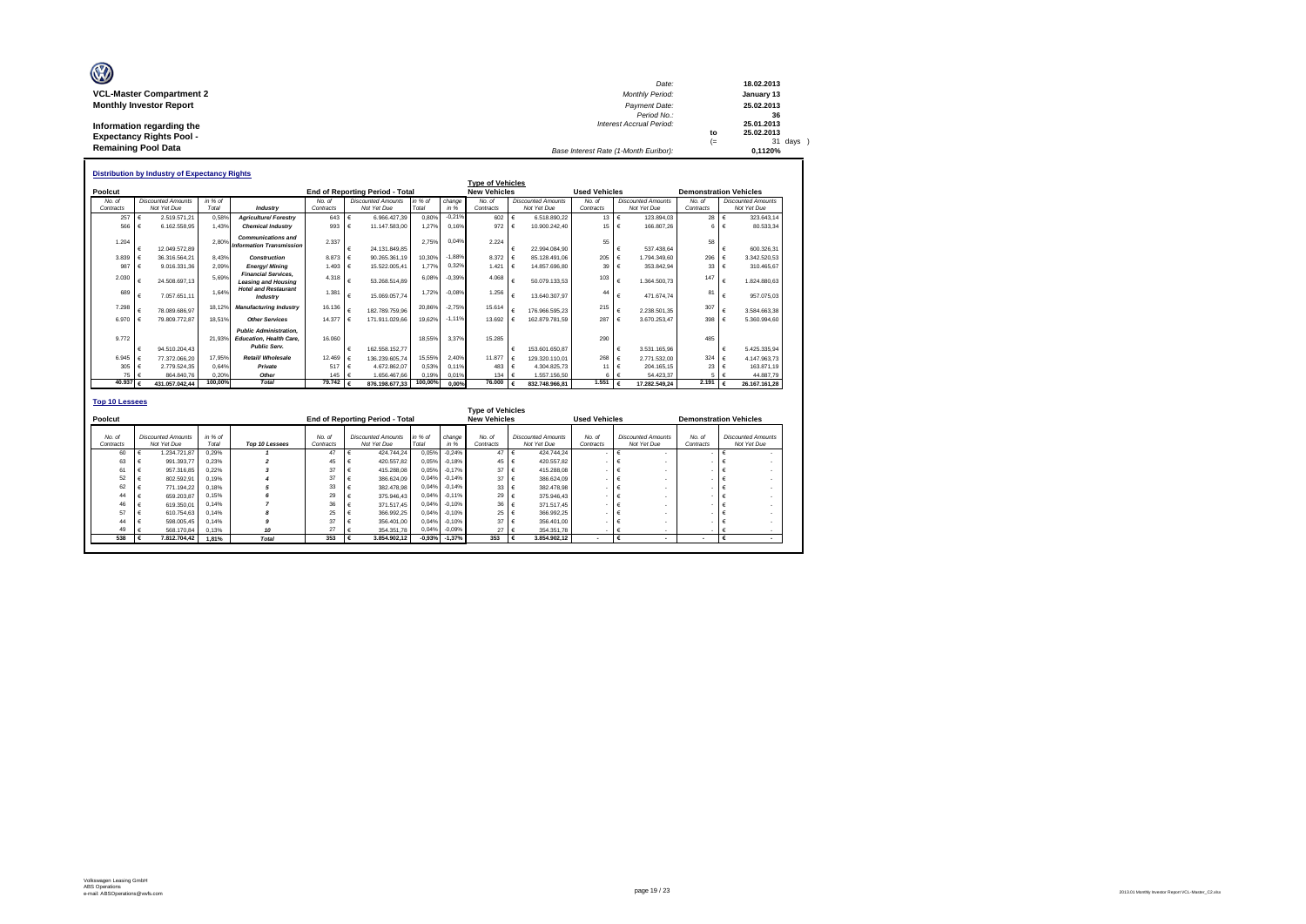| O                               | Date:                                 |      | 18.02.2013 |
|---------------------------------|---------------------------------------|------|------------|
| <b>VCL-Master Compartment 2</b> | <b>Monthly Period:</b>                |      | January 13 |
| <b>Monthly Investor Report</b>  | Payment Date:                         |      | 25.02.2013 |
|                                 | Period No.:                           |      | 36         |
| Information regarding the       | <b>Interest Accrual Period:</b>       |      | 25.01.2013 |
| <b>Expectancy Rights Pool -</b> |                                       | to   | 25.02.2013 |
|                                 |                                       | $(=$ | 31 days    |
| <b>Remaining Pool Data</b>      | Base Interest Rate (1-Month Euribor): |      | 0.1120%    |

|           |   | <b>Distribution by Industry of Expectancy Rights</b> |         |                                                                                        |                                 |   |                           |         |          | <b>Type of Vehicles</b> |   |                           |                      |            |                           |                               |              |                           |
|-----------|---|------------------------------------------------------|---------|----------------------------------------------------------------------------------------|---------------------------------|---|---------------------------|---------|----------|-------------------------|---|---------------------------|----------------------|------------|---------------------------|-------------------------------|--------------|---------------------------|
| Poolcut   |   |                                                      |         |                                                                                        | End of Reporting Period - Total |   |                           |         |          | <b>New Vehicles</b>     |   |                           | <b>Used Vehicles</b> |            |                           | <b>Demonstration Vehicles</b> |              |                           |
| No. of    |   | <b>Discounted Amounts</b>                            | in % of |                                                                                        | No. of                          |   | <b>Discounted Amounts</b> | in % of | change   | No. of                  |   | <b>Discounted Amounts</b> | No of                |            | <b>Discounted Amounts</b> | No. of                        |              | <b>Discounted Amounts</b> |
| Contracts |   | Not Yet Due                                          | Total   | Industry                                                                               | Contracts                       |   | Not Yet Due               | Total   | in %     | Contracts               |   | Not Yet Due               | Contracts            |            | Not Yet Due               | Contracts                     |              | Not Yet Due               |
| 257       |   | 2.519.571.21                                         | 0.58%   | <b>Agriculture/ Forestry</b>                                                           | 643                             | € | 6.966.427.39              | 0.80%   | $-0.21%$ | 602                     |   | 6,518,890.22              | 13 €                 |            | 123,894.03                | 28 $\epsilon$                 |              | 323.643.14                |
| 566       | € | 6.162.558.95                                         | 1.43%   | <b>Chemical Industry</b>                                                               | 993                             |   | 11.147.583.00             | 1.27%   | 0.16%    | 972                     |   | 10.900.242.40             | $15 \quad \in$       |            | 166,807.26                | 6                             | $\mathbf{f}$ | 80.533.34                 |
| 1.204     |   | 12.049.572.89                                        | 2.80%   | <b>Communications and</b><br><b>Information Transmission</b>                           | 2.337                           |   | 24.131.849.85             | 2.75%   | 0.04%    | 2.224                   |   | 22.994.084.90             | 55                   | €          | 537.438.64                | 58                            |              | 600.326.31                |
| 3.839     |   | 36.316.564.21                                        | 8.43%   | <b>Construction</b>                                                                    | 8.873                           |   | 90.265.361,19             | 10.30%  | $-1.889$ | 8.372                   |   | 85.128.491.06             | 205                  | $\epsilon$ | 1.794.349.60              | 296                           |              | 3.342.520.53              |
| 987       |   | 9.016.331.36                                         | 2.09%   | Eneray/Minina                                                                          | 1.493                           |   | 15.522.005.41             | 1.77%   | 0.32%    | 1.421                   |   | 14.857.696.80             | 39                   | $\epsilon$ | 353.842.94                | 33                            |              | 310.465.67                |
| 2.030     |   | 24.508.697.13                                        | 5.69%   | <b>Financial Services.</b><br><b>Leasing and Housing</b>                               | 4.318                           |   | 53.268.514.89             | 6.08%   | $-0.39%$ | 4.068                   |   | 50.079.133.53             | 103                  | €          | 1.364.500.73              | 147                           |              | 1.824.880.63              |
| 689       | € | 7.057.651.11                                         | 1.64%   | <b>Hotel and Restaurant</b><br>Industry                                                | 1.381                           | € | 15.069.057.74             | 1.72%   | $-0.089$ | 1.256                   |   | 13.640.307.97             | 44                   | €          | 471.674.74                | 81                            |              | 957.075.03                |
| 7.298     |   | 78.089.686.97                                        | 18.12%  | <b>Manufacturing Industry</b>                                                          | 16.136                          |   | 182.789.759.96            | 20.86%  | $-2.75%$ | 15.614                  |   | 176.966.595.23            | 215                  | €          | 2.238.501.35              | 307                           |              | 3.584.663.38              |
| 6.970     |   | 79.809.772.87                                        | 18.51%  | <b>Other Services</b>                                                                  | 14,377                          |   | 171.911.029.66            | 19.62%  | $-1.11%$ | 13.692                  |   | 162.879.781.59            | 287                  |            | 3.670.253.47              | 398                           |              | 5.360.994.60              |
| 9.772     | € | 94.510.204.43                                        | 21.93%  | <b>Public Administration.</b><br><b>Education, Health Care,</b><br><b>Public Serv.</b> | 16,060                          |   | 162.558.152.77            | 18.55%  | 3.37%    | 15.285                  | € | 153.601.650.87            | 290                  | €          | 3.531.165.96              | 485                           |              | 5.425.335.94              |
| 6.945     | € | 77.372.066.20                                        | 17.95%  | Retail/ Wholesale                                                                      | 12.469                          |   | 136.239.605.74            | 15.55%  | 2.40%    | 11,877                  |   | 129.320.110.01            | 268                  | $\epsilon$ | 2.771.532.00              | 324                           |              | 4.147.963.73              |
| 305       |   | 2.779.524.35                                         | 0.64%   | Private                                                                                | 517                             |   | 4.672.862.07              | 0.53%   | 0.11%    | 483                     |   | 4.304.825.73              | 11                   | $\epsilon$ | 204.165.15                | 23                            |              | 163.871.19                |
| 75        |   | 864, 840.76                                          | 0.20%   | Other                                                                                  | 145                             |   | 1.656.467.66              | 0.19%   | 0.01%    | 134                     |   | 1.557.156.50              | 6                    |            | 54.423.37                 |                               |              | 44.887.79                 |
| 40.937    |   | 431.057.042.44                                       | 100.00% | <b>Total</b>                                                                           | $79.742 \epsilon$               |   | 876.198.677,33            | 100,00% | 0.00%    | 76,000                  |   | 832.748.966.81            | 1.551                |            | 17.282.549.24             | 2.191                         |              | 26.167.161.28             |

|                     |                                          |                  |                |                     |                                          |                  |                 | <b>Type of Vehicles</b> |     |                                          |                      |                                          |                     |                                          |
|---------------------|------------------------------------------|------------------|----------------|---------------------|------------------------------------------|------------------|-----------------|-------------------------|-----|------------------------------------------|----------------------|------------------------------------------|---------------------|------------------------------------------|
| Poolcut             |                                          |                  |                |                     | <b>End of Reporting Period - Total</b>   |                  |                 | <b>New Vehicles</b>     |     |                                          | <b>Used Vehicles</b> |                                          |                     | <b>Demonstration Vehicles</b>            |
| No. of<br>Contracts | <b>Discounted Amounts</b><br>Not Yet Due | in % of<br>Total | Top 10 Lessees | No. of<br>Contracts | <b>Discounted Amounts</b><br>Not Yet Due | in % of<br>Total | change<br>in %  | No. of<br>Contracts     |     | <b>Discounted Amounts</b><br>Not Yet Due | No. of<br>Contracts  | <b>Discounted Amounts</b><br>Not Yet Due | No. of<br>Contracts | <b>Discounted Amounts</b><br>Not Yet Due |
| 60                  | 1.234.721.87                             | 0.29%            |                | 47                  | 424.744.24                               | 0.05%            | $-0.24%$        | $47 \in$                |     | 424.744.24                               |                      |                                          |                     |                                          |
| 63                  | 991.393.77                               | 0.23%            |                | 45                  | 420,557.82                               | 0.05%            | $-0.18%$        | 45 $\epsilon$           |     | 420.557.82                               |                      |                                          |                     |                                          |
| 61                  | 957.316.85                               | 0.22%            |                | 37                  | 415,288.08                               | 0,05%            | $-0.17%$        | $37 \in$                |     | 415.288.08                               |                      |                                          |                     |                                          |
| 52                  | 802.592.91                               | 0.19%            |                | 37                  | 386.624.09                               | 0.04%            | $-0.14%$        | 37 $\epsilon$           |     | 386,624.09                               |                      |                                          |                     |                                          |
| 62                  | 771.194.22                               | 0.18%            |                | 33                  | 382.478.98                               | 0.04%            | $-0.14%$        | 33 $\epsilon$           |     | 382.478.98                               |                      |                                          |                     |                                          |
| 44                  | 659,203.87                               | 0.15%            |                | 29                  | 375,946.43                               | 0.04%            | $-0.11%$        | 29 $\epsilon$           |     | 375,946.43                               |                      |                                          |                     |                                          |
| 46                  | 619.350.01                               | 0.14%            |                | 36                  | 371.517.45                               | 0,04%            | $-0.10%$        | 36 €                    |     | 371.517.45                               |                      |                                          |                     |                                          |
| 57                  | 610.754.63                               | 0.14%            |                | 25                  | 366.992.25                               | 0.04%            | $-0.10%$        | 25 €                    |     | 366.992.25                               |                      |                                          |                     |                                          |
| 44                  | 598,005.45                               | 0.14%            |                | 37                  | 356,401.00                               | 0.04%            | $-0.10%$        | $37 \quad \epsilon$     |     | 356,401.00                               |                      |                                          |                     |                                          |
| 49                  | 568,170.84                               | 0.13%            | 10             | 27                  | 354, 351, 78                             | 0.04%            | $-0.09%$        | $27 \epsilon$           |     | 354.351.78                               |                      |                                          |                     |                                          |
| 538                 | 7.812.704.42                             | 1.81%            | <b>Total</b>   | 353                 | 3.854.902.12                             |                  | $-0,93% -1,37%$ | 353                     | . € | 3.854.902.12                             |                      |                                          |                     |                                          |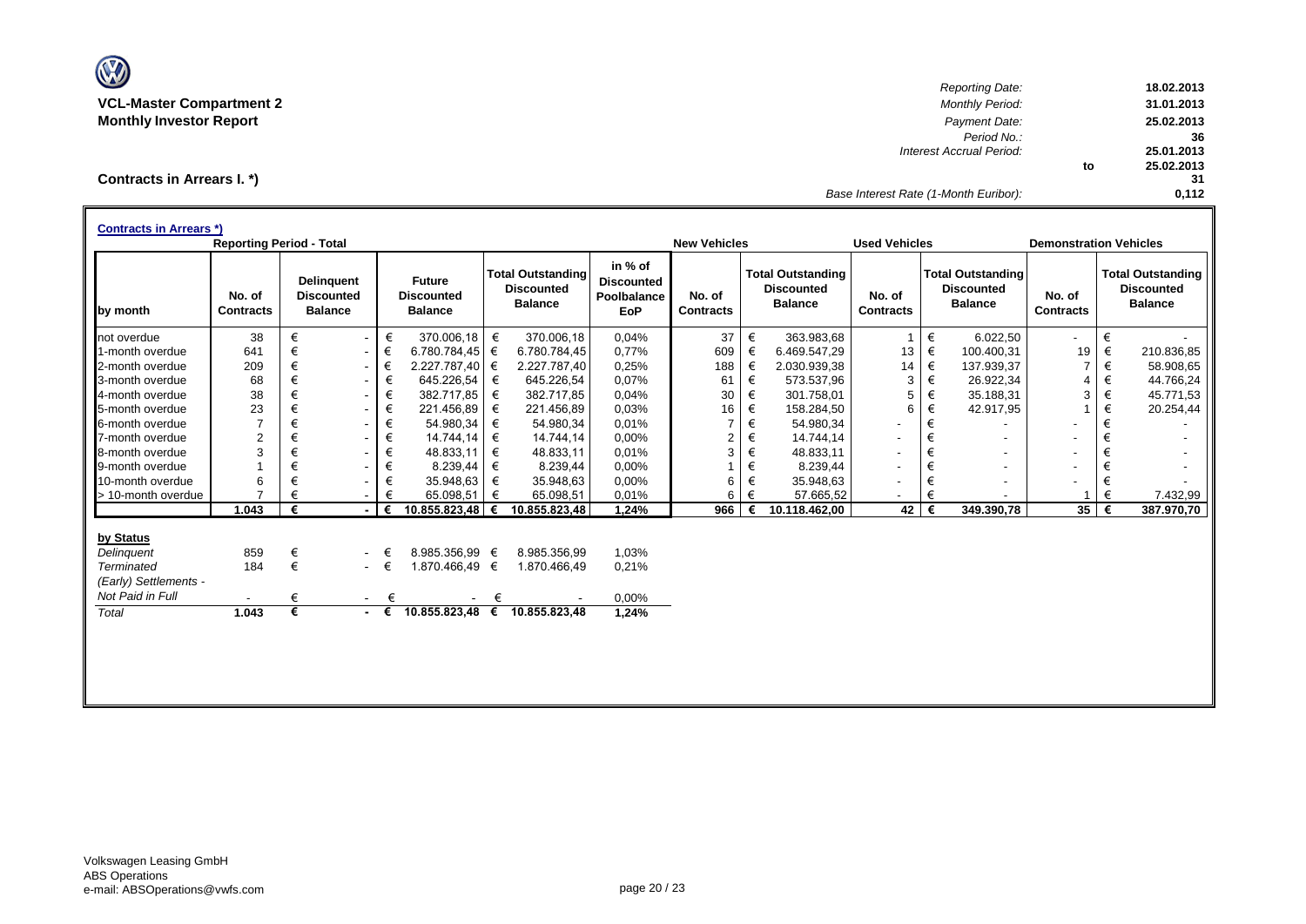

*Reporting Date:* **18.02.2013 VCL-Master Compartment 2** *Monthly Period:* **31.01.2013 Monthly Investor Report** *Payment Date:* **25.02.2013** *Period No.:* **36** *Interest Accrual Period:* **25.01.2013 to 25.02.2013 31 Base Interest Rate (1-Month Euribor):** 

**Contracts in Arrears I. \*)**

| by month<br>1-month overdue    | No. of<br><b>Contracts</b><br>38 |   | <b>Delinquent</b><br><b>Discounted</b><br><b>Balance</b> |                               | <b>Future</b>                       |   | <b>Total Outstanding</b>            | in % of                                        |                            |   |                                                                 |                            |   |                                                                 |                            |   |                                                                 |
|--------------------------------|----------------------------------|---|----------------------------------------------------------|-------------------------------|-------------------------------------|---|-------------------------------------|------------------------------------------------|----------------------------|---|-----------------------------------------------------------------|----------------------------|---|-----------------------------------------------------------------|----------------------------|---|-----------------------------------------------------------------|
| not overdue<br>2-month overdue |                                  |   |                                                          |                               | <b>Discounted</b><br><b>Balance</b> |   | <b>Discounted</b><br><b>Balance</b> | <b>Discounted</b><br>Poolbalance<br><b>EoP</b> | No. of<br><b>Contracts</b> |   | <b>Total Outstanding</b><br><b>Discounted</b><br><b>Balance</b> | No. of<br><b>Contracts</b> |   | <b>Total Outstanding</b><br><b>Discounted</b><br><b>Balance</b> | No. of<br><b>Contracts</b> |   | <b>Total Outstanding</b><br><b>Discounted</b><br><b>Balance</b> |
|                                |                                  | € |                                                          | €<br>$\sim$                   | 370.006.18                          | € | 370.006.18                          | 0,04%                                          | 37                         | € | 363.983,68                                                      | $\mathbf{1}$               | € | 6.022,50                                                        | $\overline{\phantom{a}}$   | € |                                                                 |
|                                | 641                              | € |                                                          | €<br>$\overline{\phantom{a}}$ | 6.780.784,45                        | € | 6.780.784,45                        | 0,77%                                          | 609                        | € | 6.469.547,29                                                    | 13                         | € | 100.400,31                                                      | 19                         | € | 210.836,85                                                      |
|                                | 209                              | € |                                                          | €<br>$\sim$                   | 2.227.787.40                        | € | 2.227.787,40                        | 0,25%                                          | 188                        | € | 2.030.939,38                                                    | 14                         | € | 137.939,37                                                      | $\overline{7}$             | € | 58.908,65                                                       |
| 3-month overdue                | 68                               |   |                                                          | €<br>$\overline{\phantom{0}}$ | 645.226,54                          | € | 645.226,54                          | 0,07%                                          | 61                         | € | 573.537,96                                                      | 3                          | € | 26.922,34                                                       | 4                          | € | 44.766,24                                                       |
| 4-month overdue                | 38                               | € |                                                          | €<br>$\overline{\phantom{a}}$ | 382.717.85                          | € | 382.717,85                          | 0,04%                                          | 30                         | € | 301.758,01                                                      | 5                          | € | 35.188,31                                                       | 3                          | € | 45.771,53                                                       |
| 5-month overdue                | 23                               | € |                                                          | €<br>$\blacksquare$           | 221.456.89                          | € | 221.456,89                          | 0,03%                                          | 16                         | € | 158.284.50                                                      | 6                          | € | 42.917,95                                                       |                            | € | 20.254,44                                                       |
| 6-month overdue                | $\overline{7}$                   | € |                                                          | €<br>$\overline{\phantom{a}}$ | 54.980,34                           | € | 54.980,34                           | 0,01%                                          | $\overline{7}$             | € | 54.980,34                                                       |                            | € |                                                                 |                            | € |                                                                 |
| 7-month overdue                | $\overline{2}$                   |   |                                                          | €<br>$\overline{\phantom{0}}$ | 14.744,14                           | € | 14.744,14                           | 0,00%                                          | $\overline{2}$             | € | 14.744,14                                                       | $\overline{\phantom{a}}$   | € |                                                                 | $\overline{\phantom{a}}$   |   |                                                                 |
| 8-month overdue                | 3                                |   |                                                          | €<br>$\overline{\phantom{0}}$ | 48.833,11                           | € | 48.833,11                           | 0,01%                                          | 3                          | € | 48.833,11                                                       | $\overline{\phantom{a}}$   | € |                                                                 | $\overline{\phantom{a}}$   | € |                                                                 |
| 9-month overdue                |                                  |   |                                                          | €<br>$\overline{\phantom{0}}$ | 8.239,44                            | € | 8.239,44                            | 0,00%                                          |                            | € | 8.239,44                                                        |                            | € |                                                                 | $\overline{\phantom{a}}$   | € |                                                                 |
| 10-month overdue               | 6                                |   |                                                          | €<br>۰                        | 35.948,63                           | € | 35.948,63                           | 0,00%                                          | 6                          | € | 35.948,63                                                       |                            | € |                                                                 |                            |   |                                                                 |
| > 10-month overdue             |                                  |   |                                                          | €                             | 65.098,51                           | € | 65.098,51                           | 0,01%                                          | 6                          | € | 57.665,52                                                       |                            | € |                                                                 |                            | € | 7.432,99                                                        |
|                                | 1.043                            | € |                                                          | €                             | 10.855.823,48                       | € | 10.855.823,48                       | 1,24%                                          | 966                        | € | 10.118.462,00                                                   | 42                         | € | 349.390,78                                                      | 35                         |   | 387.970,70                                                      |
| by Status                      |                                  |   |                                                          |                               |                                     |   |                                     |                                                |                            |   |                                                                 |                            |   |                                                                 |                            |   |                                                                 |
| Delinquent                     | 859                              | € |                                                          | €                             | 8.985.356,99 €                      |   | 8.985.356,99                        | 1,03%                                          |                            |   |                                                                 |                            |   |                                                                 |                            |   |                                                                 |
| Terminated                     | 184                              | € |                                                          | €<br>$\sim$ $-$               | 1.870.466,49 €                      |   | 1.870.466,49                        | 0,21%                                          |                            |   |                                                                 |                            |   |                                                                 |                            |   |                                                                 |
| (Early) Settlements -          |                                  |   |                                                          |                               |                                     |   |                                     |                                                |                            |   |                                                                 |                            |   |                                                                 |                            |   |                                                                 |
| Not Paid in Full               |                                  | € |                                                          | €<br>$\sim$                   |                                     | € |                                     | 0,00%                                          |                            |   |                                                                 |                            |   |                                                                 |                            |   |                                                                 |
| Total                          | 1.043                            | € |                                                          | $ \epsilon$                   | 10.855.823,48 €                     |   | 10.855.823,48                       | 1,24%                                          |                            |   |                                                                 |                            |   |                                                                 |                            |   |                                                                 |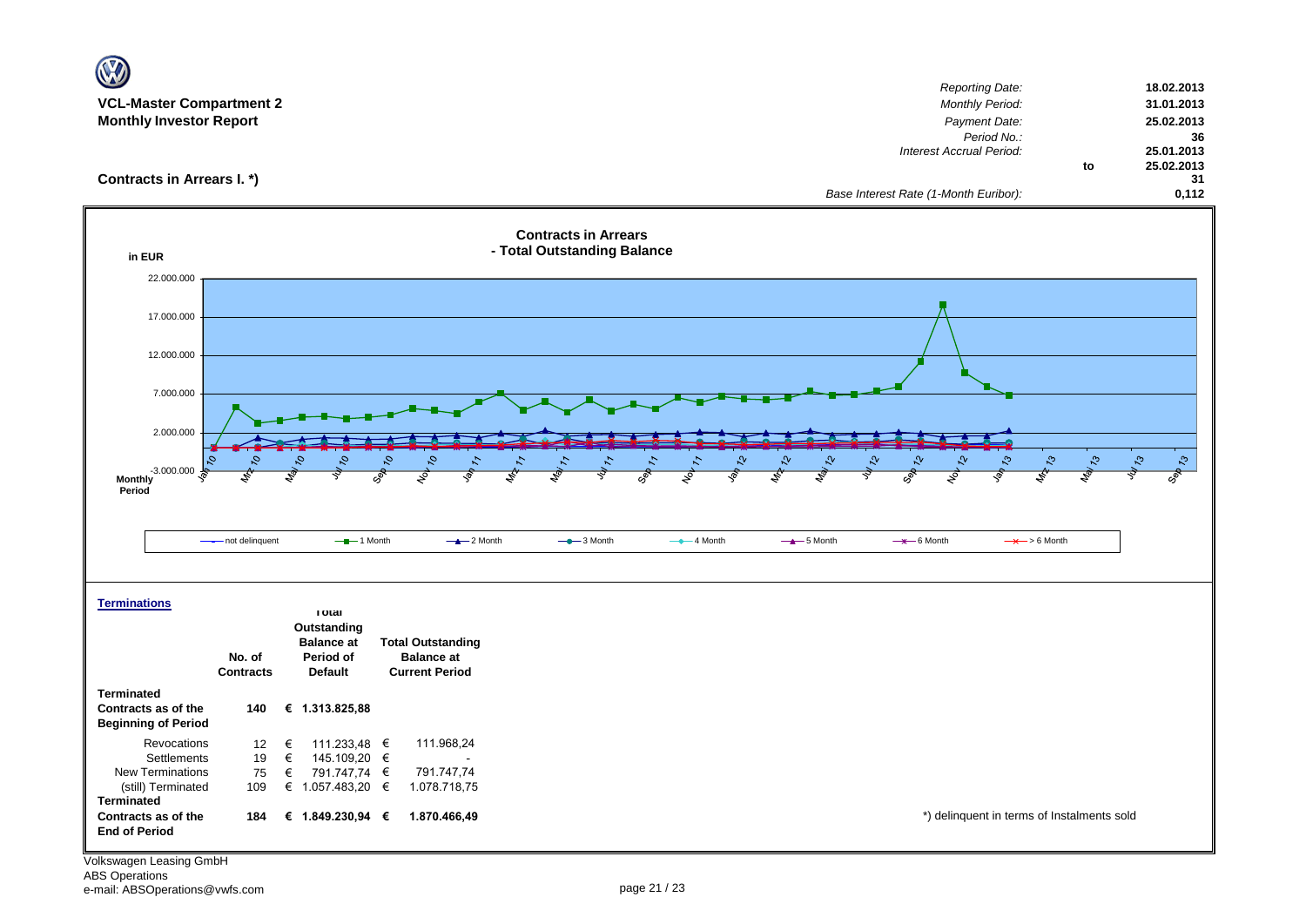| <b>VCL-Master Compartment 2</b>                   |                            |                                       |                                            |                                                            | <b>Reporting Date:</b><br>Monthly Period:             | 18.02.2013                          |
|---------------------------------------------------|----------------------------|---------------------------------------|--------------------------------------------|------------------------------------------------------------|-------------------------------------------------------|-------------------------------------|
| <b>Monthly Investor Report</b>                    |                            |                                       |                                            |                                                            | Payment Date:                                         | 31.01.2013<br>25.02.2013            |
|                                                   |                            |                                       |                                            |                                                            | Period No.:                                           | 36                                  |
|                                                   |                            |                                       |                                            |                                                            | Interest Accrual Period:                              | 25.01.2013<br>25.02.2013<br>to      |
| Contracts in Arrears I. *)                        |                            |                                       |                                            |                                                            |                                                       | 31                                  |
|                                                   |                            |                                       |                                            |                                                            | Base Interest Rate (1-Month Euribor):                 | 0,112                               |
| in EUR                                            |                            |                                       |                                            | <b>Contracts in Arrears</b><br>- Total Outstanding Balance |                                                       |                                     |
| 22.000.000                                        |                            |                                       |                                            |                                                            |                                                       |                                     |
|                                                   |                            |                                       |                                            |                                                            |                                                       |                                     |
| 17.000.000                                        |                            |                                       |                                            |                                                            |                                                       |                                     |
| 12.000.000                                        |                            |                                       |                                            |                                                            |                                                       |                                     |
|                                                   |                            |                                       |                                            |                                                            |                                                       |                                     |
| 7.000.000                                         |                            |                                       |                                            |                                                            |                                                       |                                     |
|                                                   |                            |                                       |                                            |                                                            |                                                       |                                     |
| 2.000.000                                         |                            |                                       |                                            |                                                            |                                                       |                                     |
| $-3.000.000$<br><b>Monthly</b><br>Period          | Ο,                         |                                       |                                            | Sep 11<br>$\frac{1}{2}$                                    | 12-20<br>$\mathcal{L}^{\circ}$<br><b>MA13</b>         | 1/813<br>$\frac{2}{3}$<br>$\zeta_2$ |
|                                                   |                            |                                       |                                            |                                                            |                                                       |                                     |
|                                                   | not delinquent             | $ -$ 1 Month                          | $-2$ Month                                 | $-$ 3 Month<br>$-$ 4 Month                                 | $-$ 5 Month<br>$-$ 6 Month<br>$\rightarrow$ > 6 Month |                                     |
|                                                   |                            |                                       |                                            |                                                            |                                                       |                                     |
|                                                   |                            |                                       |                                            |                                                            |                                                       |                                     |
| <b>Terminations</b>                               |                            |                                       |                                            |                                                            |                                                       |                                     |
|                                                   |                            | тотаг<br>Outstanding                  |                                            |                                                            |                                                       |                                     |
|                                                   |                            | <b>Balance at</b>                     | <b>Total Outstanding</b>                   |                                                            |                                                       |                                     |
|                                                   | No. of<br><b>Contracts</b> | Period of<br><b>Default</b>           | <b>Balance at</b><br><b>Current Period</b> |                                                            |                                                       |                                     |
| <b>Terminated</b>                                 |                            |                                       |                                            |                                                            |                                                       |                                     |
| Contracts as of the<br><b>Beginning of Period</b> | 140                        | € 1.313.825,88                        |                                            |                                                            |                                                       |                                     |
| Revocations                                       | 12                         | €<br>111.233,48 €                     | 111.968,24                                 |                                                            |                                                       |                                     |
| Settlements                                       | 19                         | €<br>145.109,20 €                     |                                            |                                                            |                                                       |                                     |
| New Terminations<br>(still) Terminated            | 75<br>109                  | €<br>791.747,74 €<br>€ 1.057.483,20 € | 791.747,74<br>1.078.718,75                 |                                                            |                                                       |                                     |
| <b>Terminated</b>                                 |                            |                                       |                                            |                                                            |                                                       |                                     |
| Contracts as of the<br><b>End of Period</b>       | 184                        | € 1.849.230,94 €                      | 1.870.466,49                               |                                                            | *) delinquent in terms of Instalments sold            |                                     |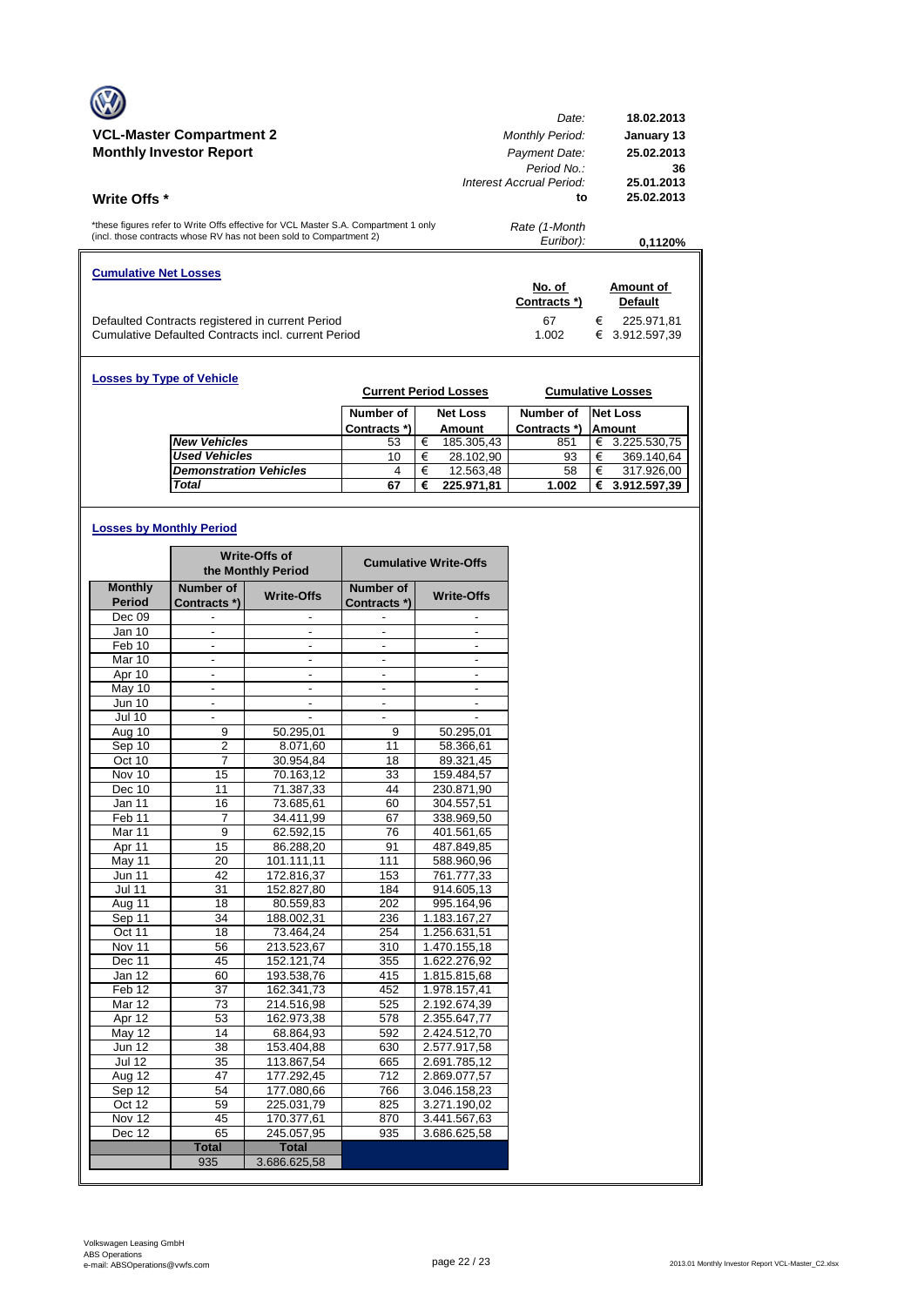|                                                                                                                                                            | Date:                      | 18.02.2013                      |
|------------------------------------------------------------------------------------------------------------------------------------------------------------|----------------------------|---------------------------------|
| <b>VCL-Master Compartment 2</b>                                                                                                                            | <b>Monthly Period:</b>     | January 13                      |
| <b>Monthly Investor Report</b>                                                                                                                             | Payment Date:              | 25.02.2013                      |
|                                                                                                                                                            | Period No.                 | 36                              |
|                                                                                                                                                            | Interest Accrual Period:   | 25.01.2013                      |
| <b>Write Offs</b> *                                                                                                                                        | to                         | 25.02.2013                      |
| *these figures refer to Write Offs effective for VCL Master S.A. Compartment 1 only<br>(incl. those contracts whose RV has not been sold to Compartment 2) | Rate (1-Month<br>Euribor): | 0,1120%                         |
| <b>Cumulative Net Losses</b>                                                                                                                               | No. of                     | Amount of                       |
|                                                                                                                                                            | Contracts *)               | <b>Default</b>                  |
|                                                                                                                                                            | 67                         | €                               |
| Defaulted Contracts registered in current Period<br>Cumulative Defaulted Contracts incl. current Period                                                    | 1.002                      | 225.971.81<br>€<br>3.912.597.39 |
|                                                                                                                                                            |                            |                                 |

| <b>Losses by Type of Vehicle</b> |              |   | <b>Current Period Losses</b> |              |   | <b>Cumulative Losses</b> |
|----------------------------------|--------------|---|------------------------------|--------------|---|--------------------------|
|                                  | Number of    |   | <b>Net Loss</b>              | Number of    |   | <b>Net Loss</b>          |
|                                  | Contracts *) |   | Amount                       | Contracts *) |   | <b>Amount</b>            |
| <b>New Vehicles</b>              | 53           | € | 185.305,43                   | 851          | € | 3.225.530,75             |
| <b>Used Vehicles</b>             | 10           | € | 28.102,90                    | 93           | € | 369.140,64               |
| <b>Demonstration Vehicles</b>    | 4            | € | 12.563,48                    | 58           | € | 317.926,00               |
| Total                            | 67           | € | 225.971,81                   | 1.002        | € | 3.912.597,39             |

# **Losses by Monthly Period**

|                          |                              | Write-Offs of<br>the Monthly Period |                           | <b>Cumulative Write-Offs</b> |
|--------------------------|------------------------------|-------------------------------------|---------------------------|------------------------------|
| <b>Monthly</b><br>Period | Number of<br>Contracts *)    | <b>Write-Offs</b>                   | Number of<br>Contracts *) | <b>Write-Offs</b>            |
| Dec 09                   |                              |                                     |                           |                              |
| <b>Jan 10</b>            |                              |                                     |                           |                              |
| Feb 10                   | $\qquad \qquad \blacksquare$ |                                     | $\frac{1}{2}$             |                              |
| Mar 10                   | $\frac{1}{2}$                | $\blacksquare$                      | $\frac{1}{2}$             |                              |
| Apr 10                   |                              |                                     |                           |                              |
| May 10                   | $\overline{\phantom{a}}$     |                                     | $\frac{1}{2}$             |                              |
| <b>Jun 10</b>            | $\frac{1}{2}$                |                                     | $\overline{\phantom{a}}$  |                              |
| <b>Jul 10</b>            |                              |                                     |                           |                              |
| Aug 10                   | 9                            | 50.295,01                           | 9                         | 50.295,01                    |
| Sep 10                   | $\overline{2}$               | 8.071,60                            | 11                        | 58.366,61                    |
| Oct 10                   | 7                            | 30.954,84                           | 18                        | 89.321,45                    |
| Nov 10                   | 15                           | 70.163,12                           | 33                        | 159.484,57                   |
| Dec 10                   | 11                           | 71.387,33                           | 44                        | 230.871,90                   |
| Jan 11                   | 16                           | 73.685,61                           | 60                        | 304.557,51                   |
| Feb <sub>11</sub>        | 7                            | 34.411,99                           | 67                        | 338.969,50                   |
| Mar 11                   | 9                            | 62.592,15                           | 76                        | 401.561,65                   |
| Apr 11                   | 15                           | 86.288,20                           | 91                        | 487.849,85                   |
| May 11                   | 20                           | 101.111,11                          | 111                       | 588.960,96                   |
| <b>Jun 11</b>            | 42                           | 172.816,37                          | 153                       | 761.777,33                   |
| <b>Jul 11</b>            | $\overline{3}1$              | 152.827,80                          | 184                       | 914.605,13                   |
| Aug 11                   | 18                           | 80.559,83                           | 202                       | 995.164,96                   |
| Sep 11                   | 34                           | 188.002,31                          | 236                       | 1.183.167,27                 |
| Oct 11                   | 18                           | 73.464,24                           | 254                       | 1.256.631,51                 |
| Nov 11                   | 56                           | 213.523,67                          | 310                       | 1.470.155,18                 |
| Dec 11                   | 45                           | 152.121,74                          | 355                       | 1.622.276,92                 |
| Jan 12                   | 60                           | 193.538,76                          | 415                       | 1.815.815,68                 |
| Feb <sub>12</sub>        | 37                           | 162.341,73                          | 452                       | 1.978.157,41                 |
| Mar $12$                 | 73                           | 214.516,98                          | 525                       | 2.192.674,39                 |
| Apr 12                   | 53                           | 162.973,38                          | 578                       | 2.355.647,77                 |
| May 12                   | 14                           | 68.864,93                           | 592                       | 2.424.512,70                 |
| <b>Jun 12</b>            | 38                           | 153.404,88                          | 630                       | 2.577.917,58                 |
| <b>Jul 12</b>            | 35                           | 113.867,54                          | 665                       | 2.691.785,12                 |
| Aug 12                   | 47                           | 177.292,45                          | 712                       | 2.869.077,57                 |
| Sep 12                   | 54                           | 177.080,66                          | 766                       | 3.046.158,23                 |
| Oct 12                   | 59                           | 225.031,79                          | 825                       | 3.271.190,02                 |
| Nov 12                   | 45                           | 170.377,61                          | 870                       | 3.441.567,63                 |
| Dec $12$                 | 65                           | 245.057,95                          | 935                       | 3.686.625,58                 |
|                          | <b>Total</b>                 | <b>Total</b>                        |                           |                              |
|                          | 935                          | 3.686.625,58                        |                           |                              |